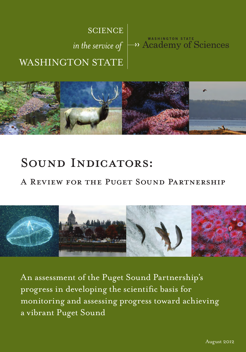# **SCIENCE** WASHINGTON STATE *in the service of*

>> Academy of Sciences



# Sound Indicators:

# A Review for the Puget Sound Partnership



An assessment of the Puget Sound Partnership's progress in developing the scientific basis for monitoring and assessing progress toward achieving a vibrant Puget Sound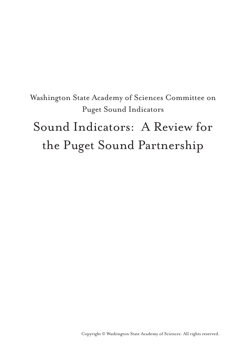Washington State Academy of Sciences Committee on Puget Sound Indicators

# Sound Indicators: A Review for the Puget Sound Partnership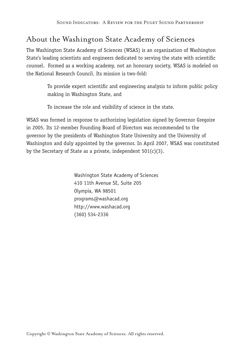# About the Washington State Academy of Sciences

The Washington State Academy of Sciences (WSAS) is an organization of Washington State's leading scientists and engineers dedicated to serving the state with scientific counsel. Formed as a working academy, not an honorary society, WSAS is modeled on the National Research Council. Its mission is two-fold:

> To provide expert scientific and engineering analysis to inform public policy making in Washington State, and

To increase the role and visibility of science in the state.

WSAS was formed in response to authorizing legislation signed by Governor Gregoire in 2005. Its 12-member Founding Board of Directors was recommended to the governor by the presidents of Washington State University and the University of Washington and duly appointed by the governor. In April 2007, WSAS was constituted by the Secretary of State as a private, independent 501(c)(3).

> Washington State Academy of Sciences 410 11th Avenue SE, Suite 205 Olympia, WA 98501 programs@washacad.org http://www.washacad.org (360) 534-2336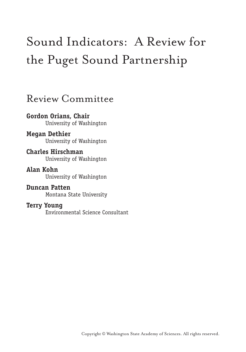# Sound Indicators: A Review for the Puget Sound Partnership

Review Committee

**Gordon Orians, Chair** University of Washington

**Megan Dethier** University of Washington

**Charles Hirschman** University of Washington

**Alan Kohn** University of Washington

**Duncan Patten** Montana State University

**Terry Young** Environmental Science Consultant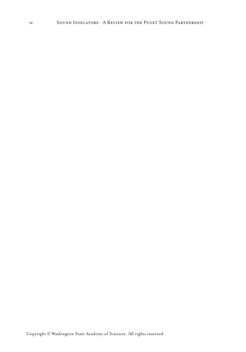Copyright © Washington State Academy of Sciences. All rights reserved.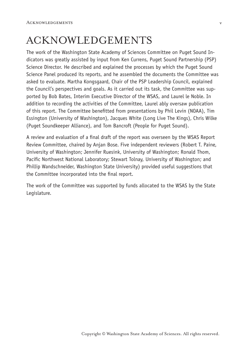# ACKNOWLEDGEMENTS

The work of the Washington State Academy of Sciences Committee on Puget Sound Indicators was greatly assisted by input from Ken Currens, Puget Sound Partnership (PSP) Science Director. He described and explained the processes by which the Puget Sound Science Panel produced its reports, and he assembled the documents the Committee was asked to evaluate. Martha Kongsgaard, Chair of the PSP Leadership Council, explained the Council's perspectives and goals. As it carried out its task, the Committee was supported by Bob Bates, Interim Executive Director of the WSAS, and Laurel le Noble. In addition to recording the activities of the Committee, Laurel ably oversaw publication of this report. The Committee benefitted from presentations by Phil Levin (NOAA), Tim Essington (University of Washington), Jacques White (Long Live The Kings), Chris Wilke (Puget Soundkeeper Alliance), and Tom Bancroft (People for Puget Sound).

v

A review and evaluation of a final draft of the report was overseen by the WSAS Report Review Committee, chaired by Anjan Bose. Five independent reviewers (Robert T. Paine, University of Washington; Jennifer Ruesink, University of Washington; Ronald Thom, Pacific Northwest National Laboratory; Stewart Tolnay, University of Washington; and Phillip Wandschneider, Washington State University) provided useful suggestions that the Committee incorporated into the final report.

The work of the Committee was supported by funds allocated to the WSAS by the State Legislature.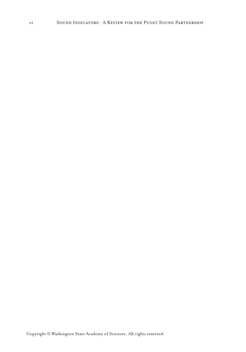Copyright © Washington State Academy of Sciences. All rights reserved.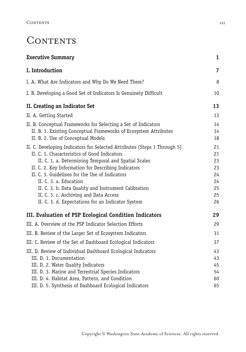# CONTENTS

| <b>Executive Summary</b>                                                                                                                                                                                                                                                                                                                                                                                                                                                   | $\mathbf{1}$                                       |
|----------------------------------------------------------------------------------------------------------------------------------------------------------------------------------------------------------------------------------------------------------------------------------------------------------------------------------------------------------------------------------------------------------------------------------------------------------------------------|----------------------------------------------------|
| I. Introduction                                                                                                                                                                                                                                                                                                                                                                                                                                                            | 7                                                  |
| I. A. What Are Indicators and Why Do We Need Them?                                                                                                                                                                                                                                                                                                                                                                                                                         | 8                                                  |
| I. B. Developing a Good Set of Indicators Is Genuinely Difficult                                                                                                                                                                                                                                                                                                                                                                                                           | 10                                                 |
| II. Creating an Indicator Set                                                                                                                                                                                                                                                                                                                                                                                                                                              | 13                                                 |
| II. A. Getting Started                                                                                                                                                                                                                                                                                                                                                                                                                                                     | 13                                                 |
| II. B. Conceptual Frameworks for Selecting a Set of Indicators<br>II. B. 1. Existing Conceptual Frameworks of Ecosystem Attributes<br>II. B. 2. Use of Conceptual Models                                                                                                                                                                                                                                                                                                   | 14<br>14<br>18                                     |
| II. C. Developing Indicators for Selected Attributes (Steps 1 Through 5)<br>II. C. 1. Characteristics of Good Indicators<br>II. C. 1. a. Determining Temporal and Spatial Scales<br>II. C. 2. Key Information for Describing Indicators<br>II. C. 3. Guidelines for the Use of Indicators<br>II. C. 3. a. Education<br>II. C. 3. b. Data Quality and Instrument Calibration<br>II. C. 3. c. Archiving and Data Access<br>II. C. 3. d. Expectations for an Indicator System | 21<br>21<br>23<br>23<br>24<br>24<br>25<br>25<br>26 |
| III. Evaluation of PSP Ecological Condition Indicators                                                                                                                                                                                                                                                                                                                                                                                                                     | 29                                                 |
| III. A. Overview of the PSP Indicator Selection Efforts                                                                                                                                                                                                                                                                                                                                                                                                                    | 29                                                 |
| III. B. Review of the Larger Set of Ecosystem Indicators                                                                                                                                                                                                                                                                                                                                                                                                                   | 31                                                 |
| III. C. Review of the Set of Dashboard Ecological Indicators                                                                                                                                                                                                                                                                                                                                                                                                               | 37                                                 |
| III. D. Review of Individual Dashboard Ecological Indicators<br>III. D. 1. Documentation                                                                                                                                                                                                                                                                                                                                                                                   | 43<br>43                                           |
| III. D. 2. Water Quality Indicators<br>III. D. 3. Marine and Terrestrial Species Indicators                                                                                                                                                                                                                                                                                                                                                                                | 45<br>54                                           |
| III. D. 4. Habitat Area, Pattern, and Condition                                                                                                                                                                                                                                                                                                                                                                                                                            | 60                                                 |
| III. D. 5. Synthesis of Dashboard Ecological Indicators                                                                                                                                                                                                                                                                                                                                                                                                                    | 65                                                 |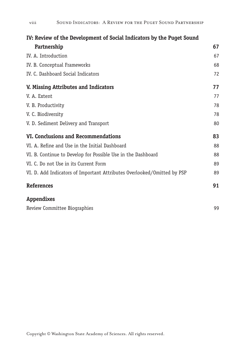| IV: Review of the Development of Social Indicators by the Puget Sound   |    |
|-------------------------------------------------------------------------|----|
| Partnership                                                             | 67 |
| IV. A. Introduction                                                     | 67 |
| IV. B. Conceptual Frameworks                                            | 68 |
| IV. C. Dashboard Social Indicators                                      | 72 |
| V. Missing Attributes and Indicators                                    | 77 |
| V. A. Extent                                                            | 77 |
| V. B. Productivity                                                      | 78 |
| V. C. Biodiversity                                                      | 78 |
| V. D. Sediment Delivery and Transport                                   | 80 |
| VI. Conclusions and Recommendations                                     | 83 |
| VI. A. Refine and Use in the Initial Dashboard                          | 88 |
| VI. B. Continue to Develop for Possible Use in the Dashboard            | 88 |
| VI. C. Do not Use in its Current Form                                   | 89 |
| VI. D. Add Indicators of Important Attributes Overlooked/Omitted by PSP | 89 |
| <b>References</b>                                                       | 91 |
| <b>Appendixes</b>                                                       |    |
| Review Committee Biographies                                            | 99 |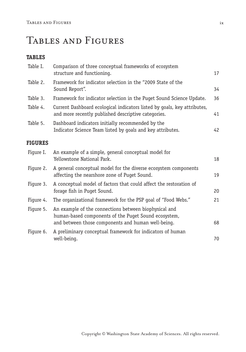# Tables and Figures

#### **TABLES**

| Table I.       | Comparison of three conceptual frameworks of ecosystem<br>structure and functioning.                                                                                | 17 |
|----------------|---------------------------------------------------------------------------------------------------------------------------------------------------------------------|----|
| Table 2.       | Framework for indicator selection in the "2009 State of the<br>Sound Report".                                                                                       | 34 |
| Table 3.       | Framework for indicator selection in the Puget Sound Science Update.                                                                                                | 36 |
| Table 4.       | Current Dashboard ecological indicators listed by goals, key attributes,<br>and more recently published descriptive categories.                                     | 41 |
| Table 5.       | Dashboard indicators initially recommended by the<br>Indicator Science Team listed by goals and key attributes.                                                     | 42 |
| <b>FIGURES</b> |                                                                                                                                                                     |    |
| Figure I.      | An example of a simple, general conceptual model for<br>Yellowstone National Park.                                                                                  | 18 |
| Figure 2.      | A general conceptual model for the diverse ecosystem components<br>affecting the nearshore zone of Puget Sound.                                                     | 19 |
| Figure 3.      | A conceptual model of factors that could affect the restoration of<br>forage fish in Puget Sound.                                                                   | 20 |
| Figure 4.      | The organizational framework for the PSP goal of "Food Webs."                                                                                                       | 21 |
| Figure 5.      | An example of the connections between biophysical and<br>human-based components of the Puget Sound ecosystem,<br>and between those components and human well-being. | 68 |
| Figure 6.      | A preliminary conceptual framework for indicators of human<br>well-being.                                                                                           | 70 |
|                |                                                                                                                                                                     |    |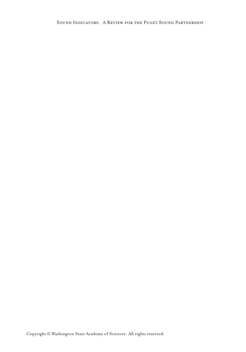SOUND INDICATORS: A REVIEW FOR THE PUGET SOUND PARTNERSHIP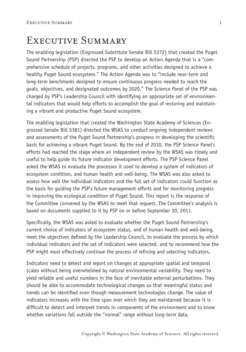# EXECUTIVE SUMMARY

The enabling legislation (Engrossed Substitute Senate Bill 5372) that created the Puget Sound Partnership (PSP) directed the PSP to develop an Action Agenda that is a "comprehensive schedule of projects, programs, and other activities designed to achieve a healthy Puget Sound ecosystem." The Action Agenda was to "include near-term and long-term benchmarks designed to ensure continuous progress needed to reach the goals, objectives, and designated outcomes by 2020." The Science Panel of the PSP was charged by PSP's Leadership Council with identifying an appropriate set of environmental indicators that would help efforts to accomplish the goal of restoring and maintaining a vibrant and productive Puget Sound ecosystem.

The enabling legislation that created the Washington State Academy of Sciences (Engrossed Senate Bill 5381) directed the WSAS to conduct ongoing independent reviews and assessments of the Puget Sound Partnership's progress in developing the scientific basis for achieving a vibrant Puget Sound. By the end of 2010, the PSP Science Panel's efforts had reached the stage where an independent review by the WSAS was timely and useful to help guide its future indicator development efforts. The PSP Science Panel asked the WSAS to evaluate the processes it used to develop a system of indicators of ecosystem condition, and human health and well-being. The WSAS was also asked to assess how well the individual indicators and the full set of indicators could function as the basis for guiding the PSP's future management efforts and for monitoring progress in improving the ecological condition of Puget Sound. This report is the response of the Committee convened by the WSAS to meet that request. The Committee's analysis is based on documents supplied to it by PSP on or before September 30, 2011.

Specifically, the WSAS was asked to evaluate whether the Puget Sound Partnership's current choice of indicators of ecosystem status, and of human health and well-being, meet the objectives defined by the Leadership Council, to evaluate the process by which individual indicators and the set of indicators were selected, and to recommend how the PSP might most effectively continue the process of refining and selecting indicators.

Indicators need to detect and report on changes at appropriate spatial and temporal scales without being overwhelmed by natural environmental variability. They need to yield reliable and useful numbers in the face of inevitable external perturbations. They should be able to accommodate technological changes so that meaningful status and trends can be identified even though measurement technologies change. The value of indicators increases with the time span over which they are maintained because it is difficult to detect and interpret trends in components of the environment and to know whether variations fall outside the "normal" range without long-term data.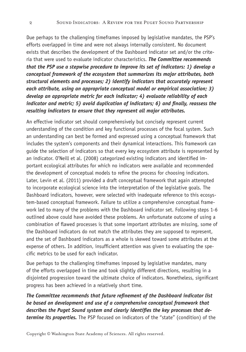Due perhaps to the challenging timeframes imposed by legislative mandates, the PSP's efforts overlapped in time and were not always internally consistent. No document exists that describes the development of the Dashboard indicator set and/or the criteria that were used to evaluate indicator characteristics. *The Committee recommends that the PSP use a stepwise procedure to improve its set of indicators: 1) develop a conceptual framework of the ecosystem that summarizes its major attributes, both structural elements and processes; 2) identify indicators that accurately represent each attribute, using an appropriate conceptual model or empirical association; 3) develop an appropriate metric for each indicator; 4) evaluate reliability of each indicator and metric; 5) avoid duplication of indicators; 6) and finally, reassess the resulting indicators to ensure that they represent all major attributes.* 

An effective indicator set should comprehensively but concisely represent current understanding of the condition and key functional processes of the focal system. Such an understanding can best be formed and expressed using a conceptual framework that includes the system's components and their dynamical interactions. This framework can guide the selection of indicators so that every key ecosystem attribute is represented by an indicator. O'Neill et al. (2008) categorized existing indicators and identified important ecological attributes for which no indicators were available and recommended the development of conceptual models to refine the process for choosing indicators. Later, Levin et al. (2011) provided a draft conceptual framework that again attempted to incorporate ecological science into the interpretation of the legislative goals. The Dashboard indicators, however, were selected with inadequate reference to this ecosystem-based conceptual framework. Failure to utilize a comprehensive conceptual framework led to many of the problems with the Dashboard indicator set. Following steps 1-6 outlined above could have avoided these problems. An unfortunate outcome of using a combination of flawed processes is that some important attributes are missing, some of the Dashboard indicators do not match the attributes they are supposed to represent, and the set of Dashboard indicators as a whole is skewed toward some attributes at the expense of others. In addition, insufficient attention was given to evaluating the specific metrics to be used for each indicator.

Due perhaps to the challenging timeframes imposed by legislative mandates, many of the efforts overlapped in time and took slightly different directions, resulting in a disjointed progression toward the ultimate choice of indicators. Nonetheless, significant progress has been achieved in a relatively short time.

*The Committee recommends that future refinement of the Dashboard indicator list be based on development and use of a comprehensive conceptual framework that describes the Puget Sound system and clearly identifies the key processes that determine its properties.* The PSP focused on indicators of the "state" (condition) of the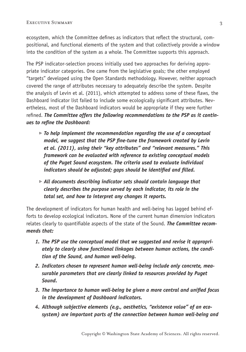ecosystem, which the Committee defines as indicators that reflect the structural, compositional, and functional elements of the system and that collectively provide a window into the condition of the system as a whole. The Committee supports this approach.

The PSP indicator-selection process initially used two approaches for deriving appropriate indicator categories. One came from the legislative goals; the other employed "targets" developed using the Open Standards methodology. However, neither approach covered the range of attributes necessary to adequately describe the system. Despite the analysis of Levin et al. (2011), which attempted to address some of these flaws, the Dashboard indicator list failed to include some ecologically significant attributes. Nevertheless, most of the Dashboard indicators would be appropriate if they were further refined. *The Committee offers the following recommendations to the PSP as it continues to refine the Dashboard:*

- $\triangleright$  To help implement the recommendation regarding the use of a conceptual *model, we suggest that the PSP fine-tune the framework created by Levin et al. (2011), using their "key attributes" and "relevant measures." This framework can be evaluated with reference to existing conceptual models of the Puget Sound ecosystem. The criteria used to evaluate individual indicators should be adjusted; gaps should be identified and filled.*
- G *All documents describing indicator sets should contain language that clearly describes the purpose served by each indicator, its role in the total set, and how to interpret any changes it reports.*

The development of indicators for human health and well-being has lagged behind efforts to develop ecological indicators. None of the current human dimension indicators relates clearly to quantifiable aspects of the state of the Sound. *The Committee recommends that:* 

- *1. The PSP use the conceptual model that we suggested and revise it appropriately to clearly show functional linkages between human actions, the condition of the Sound, and human well-being.*
- *2. Indicators chosen to represent human well-being include only concrete, measurable parameters that are clearly linked to resources provided by Puget Sound.*
- *3. The importance to human well-being be given a more central and unified focus in the development of Dashboard indicators.*
- *4. Although subjective elements (e.g., aesthetics, "existence value" of an ecosystem) are important parts of the connection between human well-being and*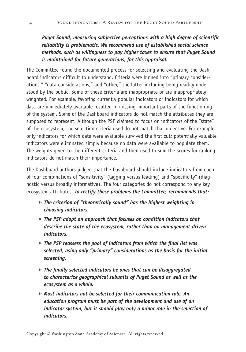## *Puget Sound, measuring subjective perceptions with a high degree of scientific reliability is problematic. We recommend use of established social science methods, such as willingness to pay higher taxes to ensure that Puget Sound is maintained for future generations, for this appraisal.*

The Committee found the documented process for selecting and evaluating the Dashboard indicators difficult to understand. Criteria were binned into "primary considerations," "data considerations," and "other," the latter including being readily understood by the public. Some of these criteria are inappropriate or are inappropriately weighted. For example, favoring currently popular indicators or indicators for which data are immediately available resulted in missing important parts of the functioning of the system. Some of the Dashboard indicators do not match the attributes they are supposed to represent. Although the PSP claimed to focus on indicators of the "state" of the ecosystem, the selection criteria used do not match that objective. For example, only indicators for which data were available survived the first cut; potentially valuable indicators were eliminated simply because no data were available to populate them. The weights given to the different criteria and then used to sum the scores for ranking indicators do not match their importance.

The Dashboard authors judged that the Dashboard should include indicators from each of four combinations of "sensitivity" (lagging versus leading) and "specificity" (diagnostic versus broadly informative). The four categories do not correspond to any key ecosystem attributes. *To rectify these problems the Committee, recommends that:*

- G *The criterion of "theoretically sound" has the highest weighting in choosing indicators.*
- $\triangleright$  The PSP adopt an approach that focuses on condition indicators that *describe the state of the ecosystem, rather than on management-driven indicators.*
- $\triangleright$  The PSP reassess the pool of indicators from which the final list was *selected, using only "primary" considerations as the basis for the initial screening.*
- $\triangleright$  The finally selected indicators be ones that can be disaggregated *to characterize geographical subunits of Puget Sound as well as the ecosystem as a whole.*
- $\triangleright$  Most indicators not be selected for their communication role. An *education program must be part of the development and use of an indicator system, but it should play only a minor role in the selection of indicators.*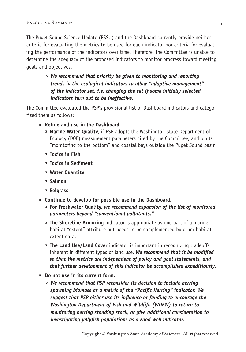The Puget Sound Science Update (PSSU) and the Dashboard currently provide neither criteria for evaluating the metrics to be used for each indicator nor criteria for evaluating the performance of the indicators over time. Therefore, the Committee is unable to determine the adequacy of the proposed indicators to monitor progress toward meeting goals and objectives.

 $\triangleright$  We recommend that priority be given to monitoring and reporting *trends in the ecological indicators to allow "adaptive management" of the indicator set, i.e. changing the set if some initially selected indicators turn out to be ineffective.* 

The Committee evaluated the PSP's provisional list of Dashboard indicators and categorized them as follows:

- **Refine and use in the Dashboard.** 
	- **B Marine Water Quality, if PSP adopts the Washington State Department of** Ecology (DOE) measurement parameters cited by the Committee, and omits "monitoring to the bottom" and coastal bays outside the Puget Sound basin
	- B **Toxics in Fish**
	- B **Toxics in Sediment**
	- B **Water Quantity**
	- B **Salmon**
	- B **Eelgrass**
- **EXECTE:** Continue to develop for possible use in the Dashboard.
	- B **For Freshwater Quality,** *we recommend expansion of the list of monitored parameters beyond "conventional pollutants."*
	- **The Shoreline Armoring** indicator is appropriate as one part of a marine habitat "extent" attribute but needs to be complemented by other habitat extent data.
	- □ **The Land Use/Land Cover** indicator is important in recognizing tradeoffs inherent in different types of land use. *We recommend that it be modified so that the metrics are independent of policy and goal statements, and that further development of this indicator be accomplished expeditiously.*
- Do not use in its current form.
	- $\triangleright$  We recommend that PSP reconsider its decision to include herring *spawning biomass as a metric of the "Pacific Herring" indicator. We suggest that PSP either use its influence or funding to encourage the Washington Department of Fish and Wildlife (WDFW) to return to monitoring herring standing stock, or give additional consideration to investigating jellyfish populations as a Food Web indicator.*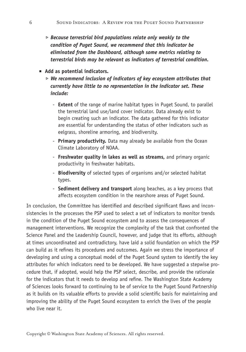- $\triangleright$  Because terrestrial bird populations relate only weakly to the *condition of Puget Sound, we recommend that this indicator be eliminated from the Dashboard, although some metrics relating to terrestrial birds may be relevant as indicators of terrestrial condition.*
- Add as potential indicators.
	- $\triangleright$  We recommend inclusion of indicators of key ecosystem attributes that *currently have little to no representation in the indicator set. These include:*
		- **Extent** of the range of marine habitat types in Puget Sound, to parallel the terrestrial land use/land cover indicator. Data already exist to begin creating such an indicator. The data gathered for this indicator are essential for understanding the status of other indicators such as eelgrass, shoreline armoring, and biodiversity.
		- **Primary productivity.** Data may already be available from the Ocean Climate Laboratory of NOAA.
		- **Freshwater quality in lakes as well as streams,** and primary organic productivity in freshwater habitats.
		- **Biodiversity** of selected types of organisms and/or selected habitat types.
		- **Sediment delivery and transport** along beaches, as a key process that affects ecosystem condition in the nearshore areas of Puget Sound.

In conclusion, the Committee has identified and described significant flaws and inconsistencies in the processes the PSP used to select a set of indicators to monitor trends in the condition of the Puget Sound ecosystem and to assess the consequences of management interventions. We recognize the complexity of the task that confronted the Science Panel and the Leadership Council, however, and judge that its efforts, although at times uncoordinated and contradictory, have laid a solid foundation on which the PSP can build as it refines its procedures and outcomes. Again we stress the importance of developing and using a conceptual model of the Puget Sound system to identify the key attributes for which indicators need to be developed. We have suggested a stepwise procedure that, if adopted, would help the PSP select, describe, and provide the rationale for the indicators that it needs to develop and refine. The Washington State Academy of Sciences looks forward to continuing to be of service to the Puget Sound Partnership as it builds on its valuable efforts to provide a solid scientific basis for maintaining and improving the ability of the Puget Sound ecosystem to enrich the lives of the people who live near it.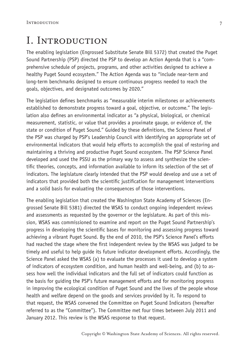# I. Introduction

The enabling legislation (Engrossed Substitute Senate Bill 5372) that created the Puget Sound Partnership (PSP) directed the PSP to develop an Action Agenda that is a "comprehensive schedule of projects, programs, and other activities designed to achieve a healthy Puget Sound ecosystem." The Action Agenda was to "include near-term and long-term benchmarks designed to ensure continuous progress needed to reach the goals, objectives, and designated outcomes by 2020."

The legislation defines benchmarks as "measurable interim milestones or achievements established to demonstrate progress toward a goal, objective, or outcome." The legislation also defines an environmental indicator as "a physical, biological, or chemical measurement, statistic, or value that provides a proximate gauge, or evidence of, the state or condition of Puget Sound." Guided by these definitions, the Science Panel of the PSP was charged by PSP's Leadership Council with identifying an appropriate set of environmental indicators that would help efforts to accomplish the goal of restoring and maintaining a thriving and productive Puget Sound ecosystem. The PSP Science Panel developed and used the PSSU as the primary way to assess and synthesize the scientific theories, concepts, and information available to inform its selection of the set of indicators. The legislature clearly intended that the PSP would develop and use a set of indicators that provided both the scientific justification for management interventions and a solid basis for evaluating the consequences of those interventions.

The enabling legislation that created the Washington State Academy of Sciences (Engrossed Senate Bill 5381) directed the WSAS to conduct ongoing independent reviews and assessments as requested by the governor or the legislature. As part of this mission, WSAS was commissioned to examine and report on the Puget Sound Partnership's progress in developing the scientific bases for monitoring and assessing progress toward achieving a vibrant Puget Sound. By the end of 2010, the PSP's Science Panel's efforts had reached the stage where the first independent review by the WSAS was judged to be timely and useful to help guide its future indicator development efforts. Accordingly, the Science Panel asked the WSAS (a) to evaluate the processes it used to develop a system of indicators of ecosystem condition, and human health and well-being, and (b) to assess how well the individual indicators and the full set of indicators could function as the basis for guiding the PSP's future management efforts and for monitoring progress in improving the ecological condition of Puget Sound and the lives of the people whose health and welfare depend on the goods and services provided by it. To respond to that request, the WSAS convened the Committee on Puget Sound Indicators (hereafter referred to as the "Committee"). The Committee met four times between July 2011 and January 2012. This review is the WSAS response to that request.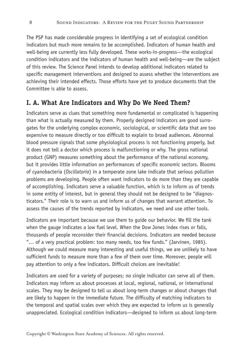The PSP has made considerable progress in identifying a set of ecological condition indicators but much more remains to be accomplished. Indicators of human health and well-being are currently less fully developed. These works-in-progress—the ecological condition indicators and the indicators of human health and well-being—are the subject of this review. The Science Panel intends to develop additional indicators related to specific management interventions and designed to assess whether the interventions are achieving their intended effects. Those efforts have yet to produce documents that the Committee is able to assess.

# **I. A. What Are Indicators and Why Do We Need Them?**

Indicators serve as clues that something more fundamental or complicated is happening than what is actually measured by them. Properly designed indicators are good surrogates for the underlying complex economic, sociological, or scientific data that are too expensive to measure directly or too difficult to explain to broad audiences. Abnormal blood pressure signals that some physiological process is not functioning properly, but it does not tell a doctor which process is malfunctioning or why. The gross national product (GNP) measures something about the performance of the national economy, but it provides little information on performances of specific economic sectors. Blooms of cyanobacteria (*Oscillatoria*) in a temperate zone lake indicate that serious pollution problems are developing. People often want indicators to do more than they are capable of accomplishing. Indicators serve a valuable function, which is to inform us of trends in some entity of interest, but in general they should not be designed to be "diagnosticators." Their role is to warn us and inform us of changes that warrant attention. To assess the causes of the trends reported by indicators, we need and use other tools.

Indicators are important because we use them to guide our behavior. We fill the tank when the gauge indicates a low fuel level. When the Dow Jones index rises or falls, thousands of people reconsider their financial decisions. Indicators are needed because "… of a very practical problem: too many needs, too few funds." (Jarvinen, 1985). Although we could measure many interesting and useful things, we are unlikely to have sufficient funds to measure more than a few of them over time. Moreover, people will pay attention to only a few indicators. Difficult choices are inevitable!

Indicators are used for a variety of purposes; no single indicator can serve all of them. Indicators may inform us about processes at local, regional, national, or international scales. They may be designed to tell us about long-term changes or about changes that are likely to happen in the immediate future. The difficulty of matching indicators to the temporal and spatial scales over which they are expected to inform us is generally unappreciated. Ecological condition indicators—designed to inform us about long-term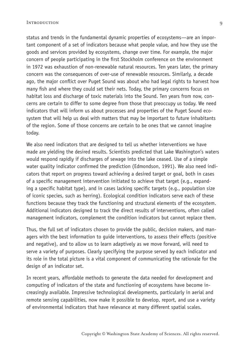#### **INTRODUCTION**

status and trends in the fundamental dynamic properties of ecosystems—are an important component of a set of indicators because what people value, and how they use the goods and services provided by ecosystems, change over time. For example, the major concern of people participating in the first Stockholm conference on the environment in 1972 was exhaustion of non-renewable natural resources. Ten years later, the primary concern was the consequences of over-use of renewable resources. Similarly, a decade ago, the major conflict over Puget Sound was about who had legal rights to harvest how many fish and where they could set their nets. Today, the primary concerns focus on habitat loss and discharge of toxic materials into the Sound. Ten years from now, concerns are certain to differ to some degree from those that preoccupy us today. We need indicators that will inform us about processes and properties of the Puget Sound ecosystem that will help us deal with matters that may be important to future inhabitants of the region. Some of those concerns are certain to be ones that we cannot imagine today.

We also need indicators that are designed to tell us whether interventions we have made are yielding the desired results. Scientists predicted that Lake Washington's waters would respond rapidly if discharges of sewage into the lake ceased. Use of a simple water quality indicator confirmed the prediction (Edmondson, 1991). We also need indicators that report on progress toward achieving a desired target or goal, both in cases of a specific management intervention initiated to achieve that target (e.g., expanding a specific habitat type), and in cases lacking specific targets (e.g., population size of iconic species, such as herring). Ecological condition indicators serve each of these functions because they track the functioning and structural elements of the ecosystem. Additional indicators designed to track the direct results of interventions, often called management indicators, complement the condition indicators but cannot replace them.

Thus, the full set of indicators chosen to provide the public, decision makers, and managers with the best information to guide interventions, to assess their effects (positive and negative), and to allow us to learn adaptively as we move forward, will need to serve a variety of purposes. Clearly specifying the purpose served by each indicator and its role in the total picture is a vital component of communicating the rationale for the design of an indicator set.

In recent years, affordable methods to generate the data needed for development and computing of indicators of the state and functioning of ecosystems have become increasingly available. Impressive technological developments, particularly in aerial and remote sensing capabilities, now make it possible to develop, report, and use a variety of environmental indicators that have relevance at many different spatial scales.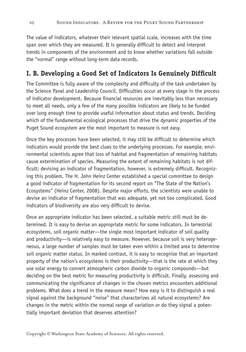The value of indicators, whatever their relevant spatial scale, increases with the time span over which they are measured. It is generally difficult to detect and interpret trends in components of the environment and to know whether variations fall outside the "normal" range without long-term data records.

# **I. B. Developing a Good Set of Indicators Is Genuinely Difficult**

The Committee is fully aware of the complexity and difficulty of the task undertaken by the Science Panel and Leadership Council. Difficulties occur at every stage in the process of indicator development. Because financial resources are inevitably less than necessary to meet all needs, only a few of the many possible indicators are likely to be funded over long enough time to provide useful information about status and trends. Deciding which of the fundamental ecological processes that drive the dynamic properties of the Puget Sound ecosystem are the most important to measure is not easy.

Once the key processes have been selected, it may still be difficult to determine which indicators would provide the best clues to the underlying processes. For example, environmental scientists agree that loss of habitat and fragmentation of remaining habitats cause extermination of species. Measuring the extent of remaining habitats is not difficult; devising an indicator of fragmentation, however, is extremely difficult. Recognizing this problem, The H. John Heinz Center established a special committee to design a good indicator of fragmentation for its second report on "The State of the Nation's Ecosystems" (Heinz Center, 2008). Despite major efforts, the scientists were unable to devise an indicator of fragmentation that was adequate, yet not too complicated. Good indicators of biodiversity are also very difficult to devise.

Once an appropriate indicator has been selected, a suitable metric still must be determined. It is easy to devise an appropriate metric for some indicators. In terrestrial ecosystems, soil organic matter—the single most important indicator of soil quality and productivity—is relatively easy to measure. However, because soil is very heterogeneous, a large number of samples must be taken even within a limited area to determine soil organic matter status. In marked contrast, it is easy to recognize that an important property of the nation's ecosystems is their productivity—that is the rate at which they use solar energy to convert atmospheric carbon dioxide to organic compounds—but deciding on the best metric for measuring productivity is difficult. Finally, assessing and communicating the significance of changes in the chosen metrics encounters additional problems. What does a trend in the measure mean? How easy is it to distinguish a real signal against the background "noise" that characterizes all natural ecosystems? Are changes in the metric within the normal range of variation or do they signal a potentially important deviation that deserves attention?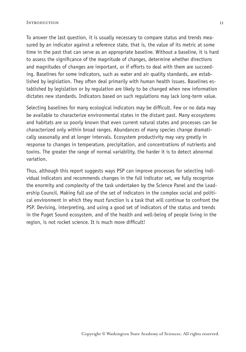#### **INTRODUCTION**

To answer the last question, it is usually necessary to compare status and trends measured by an indicator against a reference state, that is, the value of its metric at some time in the past that can serve as an appropriate baseline. Without a baseline, it is hard to assess the significance of the magnitude of changes, determine whether directions and magnitudes of changes are important, or if efforts to deal with them are succeeding. Baselines for some indicators, such as water and air quality standards, are established by legislation. They often deal primarily with human health issues. Baselines established by legislation or by regulation are likely to be changed when new information dictates new standards. Indicators based on such regulations may lack long-term value.

Selecting baselines for many ecological indicators may be difficult. Few or no data may be available to characterize environmental states in the distant past. Many ecosystems and habitats are so poorly known that even current natural states and processes can be characterized only within broad ranges. Abundances of many species change dramatically seasonally and at longer intervals. Ecosystem productivity may vary greatly in response to changes in temperature, precipitation, and concentrations of nutrients and toxins. The greater the range of normal variability, the harder it is to detect abnormal variation.

Thus, although this report suggests ways PSP can improve processes for selecting individual indicators and recommends changes in the full indicator set, we fully recognize the enormity and complexity of the task undertaken by the Science Panel and the Leadership Council. Making full use of the set of indicators in the complex social and political environment in which they must function is a task that will continue to confront the PSP. Devising, interpreting, and using a good set of indicators of the status and trends in the Puget Sound ecosystem, and of the health and well-being of people living in the region, is not rocket science. It is much more difficult!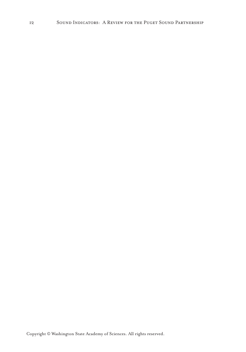Copyright © Washington State Academy of Sciences. All rights reserved.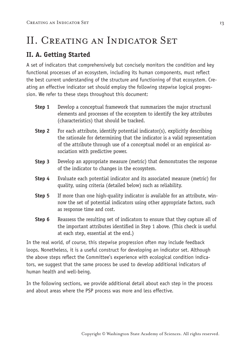# II. Creating an Indicator Set

# **II. A. Getting Started**

A set of indicators that comprehensively but concisely monitors the condition and key functional processes of an ecosystem, including its human components, must reflect the best current understanding of the structure and functioning of that ecosystem. Creating an effective indicator set should employ the following stepwise logical progression. We refer to these steps throughout this document:

- **Step 1** Develop a conceptual framework that summarizes the major structural elements and processes of the ecosystem to identify the key attributes (characteristics) that should be tracked.
- **Step 2** For each attribute, identify potential indicator(s), explicitly describing the rationale for determining that the indicator is a valid representation of the attribute through use of a conceptual model or an empirical association with predictive power.
- **Step 3** Develop an appropriate measure (metric) that demonstrates the response of the indicator to changes in the ecosystem.
- **Step 4** Evaluate each potential indicator and its associated measure (metric) for quality, using criteria (detailed below) such as reliability.
- **Step 5** If more than one high-quality indicator is available for an attribute, winnow the set of potential indicators using other appropriate factors, such as response time and cost.
- **Step 6** Reassess the resulting set of indicators to ensure that they capture all of the important attributes identified in Step 1 above. (This check is useful at each step, essential at the end.)

In the real world, of course, this stepwise progression often may include feedback loops. Nonetheless, it is a useful construct for developing an indicator set. Although the above steps reflect the Committee's experience with ecological condition indicators, we suggest that the same process be used to develop additional indicators of human health and well-being.

In the following sections, we provide additional detail about each step in the process and about areas where the PSP process was more and less effective.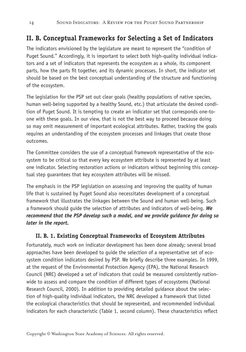# **II. B. Conceptual Frameworks for Selecting a Set of Indicators**

The indicators envisioned by the legislature are meant to represent the "condition of Puget Sound." Accordingly, it is important to select both high-quality individual indicators and a set of indicators that represents the ecosystem as a whole, its component parts, how the parts fit together, and its dynamic processes. In short, the indicator set should be based on the best conceptual understanding of the structure and functioning of the ecosystem.

The legislation for the PSP set out clear goals (healthy populations of native species, human well-being supported by a healthy Sound, etc.) that articulate the desired condition of Puget Sound. It is tempting to create an indicator set that corresponds one-toone with these goals. In our view, that is not the best way to proceed because doing so may omit measurement of important ecological attributes. Rather, tracking the goals requires an understanding of the ecosystem processes and linkages that create those outcomes.

The Committee considers the use of a conceptual framework representative of the ecosystem to be critical so that every key ecosystem attribute is represented by at least one indicator. Selecting restoration actions or indicators without beginning this conceptual step guarantees that key ecosystem attributes will be missed.

The emphasis in the PSP legislation on assessing and improving the quality of human life that is sustained by Puget Sound also necessitates development of a conceptual framework that illustrates the linkages between the Sound and human well-being. Such a framework should guide the selection of attributes and indicators of well-being. *We recommend that the PSP develop such a model, and we provide guidance for doing so later in the report.* 

### **II. B. 1. Existing Conceptual Frameworks of Ecosystem Attributes**

Fortunately, much work on indicator development has been done already; several broad approaches have been developed to guide the selection of a representative set of ecosystem condition indicators desired by PSP. We briefly describe three examples. In 1999, at the request of the Environmental Protection Agency (EPA), the National Research Council (NRC) developed a set of indicators that could be measured consistently nationwide to assess and compare the condition of different types of ecosystems (National Research Council, 2000). In addition to providing detailed guidance about the selection of high-quality individual indicators, the NRC developed a framework that listed the ecological characteristics that should be represented, and recommended individual indicators for each characteristic (Table 1, second column). These characteristics reflect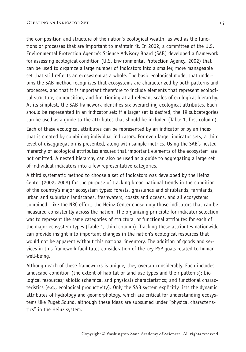the composition and structure of the nation's ecological wealth, as well as the functions or processes that are important to maintain it. In 2002, a committee of the U.S. Environmental Protection Agency's Science Advisory Board (SAB) developed a framework for assessing ecological condition (U.S. Environmental Protection Agency, 2002) that can be used to organize a large number of indicators into a smaller, more manageable set that still reflects an ecosystem as a whole. The basic ecological model that underpins the SAB method recognizes that ecosystems are characterized by both patterns and processes, and that it is important therefore to include elements that represent ecological structure, composition, and functioning at all relevant scales of ecological hierarchy. At its simplest, the SAB framework identifies six overarching ecological attributes. Each should be represented in an indicator set; if a larger set is desired, the 19 subcategories can be used as a guide to the attributes that should be included (Table 1, first column).

Each of these ecological attributes can be represented by an indicator or by an index that is created by combining individual indicators. For even larger indicator sets, a third level of disaggregation is presented, along with sample metrics. Using the SAB's nested hierarchy of ecological attributes ensures that important elements of the ecosystem are not omitted. A nested hierarchy can also be used as a guide to aggregating a large set of individual indicators into a few representative categories.

A third systematic method to choose a set of indicators was developed by the Heinz Center (2002; 2008) for the purpose of tracking broad national trends in the condition of the country's major ecosystem types: forests, grasslands and shrublands, farmlands, urban and suburban landscapes, freshwaters, coasts and oceans, and all ecosystems combined. Like the NRC effort, the Heinz Center chose only those indicators that can be measured consistently across the nation. The organizing principle for indicator selection was to represent the same categories of structural or functional attributes for each of the major ecosystem types (Table 1, third column). Tracking these attributes nationwide can provide insight into important changes in the nation's ecological resources that would not be apparent without this national inventory. The addition of goods and services in this framework facilitates consideration of the key PSP goals related to human well-being.

Although each of these frameworks is unique, they overlap considerably. Each includes landscape condition (the extent of habitat or land-use types and their patterns); biological resources; abiotic (chemical and physical) characteristics; and functional characteristics (e.g., ecological productivity). Only the SAB system explicitly lists the dynamic attributes of hydrology and geomorphology, which are critical for understanding ecosystems like Puget Sound, although these ideas are subsumed under "physical characteristics" in the Heinz system.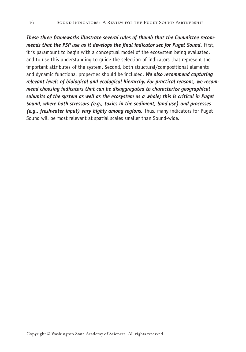*These three frameworks illustrate several rules of thumb that the Committee recommends that the PSP use as it develops the final indicator set for Puget Sound.* First, it is paramount to begin with a conceptual model of the ecosystem being evaluated, and to use this understanding to guide the selection of indicators that represent the important attributes of the system. Second, both structural/compositional elements and dynamic functional properties should be included. *We also recommend capturing relevant levels of biological and ecological hierarchy. For practical reasons, we recommend choosing indicators that can be disaggregated to characterize geographical subunits of the system as well as the ecosystem as a whole; this is critical in Puget Sound, where both stressors (e.g., toxics in the sediment, land use) and processes (e.g., freshwater input) vary highly among regions.* Thus, many indicators for Puget Sound will be most relevant at spatial scales smaller than Sound-wide.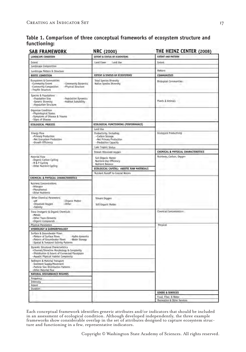| Table 1. Comparison of three conceptual frameworks of ecosystem structure and |  |  |
|-------------------------------------------------------------------------------|--|--|
| functioning:                                                                  |  |  |

| <b>SAB FRAMEWORK</b>                                                                                                                                                       | NRC (2000)                                                                                     | THE HEINZ CENTER (2008)                             |
|----------------------------------------------------------------------------------------------------------------------------------------------------------------------------|------------------------------------------------------------------------------------------------|-----------------------------------------------------|
| <b>LANDSCAPE CONDITION</b>                                                                                                                                                 | <b>EXTENT &amp; STATUS OF ECOSYSTEMS</b>                                                       | <b>EXTENT AND PATTERN</b>                           |
| Extent                                                                                                                                                                     | Land Cover<br>Land Use                                                                         | Extent                                              |
| Landscape Composition                                                                                                                                                      |                                                                                                |                                                     |
| Landscape Pattern & Structure                                                                                                                                              |                                                                                                | Pattern                                             |
| <b>BIOTIC CONDITION</b>                                                                                                                                                    | EXTENT & STATUS OF ECOSYSTEMS                                                                  | <b>COMMUNITIES</b>                                  |
| Ecosystems & Communities<br>-Community Dynamics<br>-Community Extent<br>- Physical Structure<br>-Community Composition<br>-Trophic Structure                               | <b>Total Species Diversity</b><br><b>Native Species Diversity</b>                              | <b>Biological Communities</b>                       |
| Species & Populations<br>-Population Size<br>-Population Dynamics<br>-Genetic Diversity<br>-Habitat Suitability<br>-Population Structure                                   |                                                                                                | Plants & Animals                                    |
| <b>Organism Condition</b><br>-Physiological Status<br>-Symptoms of Disease & Trauma<br>-Signs of Disease                                                                   |                                                                                                |                                                     |
| ECOLOGICAL PROCESS                                                                                                                                                         | ECOLOGICAL FUNCTIONING (PERFORMANCE)                                                           |                                                     |
|                                                                                                                                                                            | Land Use                                                                                       |                                                     |
| <b>Energy Flow</b><br>-Primary Production<br>-Net Ecosystem Production<br>-Growth Efficiency                                                                               | Productivity, Including:<br>-Carbon Storage<br>-Net Primary Production<br>-Production Capacity | <b>Ecological Productivity</b>                      |
|                                                                                                                                                                            | Lake Trophic Status                                                                            |                                                     |
|                                                                                                                                                                            | Stream Dissolved oxygen                                                                        | CHEMICAL & PHYSICAL CHARACTERISTICS                 |
| Material Flow<br>-Organic Carbon Cycling<br>$-N$ & P Cycling                                                                                                               | Soil Organic Matter<br>Nutrient-Use Efficiency<br>Notrient Balance                             | Nutrients, Carbon, Oxygen                           |
| -Other Nutrient Cycling                                                                                                                                                    | ECOLOGICAL CAPITAL: ABIOTIC RAW MATERIALS                                                      |                                                     |
|                                                                                                                                                                            | Nutrient Runoff to Coastal Waters                                                              |                                                     |
| CHEMICAL & PHYSICAL CHARACTERISTICS                                                                                                                                        |                                                                                                |                                                     |
| <b>Nutrient Concentrations</b><br>-Nitrogen<br>-Phosphorous<br>-Other Nutrients                                                                                            |                                                                                                |                                                     |
| Other Chemical Parameters<br>-Organic Matter<br>-pH<br>-Dissolved Dxygen<br>$-0$ ther<br>-Salinity                                                                         | Stream Dxygen<br>Soil Organic Matter                                                           |                                                     |
| Trace Inorganic & Organic Chemicals<br>-Metals<br>-Other Trace Elements<br>-Organic Compounds                                                                              |                                                                                                | Chemical Contamination                              |
| Physical Parameters                                                                                                                                                        |                                                                                                | Physical                                            |
| HYDROLOGY & GEOMORPHOLOGY                                                                                                                                                  |                                                                                                |                                                     |
| Surface & Groundwater Flows<br>-Pattern of Surface Flows<br>-Hydro dynamics<br>Pattern of Groundwater Flows<br>-Water Storage<br>-Spatial & Temporal Salinity Patterns     |                                                                                                |                                                     |
| Dynamic Structural Characteristics<br>-Channel/Shoreline Morphology & Complexity<br>-Distribution & Extent of Connected Floodplain<br>-Aquatic Physical Habitat Complexity |                                                                                                |                                                     |
| Sediment & Material Transport<br>-Sediment Supply/Movement<br>-Particle Size Distribution Patterns<br>-Other Material Flux                                                 |                                                                                                |                                                     |
| NATURAL DISTURBANCE REGIMES                                                                                                                                                |                                                                                                |                                                     |
| Frequency<br>Intensity                                                                                                                                                     |                                                                                                |                                                     |
| Extent                                                                                                                                                                     |                                                                                                |                                                     |
| <b>Duration</b>                                                                                                                                                            |                                                                                                |                                                     |
|                                                                                                                                                                            |                                                                                                | <b>GOODS &amp; SERVICES</b><br>Food, Fiber, & Water |
|                                                                                                                                                                            |                                                                                                | Recreation & Other Services                         |

Each conceptual framework identifies generic attributes and/or indicators that should be included in an assessment of ecological condition. Although developed independently, the three example frameworks show considerable overlap in the set of attributes designed to capture ecosystem struc- ture and functioning in a few, representative indicators.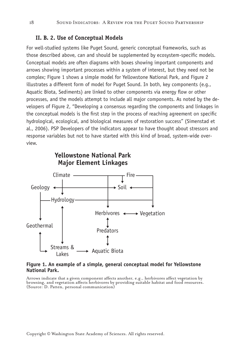#### **II. B. 2. Use of Conceptual Models**

For well-studied systems like Puget Sound, generic conceptual frameworks, such as those described above, can and should be supplemented by ecosystem-specific models. Conceptual models are often diagrams with boxes showing important components and arrows showing important processes within a system of interest, but they need not be complex; Figure 1 shows a simple model for Yellowstone National Park, and Figure 2 illustrates a different form of model for Puget Sound. In both, key components (e.g., Aquatic Biota, Sediments) are linked to other components via energy flow or other processes, and the models attempt to include all major components. As noted by the developers of Figure 2, "Developing a consensus regarding the components and linkages in the conceptual models is the first step in the process of reaching agreement on specific hydrological, ecological, and biological measures of restoration success" (Simenstad et al., 2006). PSP Developers of the indicators appear to have thought about stressors and response variables but not to have started with this kind of broad, system-wide overview.



#### **Figure 1. An example of a simple, general conceptual model for Yellowstone National Park.**

Arrows indicate that a given component affects another, e.g., herbivores affect vegetation by browsing, and vegetation affects herbivores by providing suitable habitat and food resources. {Source: D. Patten, personal communication}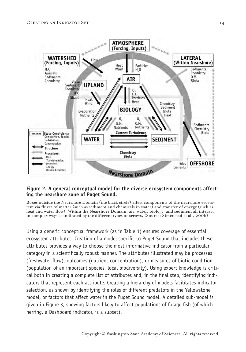

#### **Figure 2. A general conceptual model for the diverse ecosystem components affecting the nearshore zone of Puget Sound.**

Boxes outside the Nearshore Domain (the black circle) affect components of the nearshore ecosys- tem via fluxes of matter (such as sediment and chemicals in water) and transfer of energy (such as heat and water flow). Within the Nearshore Domain, air, water, biology, and sediment all interact in complex ways as indicated by the different types of arrows. {Source: Simenstad et al., 2006}

Using a generic conceptual framework (as in Table 1) ensures coverage of essential ecosystem attributes. Creation of a model specific to Puget Sound that includes these attributes provides a way to choose the most informative indicator from a particular category in a scientifically robust manner. The attributes illustrated may be processes (freshwater flow), outcomes (nutrient concentration), or measures of biotic condition (population of an important species, local biodiversity). Using expert knowledge is critical both in creating a complete list of attributes and, in the final step, identifying indicators that represent each attribute. Creating a hierarchy of models facilitates indicator selection, as shown by identifying the roles of different predators in the Yellowstone model, or factors that affect water in the Puget Sound model. A detailed sub-model is given in Figure 3, showing factors likely to affect populations of forage fish (of which herring, a Dashboard indicator, is a subset).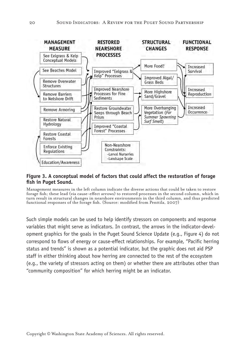

#### **Figure 3. A conceptual model of factors that could affect the restoration of forage fish in Puget Sound.**

Management measures in the left column indicate the diverse actions that could be taken to restore forage fish; these lead (via cause-effect arrows) to restored processes in the second column, which in turn result in structural changes in nearshore environments in the third column, and thus predicted functional responses of the forage fish. {Source: modified from Penttila, 2007}

Such simple models can be used to help identify stressors on components and response variables that might serve as indicators. In contrast, the arrows in the indicator-development graphics for the goals in the Puget Sound Science Update (e.g., Figure 4) do not correspond to flows of energy or cause-effect relationships. For example, "Pacific herring status and trends" is shown as a potential indicator, but the graphic does not aid PSP staff in either thinking about how herring are connected to the rest of the ecosystem (e.g., the variety of stressors acting on them) or whether there are attributes other than "community composition" for which herring might be an indicator.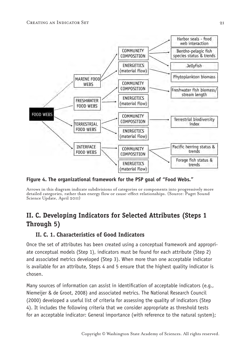

**Figure 4. The organizational framework for the PSP goal of "Food Webs."** 

Arrows in this diagram indicate subdivisions of categories or components into progressively more detailed categories, rather than energy flow or cause-effect relationships. {Source: Puget Sound Science Update, April 2011}

# **II. C. Developing Indicators for Selected Attributes (Steps 1 Through 5)**

## **II. C. 1. Characteristics of Good Indicators**

Once the set of attributes has been created using a conceptual framework and appropriate conceptual models (Step 1), indicators must be found for each attribute (Step 2) and associated metrics developed (Step 3). When more than one acceptable indicator is available for an attribute, Steps 4 and 5 ensure that the highest quality indicator is chosen.

Many sources of information can assist in identification of acceptable indicators (e.g., Niemeijer & de Groot, 2008) and associated metrics. The National Research Council (2000) developed a useful list of criteria for assessing the quality of indicators (Step 4). It includes the following criteria that we consider appropriate as threshold tests for an acceptable indicator: General importance (with reference to the natural system);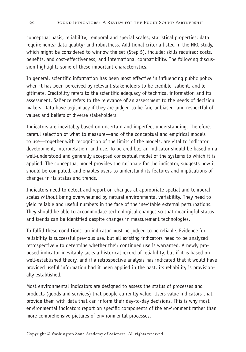conceptual basis; reliability; temporal and special scales; statistical properties; data requirements; data quality; and robustness. Additional criteria listed in the NRC study, which might be considered to winnow the set (Step 5), include: skills required; costs, benefits, and cost-effectiveness; and international compatibility. The following discussion highlights some of these important characteristics.

In general, scientific information has been most effective in influencing public policy when it has been perceived by relevant stakeholders to be credible, salient, and legitimate. Credibility refers to the scientific adequacy of technical information and its assessment. Salience refers to the relevance of an assessment to the needs of decision makers. Data have legitimacy if they are judged to be fair, unbiased, and respectful of values and beliefs of diverse stakeholders.

Indicators are inevitably based on uncertain and imperfect understanding. Therefore, careful selection of what to measure—and of the conceptual and empirical models to use—together with recognition of the limits of the models, are vital to indicator development, interpretation, and use. To be credible, an indicator should be based on a well-understood and generally accepted conceptual model of the systems to which it is applied. The conceptual model provides the rationale for the indicator, suggests how it should be computed, and enables users to understand its features and implications of changes in its status and trends.

Indicators need to detect and report on changes at appropriate spatial and temporal scales without being overwhelmed by natural environmental variability. They need to yield reliable and useful numbers in the face of the inevitable external perturbations. They should be able to accommodate technological changes so that meaningful status and trends can be identified despite changes in measurement technologies.

To fulfill these conditions, an indicator must be judged to be reliable. Evidence for reliability is successful previous use, but all existing indicators need to be analyzed retrospectively to determine whether their continued use is warranted. A newly proposed indicator inevitably lacks a historical record of reliability, but if it is based on well-established theory, and if a retrospective analysis has indicated that it would have provided useful information had it been applied in the past, its reliability is provisionally established.

Most environmental indicators are designed to assess the status of processes and products (goods and services) that people currently value. Users value indicators that provide them with data that can inform their day-to-day decisions. This is why most environmental indicators report on specific components of the environment rather than more comprehensive pictures of environmental processes.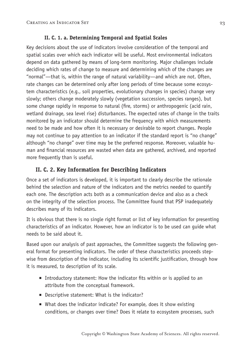### **II. C. 1. a. Determining Temporal and Spatial Scales**

Key decisions about the use of indicators involve consideration of the temporal and spatial scales over which each indicator will be useful. Most environmental indicators depend on data gathered by means of long-term monitoring. Major challenges include deciding which rates of change to measure and determining which of the changes are "normal"—that is, within the range of natural variability—and which are not. Often, rate changes can be determined only after long periods of time because some ecosystem characteristics (e.g., soil properties, evolutionary changes in species) change very slowly; others change moderately slowly (vegetation succession, species ranges), but some change rapidly in response to natural (fire, storms) or anthropogenic (acid rain, wetland drainage, sea level rise) disturbances. The expected rates of change in the traits monitored by an indicator should determine the frequency with which measurements need to be made and how often it is necessary or desirable to report changes. People may not continue to pay attention to an indicator if the standard report is "no change" although "no change" over time may be the preferred response. Moreover, valuable human and financial resources are wasted when data are gathered, archived, and reported more frequently than is useful.

## **II. C. 2. Key Information for Describing Indicators**

Once a set of indicators is developed, it is important to clearly describe the rationale behind the selection and nature of the indicators and the metrics needed to quantify each one. The description acts both as a communication device and also as a check on the integrity of the selection process. The Committee found that PSP inadequately describes many of its indicators.

It is obvious that there is no single right format or list of key information for presenting characteristics of an indicator. However, how an indicator is to be used can guide what needs to be said about it.

Based upon our analysis of past approaches, the Committee suggests the following general format for presenting indicators. The order of these characteristics proceeds stepwise from description of the indicator, including its scientific justification, through how it is measured, to description of its scale.

- Introductory statement: How the indicator fits within or is applied to an attribute from the conceptual framework.
- Descriptive statement: What is the indicator?
- $\blacksquare$  What does the indicator indicate? For example, does it show existing conditions, or changes over time? Does it relate to ecosystem processes, such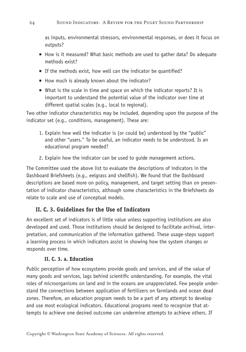as inputs, environmental stressors, environmental responses, or does it focus on outputs?

- How is it measured? What basic methods are used to gather data? Do adequate methods exist?
- $\blacksquare$  If the methods exist, how well can the indicator be quantified?
- $\blacksquare$  How much is already known about the indicator?
- $\blacksquare$  What is the scale in time and space on which the indicator reports? It is important to understand the potential value of the indicator over time at different spatial scales (e.g., local to regional).

Two other indicator characteristics may be included, depending upon the purpose of the indicator set (e.g., conditions, management). These are:

- 1. Explain how well the indicator is (or could be) understood by the "public" and other "users." To be useful, an indicator needs to be understood. Is an educational program needed?
- 2. Explain how the indicator can be used to guide management actions.

The Committee used the above list to evaluate the descriptions of indicators in the Dashboard Briefsheets (e.g., eelgrass and shellfish). We found that the Dashboard descriptions are based more on policy, management, and target setting than on presentation of indicator characteristics, although some characteristics in the Briefsheets do relate to scale and use of conceptual models.

## **II. C. 3. Guidelines for the Use of Indicators**

An excellent set of indicators is of little value unless supporting institutions are also developed and used. Those institutions should be designed to facilitate archival, interpretation, and communication of the information gathered. These usage-steps support a learning process in which indicators assist in showing how the system changes or responds over time.

## **II. C. 3. a. Education**

Public perception of how ecosystems provide goods and services, and of the value of many goods and services, lags behind scientific understanding. For example, the vital roles of microorganisms on land and in the oceans are unappreciated. Few people understand the connections between application of fertilizers on farmlands and ocean dead zones. Therefore, an education program needs to be a part of any attempt to develop and use most ecological indicators. Educational programs need to recognize that attempts to achieve one desired outcome can undermine attempts to achieve others. If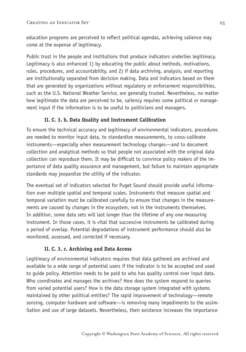education programs are perceived to reflect political agendas, achieving salience may come at the expense of legitimacy.

Public trust in the people and institutions that produce indicators underlies legitimacy. Legitimacy is also enhanced 1) by educating the public about methods, motivations, rules, procedures, and accountability, and 2) if data archiving, analysis, and reporting are institutionally separated from decision making. Data and indicators based on them that are generated by organizations without regulatory or enforcement responsibilities, such as the U.S. National Weather Service, are generally trusted. Nevertheless, no matter how legitimate the data are perceived to be, saliency requires some political or management input if the information is to be useful to politicians and managers.

## **II. C. 3. b. Data Quality and Instrument Calibration**

To ensure the technical accuracy and legitimacy of environmental indicators, procedures are needed to monitor input data, to standardize measurements, to cross-calibrate instruments—especially when measurement technology changes—and to document collection and analytical methods so that people not associated with the original data collection can reproduce them. It may be difficult to convince policy makers of the importance of data quality assurance and management, but failure to maintain appropriate standards may jeopardize the utility of the indicator.

The eventual set of indicators selected for Puget Sound should provide useful information over multiple spatial and temporal scales. Instruments that measure spatial and temporal variation must be calibrated carefully to ensure that changes in the measurements are caused by changes in the ecosystem, not in the instruments themselves. In addition, some data sets will last longer than the lifetime of any one measuring instrument. In those cases, it is vital that successive instruments be calibrated during a period of overlap. Potential degradations of instrument performance should also be monitored, assessed, and corrected if necessary.

### **II. C. 3. c. Archiving and Data Access**

Legitimacy of environmental indicators requires that data gathered are archived and available to a wide range of potential users if the indicator is to be accepted and used to guide policy. Attention needs to be paid to who has quality control over input data. Who coordinates and manages the archives? How does the system respond to queries from varied potential users? How is the data storage system integrated with systems maintained by other political entities? The rapid improvement of technology—remote sensing, computer hardware and software—is removing many impediments to the assimilation and use of large datasets. Nevertheless, their existence increases the importance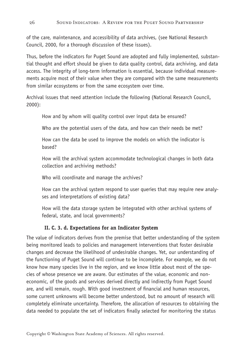of the care, maintenance, and accessibility of data archives, (see National Research Council, 2000, for a thorough discussion of these issues).

Thus, before the indicators for Puget Sound are adopted and fully implemented, substantial thought and effort should be given to data quality control, data archiving, and data access. The integrity of long-term information is essential, because individual measurements acquire most of their value when they are compared with the same measurements from similar ecosystems or from the same ecosystem over time.

Archival issues that need attention include the following (National Research Council, 2000):

How and by whom will quality control over input data be ensured?

Who are the potential users of the data, and how can their needs be met?

How can the data be used to improve the models on which the indicator is based?

How will the archival system accommodate technological changes in both data collection and archiving methods?

Who will coordinate and manage the archives?

How can the archival system respond to user queries that may require new analyses and interpretations of existing data?

How will the data storage system be integrated with other archival systems of federal, state, and local governments?

## **II. C. 3. d. Expectations for an Indicator System**

The value of indicators derives from the premise that better understanding of the system being monitored leads to policies and management interventions that foster desirable changes and decrease the likelihood of undesirable changes. Yet, our understanding of the functioning of Puget Sound will continue to be incomplete. For example, we do not know how many species live in the region, and we know little about most of the species of whose presence we are aware. Our estimates of the value, economic and noneconomic, of the goods and services derived directly and indirectly from Puget Sound are, and will remain, rough. With good investment of financial and human resources, some current unknowns will become better understood, but no amount of research will completely eliminate uncertainty. Therefore, the allocation of resources to obtaining the data needed to populate the set of indicators finally selected for monitoring the status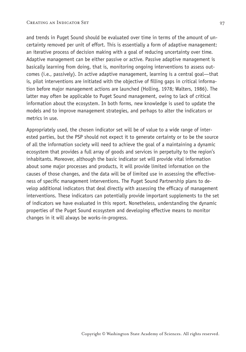and trends in Puget Sound should be evaluated over time in terms of the amount of uncertainty removed per unit of effort. This is essentially a form of adaptive management: an iterative process of decision making with a goal of reducing uncertainty over time. Adaptive management can be either passive or active. Passive adaptive management is basically learning from doing, that is, monitoring ongoing interventions to assess outcomes (i.e., passively). In active adaptive management, learning is a central goal—that is, pilot interventions are initiated with the objective of filling gaps in critical information before major management actions are launched (Holling, 1978; Walters, 1986). The latter may often be applicable to Puget Sound management, owing to lack of critical information about the ecosystem. In both forms, new knowledge is used to update the models and to improve management strategies, and perhaps to alter the indicators or metrics in use.

Appropriately used, the chosen indicator set will be of value to a wide range of interested parties, but the PSP should not expect it to generate certainty or to be the source of all the information society will need to achieve the goal of a maintaining a dynamic ecosystem that provides a full array of goods and services in perpetuity to the region's inhabitants. Moreover, although the basic indicator set will provide vital information about some major processes and products, it will provide limited information on the causes of those changes, and the data will be of limited use in assessing the effectiveness of specific management interventions. The Puget Sound Partnership plans to develop additional indicators that deal directly with assessing the efficacy of management interventions. These indicators can potentially provide important supplements to the set of indicators we have evaluated in this report. Nonetheless, understanding the dynamic properties of the Puget Sound ecosystem and developing effective means to monitor changes in it will always be works-in-progress.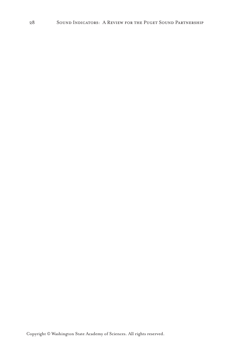Copyright © Washington State Academy of Sciences. All rights reserved.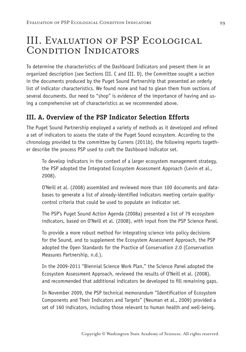# III. Evaluation of PSP Ecological CONDITION INDICATORS

To determine the characteristics of the Dashboard Indicators and present them in an organized description (see Sections III. C and III. D), the Committee sought a section in the documents produced by the Puget Sound Partnership that presented an orderly list of indicator characteristics. We found none and had to glean them from sections of several documents. Our need to "shop" is evidence of the importance of having and using a comprehensive set of characteristics as we recommended above.

# **III. A. Overview of the PSP Indicator Selection Efforts**

The Puget Sound Partnership employed a variety of methods as it developed and refined a set of indicators to assess the state of the Puget Sound ecosystem. According to the chronology provided to the committee by Currens (2011b), the following reports together describe the process PSP used to craft the Dashboard indicator set.

To develop indicators in the context of a larger ecosystem management strategy, the PSP adopted the Integrated Ecosystem Assessment Approach (Levin et al., 2008).

O'Neill et al. (2008) assembled and reviewed more than 100 documents and databases to generate a list of already-identified indicators meeting certain qualitycontrol criteria that could be used to populate an indicator set.

The PSP's Puget Sound Action Agenda (2008a) presented a list of 79 ecosystem indicators, based on O'Neill et al. (2008), with input from the PSP Science Panel.

To provide a more robust method for integrating science into policy decisions for the Sound, and to supplement the Ecosystem Assessment Approach, the PSP adopted the Open Standards for the Practice of Conservation 2.0 (Conservation Measures Partnership, n.d.).

In the 2009-2011 "Biennial Science Work Plan," the Science Panel adopted the Ecosystem Assessment Approach, reviewed the results of O'Neill et al. (2008), and recommended that additional indicators be developed to fill remaining gaps.

In November 2009, the PSP technical memorandum "Identification of Ecosystem Components and Their Indicators and Targets" (Neuman et al., 2009) provided a set of 160 indicators, including those relevant to human health and well-being.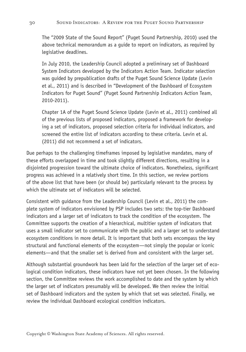The "2009 State of the Sound Report" (Puget Sound Partnership, 2010) used the above technical memorandum as a guide to report on indicators, as required by legislative deadlines.

In July 2010, the Leadership Council adopted a preliminary set of Dashboard System Indicators developed by the Indicators Action Team. Indicator selection was guided by prepublication drafts of the Puget Sound Science Update (Levin et al., 2011) and is described in "Development of the Dashboard of Ecosystem Indicators for Puget Sound" (Puget Sound Partnership Indicators Action Team, 2010-2011).

Chapter 1A of the Puget Sound Science Update (Levin et al., 2011) combined all of the previous lists of proposed indicators, proposed a framework for developing a set of indicators, proposed selection criteria for individual indicators, and screened the entire list of indicators according to these criteria. Levin et al. (2011) did not recommend a set of indicators.

Due perhaps to the challenging timeframes imposed by legislative mandates, many of these efforts overlapped in time and took slightly different directions, resulting in a disjointed progression toward the ultimate choice of indicators. Nonetheless, significant progress was achieved in a relatively short time. In this section, we review portions of the above list that have been (or should be) particularly relevant to the process by which the ultimate set of indicators will be selected.

Consistent with guidance from the Leadership Council (Levin et al., 2011) the complete system of indicators envisioned by PSP includes two sets: the top-tier Dashboard indicators and a larger set of indicators to track the condition of the ecosystem. The Committee supports the creation of a hierarchical, multitier system of indicators that uses a small indicator set to communicate with the public and a larger set to understand ecosystem conditions in more detail. It is important that both sets encompass the key structural and functional elements of the ecosystem—not simply the popular or iconic elements—and that the smaller set is derived from and consistent with the larger set.

Although substantial groundwork has been laid for the selection of the larger set of ecological condition indicators, these indicators have not yet been chosen. In the following section, the Committee reviews the work accomplished to date and the system by which the larger set of indicators presumably will be developed. We then review the initial set of Dashboard indicators and the system by which that set was selected. Finally, we review the individual Dashboard ecological condition indicators.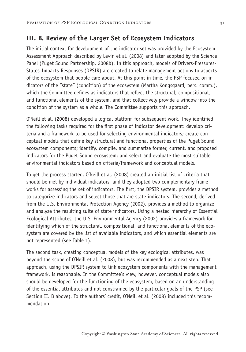# **III. B. Review of the Larger Set of Ecosystem Indicators**

The initial context for development of the indicator set was provided by the Ecosystem Assessment Approach described by Levin et al. (2008) and later adopted by the Science Panel (Puget Sound Partnership, 2008b). In this approach, models of Drivers-Pressures-States-Impacts-Responses (DPSIR) are created to relate management actions to aspects of the ecosystem that people care about. At this point in time, the PSP focused on indicators of the "state" (condition) of the ecosystem (Martha Kongsgaard, pers. comm.), which the Committee defines as indicators that reflect the structural, compositional, and functional elements of the system, and that collectively provide a window into the condition of the system as a whole. The Committee supports this approach.

O'Neill et al. (2008) developed a logical platform for subsequent work. They identified the following tasks required for the first phase of indicator development: develop criteria and a framework to be used for selecting environmental indicators; create conceptual models that define key structural and functional properties of the Puget Sound ecosystem components; identify, compile, and summarize former, current, and proposed indicators for the Puget Sound ecosystem; and select and evaluate the most suitable environmental indicators based on criteria/framework and conceptual models.

To get the process started, O'Neill et al. (2008) created an initial list of criteria that should be met by individual indicators, and they adopted two complementary frameworks for assessing the set of indicators. The first, the DPSIR system, provides a method to categorize indicators and select those that are state indicators. The second, derived from the U.S. Environmental Protection Agency (2002), provides a method to organize and analyze the resulting suite of state indicators. Using a nested hierarchy of Essential Ecological Attributes, the U.S. Environmental Agency (2002) provides a framework for identifying which of the structural, compositional, and functional elements of the ecosystem are covered by the list of available indicators, and which essential elements are not represented (see Table 1).

The second task, creating conceptual models of the key ecological attributes, was beyond the scope of O'Neill et al. (2008), but was recommended as a next step. That approach, using the DPSIR system to link ecosystem components with the management framework, is reasonable. In the Committee's view, however, conceptual models also should be developed for the functioning of the ecosystem, based on an understanding of the essential attributes and not constrained by the particular goals of the PSP (see Section II. B above). To the authors' credit, O'Neill et al. (2008) included this recommendation.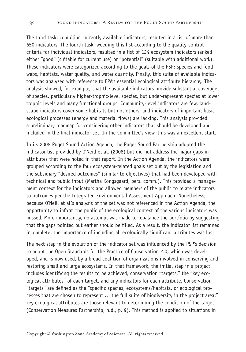The third task, compiling currently available indicators, resulted in a list of more than 650 indicators. The fourth task, weeding this list according to the quality-control criteria for individual indicators, resulted in a list of 124 ecosystem indicators ranked either "good" (suitable for current use) or "potential" (suitable with additional work). These indicators were categorized according to the goals of the PSP: species and food webs, habitats, water quality, and water quantity. Finally, this suite of available indicators was analyzed with reference to EPA's essential ecological attribute hierarchy. The analysis showed, for example, that the available indicators provide substantial coverage of species, particularly higher-trophic-level species, but under-represent species at lower trophic levels and many functional groups. Community-level indicators are few, landscape indicators cover some habitats but not others, and indicators of important basic ecological processes (energy and material flows) are lacking. This analysis provided a preliminary roadmap for considering other indicators that should be developed and included in the final indicator set. In the Committee's view, this was an excellent start.

In its 2008 Puget Sound Action Agenda, the Puget Sound Partnership adopted the indicator list provided by O'Neill et al. (2008) but did not address the major gaps in attributes that were noted in that report. In the Action Agenda, the indicators were grouped according to the four ecosystem-related goals set out by the legislation and the subsidiary "desired outcomes" (similar to objectives) that had been developed with technical and public input (Martha Kongsgaard, pers. comm.). This provided a management context for the indicators and allowed members of the public to relate indicators to outcomes per the Integrated Environmental Assessment Approach. Nonetheless, because O'Neill et al.'s analysis of the set was not referenced in the Action Agenda, the opportunity to inform the public of the ecological context of the various indicators was missed. More importantly, no attempt was made to rebalance the portfolio by suggesting that the gaps pointed out earlier should be filled. As a result, the indicator list remained incomplete; the importance of including all ecologically significant attributes was lost.

The next step in the evolution of the indicator set was influenced by the PSP's decision to adopt the Open Standards for the Practice of Conservation 2.0, which was developed, and is now used, by a broad coalition of organizations involved in conserving and restoring small and large ecosystems. In that framework, the initial step in a project includes identifying the results to be achieved, conservation "targets," the "key ecological attributes" of each target, and any indicators for each attribute. Conservation "targets" are defined as the "specific species, ecosystems/habitats, or ecological processes that are chosen to represent … the full suite of biodiversity in the project area;" key ecological attributes are those relevant to determining the condition of the target (Conservation Measures Partnership, n.d., p. 9). This method is applied to situations in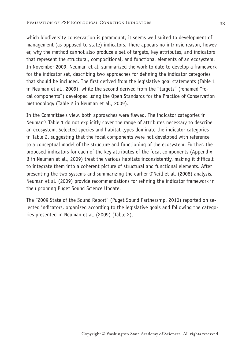which biodiversity conservation is paramount; it seems well suited to development of management (as opposed to state) indicators. There appears no intrinsic reason, however, why the method cannot also produce a set of targets, key attributes, and indicators that represent the structural, compositional, and functional elements of an ecosystem. In November 2009, Neuman et al. summarized the work to date to develop a framework for the indicator set, describing two approaches for defining the indicator categories that should be included. The first derived from the legislative goal statements (Table 1 in Neuman et al., 2009), while the second derived from the "targets" (renamed "focal components") developed using the Open Standards for the Practice of Conservation methodology (Table 2 in Neuman et al., 2009).

In the Committee's view, both approaches were flawed. The indicator categories in Neuman's Table 1 do not explicitly cover the range of attributes necessary to describe an ecosystem. Selected species and habitat types dominate the indicator categories in Table 2, suggesting that the focal components were not developed with reference to a conceptual model of the structure and functioning of the ecosystem. Further, the proposed indicators for each of the key attributes of the focal components (Appendix B in Neuman et al., 2009) treat the various habitats inconsistently, making it difficult to integrate them into a coherent picture of structural and functional elements. After presenting the two systems and summarizing the earlier O'Neill et al. (2008) analysis, Neuman et al. (2009) provide recommendations for refining the indicator framework in the upcoming Puget Sound Science Update.

The "2009 State of the Sound Report" (Puget Sound Partnership, 2010) reported on selected indicators, organized according to the legislative goals and following the categories presented in Neuman et al. (2009) (Table 2).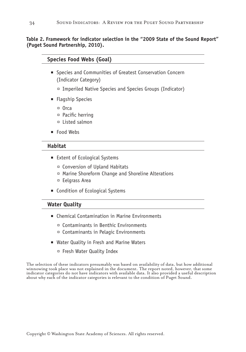**Table 2. Framework for indicator selection in the "2009 State of the Sound Report" (Puget Sound Partnership, 2010).** 

## **Species Food Webs (Goal)**

- Species and Communities of Greatest Conservation Concern (Indicator Category)
	- □ Imperiled Native Species and Species Groups (Indicator)
- **Flagship Species** 
	- $D$  Orca
	- $\Box$  Pacific herring
	- $\n **listed salmon**\n$
- **B** Food Webs

#### **Habitat**

- Extent of Ecological Systems
	- □ Conversion of Upland Habitats
	- □ Marine Shoreform Change and Shoreline Alterations
	- □ Eelgrass Area
- Condition of Ecological Systems

#### **Water Quality**

- $\blacksquare$  Chemical Contamination in Marine Environments
	- B Contaminants in Benthic Environments
	- $\Box$  Contaminants in Pelagic Environments
- Water Quality in Fresh and Marine Waters
	- □ Fresh Water Quality Index

The selection of these indicators presumably was based on availability of data, but how additional winnowing took place was not explained in the document. The report noted, however, that some indicator categories do not have indicators with available data. It also provided a useful description about why each of the indicator categories is relevant to the condition of Puget Sound.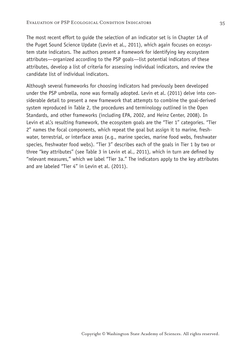The most recent effort to guide the selection of an indicator set is in Chapter 1A of the Puget Sound Science Update (Levin et al., 2011), which again focuses on ecosystem state indicators. The authors present a framework for identifying key ecosystem attributes—organized according to the PSP goals—list potential indicators of these attributes, develop a list of criteria for assessing individual indicators, and review the candidate list of individual indicators.

Although several frameworks for choosing indicators had previously been developed under the PSP umbrella, none was formally adopted. Levin et al. (2011) delve into considerable detail to present a new framework that attempts to combine the goal-derived system reproduced in Table 2, the procedures and terminology outlined in the Open Standards, and other frameworks (including EPA, 2002, and Heinz Center, 2008). In Levin et al.'s resulting framework, the ecosystem goals are the "Tier 1" categories. "Tier 2" names the focal components, which repeat the goal but assign it to marine, freshwater, terrestrial, or interface areas (e.g., marine species, marine food webs, freshwater species, freshwater food webs). "Tier 3" describes each of the goals in Tier 1 by two or three "key attributes" (see Table 3 in Levin et al., 2011), which in turn are defined by "relevant measures," which we label "Tier 3a." The indicators apply to the key attributes and are labeled "Tier 4" in Levin et al. (2011).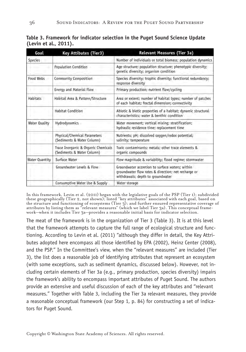| Goal            | <b>Key Attibutes (Tier3)</b>                                      | <b>Relevant Measures (Tier 3a)</b>                                                                                                          |
|-----------------|-------------------------------------------------------------------|---------------------------------------------------------------------------------------------------------------------------------------------|
| <b>Species</b>  |                                                                   | Number of individuals or total biomass; population dynamics                                                                                 |
|                 | <b>Population Condition</b>                                       | Age structure; population structure; phenotypic diversity;<br>genetic diversity; organism condition                                         |
| Food Webs       | <b>Community Composition</b>                                      | Species diversity; trophic diversity; functional redundancy;<br>response diversity                                                          |
|                 | Energy and Material Flow                                          | Primary production; nutrient flow/cycling                                                                                                   |
| <b>Habitats</b> | Habitat Area & Pattern/Structure                                  | Area or extent; number of habitat types; number of patches<br>of each habitat; fractal dimension; connectivity                              |
|                 | <b>Habitat Condition</b>                                          | Abiotic & biotic properties of a habitat; dynamic structural<br>characteristics: water & benthic condition                                  |
| Water Quality   | Hydrodynamics                                                     | Water movement; vertical mixing; stratification;<br>hydraulic residence time; replacement time                                              |
|                 | Physical/Chemical Parameters<br>(Sediments & Water Column)        | Nutrients; pH; dissolved oxygen/redox potential;<br>salinity; temperature                                                                   |
|                 | Trace Inorganic & Organic Chemicals<br>(Sediments & Water Column) | Toxic contaminants; metals; other trace elements &<br>organic compounds                                                                     |
| Water Quantity  | Surface Water                                                     | Flow magnitude & variability; flood regime; stormwater                                                                                      |
|                 | Groundwater Levels & Flow                                         | Groundwater accretion to surface waters: within<br>groundwater flow rates & direction; net recharge or<br>withdrawals; depth to groundwater |
|                 | Consumptive Water Use & Supply                                    | Water storage                                                                                                                               |

**Table 3. Framework for indicator selection in the Puget Sound Science Update (Levin et al., 2011).** 

In this framework, Levin et al. (2011) began with the legislative goals of the PSP (Tier 1); subdivided these geographically (Tier 2, not shown); listed "key attributes" associated with each goal, based on the structure and functioning of ecosystems (Tier 3); and further ensured representative coverage of attributes by listing them as "relevant measures" (which we label Tier 3a). This conceptual frame-<br>work—when it includes Tier 3a—provides a reasonable initial basis for indicator selection.

The meat of the framework is in the organization of Tier 3 (Table 3). It is at this level that the framework attempts to capture the full range of ecological structure and functioning. According to Levin et al. (2011) "although they differ in detail, the Key Attributes adopted here encompass all those identified by EPA (2002), Heinz Center (2008), and the PSP." In the Committee's view, when the "relevant measures" are included (Tier 3), the list does a reasonable job of identifying attributes that represent an ecosystem (with some exceptions, such as sediment dynamics, discussed below). However, not including certain elements of Tier 3a (e.g., primary production, species diversity) impairs the framework's ability to encompass important attributes of Puget Sound. The authors provide an extensive and useful discussion of each of the key attributes and "relevant measures." Together with Table 3, including the Tier 3a relevant measures, they provide a reasonable conceptual framework (our Step 1, p. 84) for constructing a set of indicators for Puget Sound.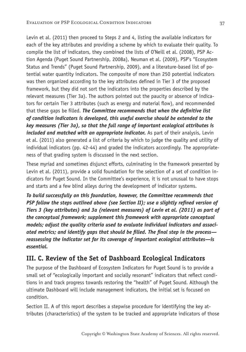Levin et al. (2011) then proceed to Steps 2 and 4, listing the available indicators for each of the key attributes and providing a scheme by which to evaluate their quality. To compile the list of indicators, they combined the lists of O'Neill et al. (2008), PSP Action Agenda (Puget Sound Partnership, 2008a), Neuman et al. (2009), PSP's "Ecosystem Status and Trends" (Puget Sound Partnership, 2009), and a literature-based list of potential water quantity indicators. The composite of more than 250 potential indicators was then organized according to the key attributes defined in Tier 3 of the proposed framework, but they did not sort the indicators into the properties described by the relevant measures (Tier 3a). The authors pointed out the paucity or absence of indicators for certain Tier 3 attributes (such as energy and material flow), and recommended that these gaps be filled. *The Committee recommends that when the definitive list of condition indicators is developed, this useful exercise should be extended to the key measures (Tier 3a), so that the full range of important ecological attributes is included and matched with an appropriate indicator*. As part of their analysis, Levin et al. (2011) also generated a list of criteria by which to judge the quality and utility of individual indicators (pp. 42-44) and graded the indicators accordingly. The appropriateness of that grading system is discussed in the next section.

These myriad and sometimes disjunct efforts, culminating in the framework presented by Levin et al. (2011), provide a solid foundation for the selection of a set of condition indicators for Puget Sound. In the Committee's experience, it is not unusual to have stops and starts and a few blind alleys during the development of indicator systems.

*To build successfully on this foundation, however, the Committee recommends that PSP follow the steps outlined above (see Section II); use a slightly refined version of Tiers 3 (key attributes) and 3a (relevant measures) of Levin et al. (2011) as part of the conceptual framework; supplement this framework with appropriate conceptual models; adjust the quality criteria used to evaluate individual indicators and associated metrics; and identify gaps that should be filled. The final step in the process reassessing the indicator set for its coverage of important ecological attributes—is essential.*

# **III. C. Review of the Set of Dashboard Ecological Indicators**

The purpose of the Dashboard of Ecosystem Indicators for Puget Sound is to provide a small set of "ecologically important and socially resonant" indicators that reflect conditions in and track progress towards restoring the "health" of Puget Sound. Although the ultimate Dashboard will include management indicators, the initial set is focused on condition.

Section II. A of this report describes a stepwise procedure for identifying the key attributes (characteristics) of the system to be tracked and appropriate indicators of those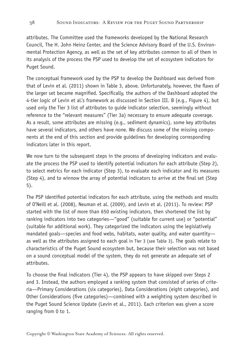attributes. The Committee used the frameworks developed by the National Research Council, The H. John Heinz Center, and the Science Advisory Board of the U.S. Environmental Protection Agency, as well as the set of key attributes common to all of them in its analysis of the process the PSP used to develop the set of ecosystem indicators for Puget Sound.

The conceptual framework used by the PSP to develop the Dashboard was derived from that of Levin et al. (2011) shown in Table 3, above. Unfortunately, however, the flaws of the larger set became magnified. Specifically, the authors of the Dashboard adopted the 4-tier logic of Levin et al.'s framework as discussed in Section III. B (e.g., Figure 4), but used only the Tier 3 list of attributes to guide indicator selection, seemingly without reference to the "relevant measures" (Tier 3a) necessary to ensure adequate coverage. As a result, some attributes are missing (e.g., sediment dynamics), some key attributes have several indicators, and others have none. We discuss some of the missing components at the end of this section and provide guidelines for developing corresponding indicators later in this report.

We now turn to the subsequent steps in the process of developing indicators and evaluate the process the PSP used to identify potential indicators for each attribute (Step 2), to select metrics for each indicator (Step 3), to evaluate each indicator and its measures (Step 4), and to winnow the array of potential indicators to arrive at the final set (Step 5).

The PSP identified potential indicators for each attribute, using the methods and results of O'Neill et al. (2008), Neuman et al. (2009), and Levin et al. (2011). To review: PSP started with the list of more than 650 existing indicators, then shortened the list by ranking indicators into two categories—"good" (suitable for current use) or "potential" (suitable for additional work). They categorized the indicators using the legislatively mandated goals—species and food webs, habitats, water quality, and water quantity as well as the attributes assigned to each goal in Tier 3 (see Table 3). The goals relate to characteristics of the Puget Sound ecosystem but, because their selection was not based on a sound conceptual model of the system, they do not generate an adequate set of attributes.

To choose the final indicators (Tier 4), the PSP appears to have skipped over Steps 2 and 3. Instead, the authors employed a ranking system that consisted of series of criteria—Primary Considerations (six categories), Data Considerations (eight categories), and Other Considerations (five categories)—combined with a weighting system described in the Puget Sound Science Update (Levin et al., 2011). Each criterion was given a score ranging from 0 to 1.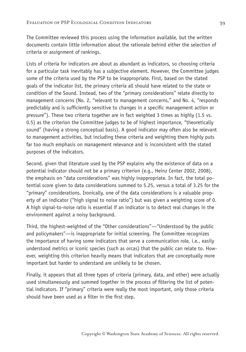The Committee reviewed this process using the information available, but the written documents contain little information about the rationale behind either the selection of criteria or assignment of rankings.

Lists of criteria for indicators are about as abundant as indicators, so choosing criteria for a particular task inevitably has a subjective element. However, the Committee judges some of the criteria used by the PSP to be inappropriate. First, based on the stated goals of the indicator list, the primary criteria all should have related to the state or condition of the Sound. Instead, two of the "primary considerations" relate directly to management concerns (No. 2, "relevant to management concerns," and No. 4, "responds predictably and is sufficiently sensitive to changes in a specific management action or pressure"). These two criteria together are in fact weighted 3 times as highly (1.5 vs. 0.5) as the criterion the Committee judges to be of highest importance, "theoretically sound" (having a strong conceptual basis). A good indicator may often also be relevant to management activities, but including these criteria and weighting them highly puts far too much emphasis on management relevance and is inconsistent with the stated purposes of the indicators.

Second, given that literature used by the PSP explains why the existence of data on a potential indicator should not be a primary criterion (e.g., Heinz Center 2002, 2008), the emphasis on "data considerations" was highly inappropriate. In fact, the total potential score given to data considerations summed to 5.25, versus a total of 3.25 for the "primary" considerations. Ironically, one of the data considerations is a valuable property of an indicator ("high signal to noise ratio") but was given a weighting score of 0. A high signal-to-noise ratio is essential if an indicator is to detect real changes in the environment against a noisy background.

Third, the highest-weighted of the "Other considerations"—"Understood by the public and policymakers"—is inappropriate for initial screening. The Committee recognizes the importance of having some indicators that serve a communication role, i.e., easily understood metrics or iconic species (such as orcas) that the public can relate to. However, weighting this criterion heavily means that indicators that are conceptually more important but harder to understand are unlikely to be chosen.

Finally, it appears that all three types of criteria (primary, data, and other) were actually used simultaneously and summed together in the process of filtering the list of potential indicators. If "primary" criteria were really the most important, only those criteria should have been used as a filter in the first step.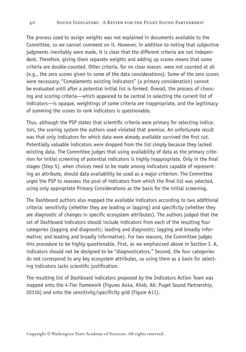The process used to assign weights was not explained in documents available to the Committee, so we cannot comment on it. However, in addition to noting that subjective judgments inevitably were made, it is clear that the different criteria are not independent. Therefore, giving them separate weights and adding up scores means that some criteria are double-counted. Other criteria, for no clear reason, were not counted at all (e.g., the zero scores given to some of the data considerations). Some of the zero scores were necessary. "Complements existing indicators" (a primary consideration) cannot be evaluated until after a potential initial list is formed. Overall, the process of choosing and scoring criteria—which appeared to be central in selecting the current list of indicators—is opaque, weightings of some criteria are inappropriate, and the legitimacy of summing the scores to rank indicators is questionable.

Thus, although the PSP states that scientific criteria were primary for selecting indicators, the scoring system the authors used violated that premise. An unfortunate result was that only indicators for which data were already available survived the first cut. Potentially valuable indicators were dropped from the list simply because they lacked existing data. The Committee judges that using availability of data as the primary criterion for initial screening of potential indicators is highly inappropriate. Only in the final stages (Step 5), when choices need to be made among indicators capable of representing an attribute, should data availability be used as a major criterion. The Committee urges the PSP to reassess the pool of indicators from which the final list was selected, using only appropriate Primary Considerations as the basis for the initial screening.

The Dashboard authors also mapped the available indicators according to two additional criteria: sensitivity (whether they are leading or lagging) and specificity (whether they are diagnostic of changes in specific ecosystem attributes). The authors judged that the set of Dashboard indicators should include indicators from each of the resulting four categories (lagging and diagnostic; leading and diagnostic; lagging and broadly informative; and leading and broadly informative). For two reasons, the Committee judges this procedure to be highly questionable. First, as we emphasized above in Section I. A, indicators should not be designed to be "diagnosticators." Second, the four categories do not correspond to any key ecosystem attributes, so using them as a basis for selecting indicators lacks scientific justification.

The resulting list of Dashboard indicators proposed by the Indicators Action Team was mapped onto the 4-Tier framework (Figures A44a, A54b, A6; Puget Sound Partnership, 2011b) and onto the sensitivity/specificity grid (Figure A11).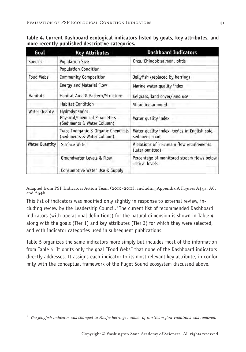|  | Table 4. Current Dashboard ecological indicators listed by goals, key attributes, and |  |  |  |
|--|---------------------------------------------------------------------------------------|--|--|--|
|  | more recently published descriptive categories.                                       |  |  |  |
|  |                                                                                       |  |  |  |

| Goal                  | <b>Key Attributes</b>                                             | <b>Dashboard Indicators</b>                                    |
|-----------------------|-------------------------------------------------------------------|----------------------------------------------------------------|
| Species               | <b>Population Size</b>                                            | Orca, Chinook salmon, birds                                    |
|                       | <b>Population Condition</b>                                       |                                                                |
| Food Webs             | Community Composition                                             | Jellyfish (replaced by herring)                                |
|                       | Energy and Material Flow                                          | Marine water quality index                                     |
| <b>Habitats</b>       | Habitat Area & Pattern/Structure                                  | Eelgrass, land cover/land use                                  |
|                       | <b>Habitat Condition</b>                                          | Shoreline armored                                              |
| <b>Water Quality</b>  | Hydrodynamics                                                     |                                                                |
|                       | Physical/Chemical Parameters<br>(Sediments & Water Column)        | Water quality index                                            |
|                       | Trace Inorganic & Organic Chemicals<br>(Sediments & Water Column) | Water quality index, toxics in English sole,<br>sediment triad |
| <b>Water Quantity</b> | Surface Water                                                     | Violations of in-stream flow requirements<br>(later omitted)   |
|                       | Groundwater Levels & Flow                                         | Percentage of monitored stream flows below<br>critical levels  |
|                       | Consumptive Water Use & Supply                                    |                                                                |

Adapted from PSP Indicators Action Team (2010-2011), including Appendix A Figures A44a, A6, and A54b.

This list of indicators was modified only slightly in response to external review, including review by the Leadership Council.1 The current list of recommended Dashboard indicators (with operational definitions) for the natural dimension is shown in Table 4 along with the goals (Tier 1) and key attributes (Tier 3) for which they were selected, and with indicator categories used in subsequent publications.

Table 5 organizes the same indicators more simply but includes most of the information from Table 4. It omits only the goal "Food Webs" that none of the Dashboard indicators directly addresses. It assigns each indicator to its most relevant key attribute, in conformity with the conceptual framework of the Puget Sound ecosystem discussed above.

<sup>1</sup>  *The jellyfish indicator was changed to Pacific herring; number of in-stream flow violations was removed.*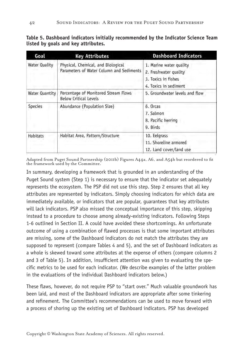| Goal                  | <b>Key Attributes</b>                                                          | <b>Dashboard Indicators</b>                                                                      |  |  |
|-----------------------|--------------------------------------------------------------------------------|--------------------------------------------------------------------------------------------------|--|--|
| Water Quality         | Physical, Chemical, and Biological<br>Parameters of Water Column and Sediments | 1. Marine water quality<br>2. Freshwater quality<br>3. Toxics in fishes<br>4. Toxics in sediment |  |  |
| <b>Water Quantity</b> | Percentage of Monitored Stream Flows<br><b>Below Critical Levels</b>           | 5. Groundwater levels and flow                                                                   |  |  |
| <b>Species</b>        | Abundance (Population Size)                                                    | 6. Orcas<br>7. Salmon<br>8. Pacific herring<br>9. Birds                                          |  |  |
| Habitats              | Habitat Area, Pattern/Structure                                                | 10. Eelgrass<br>11. Shoreline armored<br>12. Land cover/land use                                 |  |  |

**Table 5. Dashboard indicators initially recommended by the Indicator Science Team listed by goals and key attributes.** 

Adapted from Puget Sound Partnership (2011b) Figures A44a, A6, and A54b but reordered to fit the framework used by the Committee.

In summary, developing a framework that is grounded in an understanding of the Puget Sound system (Step 1) is necessary to ensure that the indicator set adequately represents the ecosystem. The PSP did not use this step. Step 2 ensures that all key attributes are represented by indicators. Simply choosing indicators for which data are immediately available, or indicators that are popular, guarantees that key attributes will lack indicators. PSP also missed the conceptual importance of this step, skipping instead to a procedure to choose among already-existing indicators. Following Steps 1-6 outlined in Section II. A could have avoided these shortcomings. An unfortunate outcome of using a combination of flawed processes is that some important attributes are missing, some of the Dashboard indicators do not match the attributes they are supposed to represent (compare Tables 4 and 5), and the set of Dashboard indicators as a whole is skewed toward some attributes at the expense of others (compare columns 2 and 3 of Table 5). In addition, insufficient attention was given to evaluating the specific metrics to be used for each indicator. (We describe examples of the latter problem in the evaluations of the individual Dashboard indicators below.)

These flaws, however, do not require PSP to "start over." Much valuable groundwork has been laid, and most of the Dashboard indicators are appropriate after some tinkering and refinement. The Committee's recommendations can be used to move forward with a process of shoring up the existing set of Dashboard indicators. PSP has developed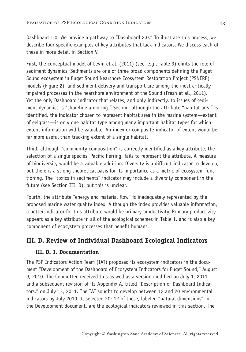Dashboard 1.0. We provide a pathway to "Dashboard 2.0." To illustrate this process, we describe four specific examples of key attributes that lack indicators. We discuss each of these in more detail in Section V.

First, the conceptual model of Levin et al. (2011) (see, e.g., Table 3) omits the role of sediment dynamics. Sediments are one of three broad components defining the Puget Sound ecosystem in Puget Sound Nearshore Ecosystem Restoration Project (PSNERP) models (Figure 2), and sediment delivery and transport are among the most critically impaired processes in the nearshore environment of the Sound (Fresh et al., 2011). Yet the only Dashboard indicator that relates, and only indirectly, to issues of sediment dynamics is "shoreline armoring." Second, although the attribute "habitat area" is identified, the indicator chosen to represent habitat area in the marine system—extent of eelgrass—is only one habitat type among many important habitat types for which extent information will be valuable. An index or composite indicator of extent would be far more useful than tracking extent of a single habitat.

Third, although "community composition" is correctly identified as a key attribute, the selection of a single species, Pacific herring, fails to represent the attribute. A measure of biodiversity would be a valuable addition. Diversity is a difficult indicator to develop, but there is a strong theoretical basis for its importance as a metric of ecosystem functioning. The "toxics in sediments" indicator may include a diversity component in the future (see Section III. D), but this is unclear.

Fourth, the attribute "energy and material flow" is inadequately represented by the proposed marine water quality index. Although the index provides valuable information, a better indicator for this attribute would be primary productivity. Primary productivity appears as a key attribute in all of the ecological schemes in Table 1, and is also a key component of ecosystem processes that benefit humans.

# **III. D. Review of Individual Dashboard Ecological Indicators**

# **III. D. 1. Documentation**

The PSP Indicators Action Team (IAT) proposed its ecosystem indicators in the document "Development of the Dashboard of Ecosystem Indicators for Puget Sound," August 9, 2010. The Committee received this as well as a version modified on July 1, 2011, and a subsequent revision of its Appendix A, titled "Description of Dashboard Indicators," on July 13, 2011. The IAT sought to develop between 12 and 20 environmental indicators by July 2010. It selected 20; 12 of these, labeled "natural dimensions" in the Development document, are the ecological indicators reviewed in this section. The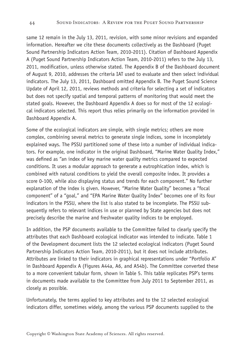same 12 remain in the July 13, 2011, revision, with some minor revisions and expanded information. Hereafter we cite these documents collectively as the Dashboard (Puget Sound Partnership Indicators Action Team, 2010-2011). Citation of Dashboard Appendix A (Puget Sound Partnership Indicators Action Team, 2010-2011) refers to the July 13, 2011, modification, unless otherwise stated. The Appendix B of the Dashboard document of August 9, 2010, addresses the criteria IAT used to evaluate and then select individual indicators. The July 13, 2011, Dashboard omitted Appendix B. The Puget Sound Science Update of April 12, 2011, reviews methods and criteria for selecting a set of indicators but does not specify spatial and temporal patterns of monitoring that would meet the stated goals. However, the Dashboard Appendix A does so for most of the 12 ecological indicators selected. This report thus relies primarily on the information provided in Dashboard Appendix A.

Some of the ecological indicators are simple, with single metrics; others are more complex, combining several metrics to generate single indices, some in incompletely explained ways. The PSSU partitioned some of these into a number of individual indicators. For example, one indicator in the original Dashboard, "Marine Water Quality Index," was defined as "an index of key marine water quality metrics compared to expected conditions. It uses a modular approach to generate a eutrophication index, which is combined with natural conditions to yield the overall composite index. It provides a score 0-100, while also displaying status and trends for each component." No further explanation of the index is given. However, "Marine Water Quality" becomes a "focal component" of a "goal," and "EPA Marine Water Quality Index" becomes one of its four indicators in the PSSU, where the list is also stated to be incomplete. The PSSU subsequently refers to relevant indices in use or planned by State agencies but does not precisely describe the marine and freshwater quality indices to be employed.

In addition, the PSP documents available to the Committee failed to clearly specify the attributes that each Dashboard ecological indicator was intended to indicate. Table 1 of the Development document lists the 12 selected ecological indicators (Puget Sound Partnership Indicators Action Team, 2010-2011), but it does not include attributes. Attributes are linked to their indicators in graphical representations under "Portfolio A" in Dashboard Appendix A (Figures A44a, A6, and A54b). The Committee converted these to a more convenient tabular form, shown in Table 5. This table replicates PSP's terms in documents made available to the Committee from July 2011 to September 2011, as closely as possible.

Unfortunately, the terms applied to key attributes and to the 12 selected ecological indicators differ, sometimes widely, among the various PSP documents supplied to the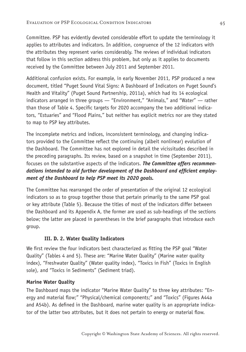Committee. PSP has evidently devoted considerable effort to update the terminology it applies to attributes and indicators. In addition, congruence of the 12 indicators with the attributes they represent varies considerably. The reviews of individual indicators that follow in this section address this problem, but only as it applies to documents received by the Committee between July 2011 and September 2011.

Additional confusion exists. For example, in early November 2011, PSP produced a new document, titled "Puget Sound Vital Signs: A Dashboard of Indicators on Puget Sound's Health and Vitality" (Puget Sound Partnership, 2011a), which had its 14 ecological indicators arranged in three groups — "Environment," "Animals," and "Water" — rather than those of Table 4. Specific targets for 2020 accompany the two additional indicators, "Estuaries" and "Flood Plains," but neither has explicit metrics nor are they stated to map to PSP key attributes.

The incomplete metrics and indices, inconsistent terminology, and changing indicators provided to the Committee reflect the continuing (albeit nonlinear) evolution of the Dashboard. The Committee has not explored in detail the vicissitudes described in the preceding paragraphs. Its review, based on a snapshot in time (September 2011), focuses on the substantive aspects of the indicators. *The Committee offers recommendations intended to aid further development of the Dashboard and efficient employment of the Dashboard to help PSP meet its 2020 goals.*

The Committee has rearranged the order of presentation of the original 12 ecological indicators so as to group together those that pertain primarily to the same PSP goal or key attribute (Table 5). Because the titles of most of the indicators differ between the Dashboard and its Appendix A, the former are used as sub-headings of the sections below; the latter are placed in parentheses in the brief paragraphs that introduce each group.

## **III. D. 2. Water Quality Indicators**

We first review the four indicators best characterized as fitting the PSP goal "Water Quality" (Tables 4 and 5). These are: "Marine Water Quality" (Marine water quality index), "Freshwater Quality" (Water quality index), "Toxics in Fish" (Toxics in English sole), and "Toxics in Sediments" (Sediment triad).

# **Marine Water Quality**

The Dashboard maps the indicator "Marine Water Quality" to three key attributes: "Energy and material flow;" "Physical/chemical components;" and "Toxics" (Figures A44a and A54b). As defined in the Dashboard, marine water quality is an appropriate indicator of the latter two attributes, but it does not pertain to energy or material flow.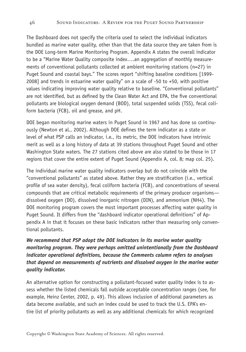The Dashboard does not specify the criteria used to select the individual indicators bundled as marine water quality, other than that the data source they are taken from is the DOE Long-term Marine Monitoring Program. Appendix A states the overall indicator to be a "Marine Water Quality composite index….an aggregation of monthly measurements of conventional pollutants collected at ambient monitoring stations (n=27) in Puget Sound and coastal bays." The scores report "shifting baseline conditions [1999- 2008] and trends in estuarine water quality" on a scale of -50 to +50, with positive values indicating improving water quality relative to baseline. "Conventional pollutants" are not identified, but as defined by the Clean Water Act and EPA, the five conventional pollutants are biological oxygen demand (BOD), total suspended solids (TSS), fecal coliform bacteria (FCB), oil and grease, and pH.

DOE began monitoring marine waters in Puget Sound in 1967 and has done so continuously (Newton et al., 2002). Although DOE defines the term indicator as a state or level of what PSP calls an indicator, i.e., its metric, the DOE indicators have intrinsic merit as well as a long history of data at 39 stations throughout Puget Sound and other Washington State waters. The 27 stations cited above are also stated to be those in 17 regions that cover the entire extent of Puget Sound (Appendix A, col. 8; map col. 25).

The individual marine water quality indicators overlap but do not coincide with the "conventional pollutants" as stated above. Rather they are stratification (i.e., vertical profile of sea water density), fecal coliform bacteria (FCB), and concentrations of several compounds that are critical metabolic requirements of the primary producer organisms dissolved oxygen (DO), dissolved inorganic nitrogen (DIN), and ammonium (NH4). The DOE monitoring program covers the most important processes affecting water quality in Puget Sound. It differs from the "dashboard indicator operational definitions" of Appendix A in that it focuses on these basic indicators rather than measuring only conventional pollutants.

*We recommend that PSP adopt the DOE indicators in its marine water quality monitoring program. They were perhaps omitted unintentionally from the Dashboard indicator operational definitions, because the Comments column refers to analyses that depend on measurements of nutrients and dissolved oxygen in the marine water quality indicator.* 

An alternative option for constructing a pollutant-focused water quality index is to assess whether the listed chemicals fall outside acceptable concentration ranges (see, for example, Heinz Center, 2002, p. 49). This allows inclusion of additional parameters as data become available, and such an index could be used to track the U.S. EPA's entire list of priority pollutants as well as any additional chemicals for which recognized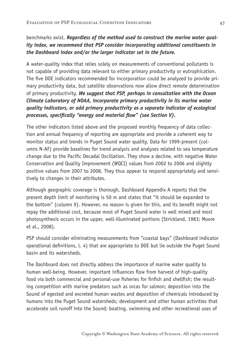# benchmarks exist. *Regardless of the method used to construct the marine water quality index, we recommend that PSP consider incorporating additional constituents in the Dashboard index and/or the larger indicator set in the future.*

A water-quality index that relies solely on measurements of conventional pollutants is not capable of providing data relevant to either primary productivity or eutrophication. The five DOE indicators recommended for incorporation could be analyzed to provide primary productivity data, but satellite observations now allow direct remote determination of primary productivity. *We suggest that PSP, perhaps in consultation with the Ocean Climate Laboratory of NOAA, incorporate primary productivity in its marine water quality indicators, or add primary productivity as a separate indicator of ecological processes, specifically "energy and material flow" (see Section V).* 

The other indicators listed above and the proposed monthly frequency of data collection and annual frequency of reporting are appropriate and provide a coherent way to monitor status and trends in Puget Sound water quality. Data for 1999-present (columns N-AF) provide baselines for trend analysis and analyses related to sea temperature change due to the Pacific Decadal Oscillation. They show a decline, with negative Water Conservation and Quality Improvement (WQCI) values from 2002 to 2006 and slightly positive values from 2007 to 2008. They thus appear to respond appropriately and sensitively to changes in their attributes.

Although geographic coverage is thorough, Dashboard Appendix A reports that the present depth limit of monitoring is 50 m and states that "it should be expanded to the bottom" (column 9). However, no reason is given for this, and its benefit might not repay the additional cost, because most of Puget Sound water is well mixed and most photosynthesis occurs in the upper, well-illuminated portions (Strickland, 1983; Moore et al., 2008).

PSP should consider eliminating measurements from "coastal bays" (Dashboard indicator operational definitions, l. 4) that are appropriate to DOE but lie outside the Puget Sound basin and its watersheds.

The Dashboard does not directly address the importance of marine water quality to human well-being. However, important influences flow from harvest of high-quality food via both commercial and personal-use fisheries for finfish and shellfish; the resulting competition with marine predators such as orcas for salmon; deposition into the Sound of egested and excreted human wastes and deposition of chemicals introduced by humans into the Puget Sound watersheds; development and other human activities that accelerate soil runoff into the Sound; boating, swimming and other recreational uses of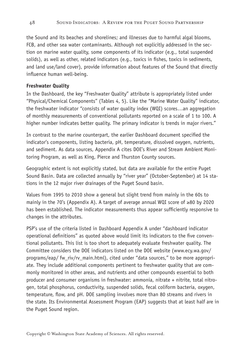the Sound and its beaches and shorelines; and illnesses due to harmful algal blooms, FCB, and other sea water contaminants. Although not explicitly addressed in the section on marine water quality, some components of its indicator (e.g., total suspended solids), as well as other, related indicators (e.g., toxics in fishes, toxics in sediments, and land use/land cover), provide information about features of the Sound that directly influence human well-being.

#### **Freshwater Quality**

In the Dashboard, the key "Freshwater Quality" attribute is appropriately listed under "Physical/Chemical Components" (Tables 4, 5). Like the "Marine Water Quality" indicator, the freshwater indicator "consists of water quality index (WQI) scores…an aggregation of monthly measurements of conventional pollutants reported on a scale of 1 to 100. A higher number indicates better quality. The primary indicator is trends in major rivers."

In contrast to the marine counterpart, the earlier Dashboard document specified the indicator's components, listing bacteria, pH, temperature, dissolved oxygen, nutrients, and sediment. As data sources, Appendix A cites DOE's River and Stream Ambient Monitoring Program, as well as King, Pierce and Thurston County sources.

Geographic extent is not explicitly stated, but data are available for the entire Puget Sound Basin. Data are collected annually by "river year" (October-September) at 14 stations in the 12 major river drainages of the Puget Sound basin.

Values from 1995 to 2010 show a general but slight trend from mainly in the 60s to mainly in the 70's (Appendix A). A target of average annual WQI score of ≥80 by 2020 has been established. The indicator measurements thus appear sufficiently responsive to changes in the attributes.

PSP's use of the criteria listed in Dashboard Appendix A under "dashboard indicator operational definitions" as quoted above would limit its indicators to the five conventional pollutants. This list is too short to adequately evaluate freshwater quality. The Committee considers the DOE indicators listed on the DOE website (www.ecy.wa.gov/ programs/eap/ fw\_riv/rv\_main.html), cited under "data sources," to be more appropriate. They include additional components pertinent to freshwater quality that are commonly monitored in other areas, and nutrients and other compounds essential to both producer and consumer organisms in freshwater: ammonia, nitrate + nitrite, total nitrogen, total phosphorus, conductivity, suspended solids, fecal coliform bacteria, oxygen, temperature, flow, and pH. DOE sampling involves more than 80 streams and rivers in the state. Its Environmental Assessment Program (EAP) suggests that at least half are in the Puget Sound region.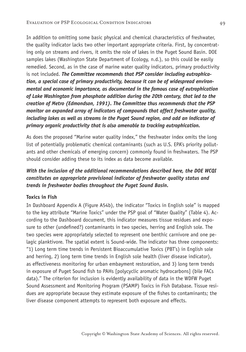In addition to omitting some basic physical and chemical characteristics of freshwater, the quality indicator lacks two other important appropriate criteria. First, by concentrating only on streams and rivers, it omits the role of lakes in the Puget Sound Basin. DOE samples lakes (Washington State Department of Ecology, n.d.), so this could be easily remedied. Second, as in the case of marine water quality indicators, primary productivity is not included. *The Committee recommends that PSP consider including eutrophication, a special case of primary productivity, because it can be of widespread environmental and economic importance, as documented in the famous case of eutrophication of Lake Washington from phosphate addition during the 20th century, that led to the* 

*creation of Metro (Edmondson, 1991). The Committee thus recommends that the PSP monitor an expanded array of indicators of compounds that affect freshwater quality, including lakes as well as streams in the Puget Sound region, and add an indicator of primary organic productivity that is also amenable to tracking eutrophication.*

As does the proposed "Marine water quality index," the freshwater index omits the long list of potentially problematic chemical contaminants (such as U.S. EPA's priority pollutants and other chemicals of emerging concern) commonly found in freshwaters. The PSP should consider adding these to its index as data become available.

# *With the inclusion of the additional recommendations described here, the DOE WCQI constitutes an appropriate provisional indicator of freshwater quality status and trends in freshwater bodies throughout the Puget Sound Basin.*

## **Toxics in Fish**

In Dashboard Appendix A (Figure A54b), the indicator "Toxics in English sole" is mapped to the key attribute "Marine Toxics" under the PSP goal of "Water Quality" (Table 4). According to the Dashboard document, this indicator measures tissue residues and exposure to other (undefined?) contaminants in two species, herring and English sole. The two species were appropriately selected to represent one benthic carnivore and one pelagic planktivore. The spatial extent is Sound-wide. The indicator has three components: "1) Long term time trends in Persistent Bioaccumulative Toxics (PBT's) in English sole and herring, 2) long term time trends in English sole health (liver disease indicator), as effectiveness monitoring for urban embayment restoration, and 3) long term trends in exposure of Puget Sound fish to PAHs [polycyclic aromatic hydrocarbons] (bile FACs data)." The criterion for inclusion is evidently availability of data in the WDFW Puget Sound Assessment and Monitoring Program (PSAMP) Toxics in Fish Database. Tissue residues are appropriate because they estimate exposure of the fishes to contaminants; the liver disease component attempts to represent both exposure and effects.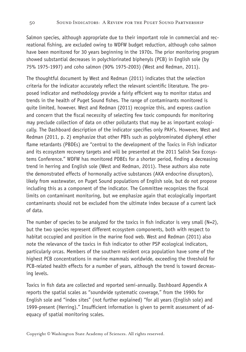Salmon species, although appropriate due to their important role in commercial and recreational fishing, are excluded owing to WDFW budget reduction, although coho salmon have been monitored for 30 years beginning in the 1970s. The prior monitoring program showed substantial decreases in polychlorinated biphenyls (PCB) in English sole (by 75% 1975-1997) and coho salmon (90% 1975-2003) (West and Redman, 2011).

The thoughtful document by West and Redman (2011) indicates that the selection criteria for the indicator accurately reflect the relevant scientific literature. The proposed indicator and methodology provide a fairly efficient way to monitor status and trends in the health of Puget Sound fishes. The range of contaminants monitored is quite limited, however. West and Redman (2011) recognize this, and express caution and concern that the fiscal necessity of selecting few toxic compounds for monitoring may preclude collection of data on other pollutants that may be as important ecologically. The Dashboard description of the indicator specifies only PAH's. However, West and Redman (2011, p. 2) emphasize that other PBTs such as polybrominated diphenyl ether flame retardants (PBDEs) are "central to the development of the Toxics in Fish indicator and its ecosystem recovery targets and will be presented at the 2011 Salish Sea Ecosystems Conference." WDFW has monitored PDBEs for a shorter period, finding a decreasing trend in herring and English sole (West and Redman, 2011). These authors also note the demonstrated effects of hormonally active substances (AKA endocrine disruptors), likely from wastewater, on Puget Sound populations of English sole, but do not propose including this as a component of the indicator. The Committee recognizes the fiscal limits on contaminant monitoring, but we emphasize again that ecologically important contaminants should not be excluded from the ultimate index because of a current lack of data.

The number of species to be analyzed for the toxics in fish indicator is very small  $(N=2)$ , but the two species represent different ecosystem components, both with respect to habitat occupied and position in the marine food web. West and Redman (2011) also note the relevance of the toxics in fish indicator to other PSP ecological indicators, particularly orcas. Members of the southern resident orca population have some of the highest PCB concentrations in marine mammals worldwide, exceeding the threshold for PCB-related health effects for a number of years, although the trend is toward decreasing levels.

Toxics in fish data are collected and reported semi-annually. Dashboard Appendix A reports the spatial scales as "soundwide systematic coverage," from the 1990s for English sole and "index sites" (not further explained) "for all years (English sole) and 1999-present (Herring)." Insufficient information is given to permit assessment of adequacy of spatial monitoring scales.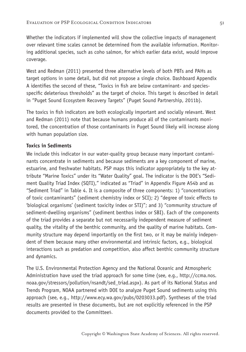Whether the indicators if implemented will show the collective impacts of management over relevant time scales cannot be determined from the available information. Monitoring additional species, such as coho salmon, for which earlier data exist, would improve coverage.

West and Redman (2011) presented three alternative levels of both PBTs and PAHs as target options in some detail, but did not propose a single choice. Dashboard Appendix A identifies the second of these, "Toxics in fish are below contaminant- and speciesspecific deleterious thresholds" as the target of choice. This target is described in detail in "Puget Sound Ecosystem Recovery Targets" (Puget Sound Partnership, 2011b).

The toxics in fish indicators are both ecologically important and socially relevant. West and Redman (2011) note that because humans produce all of the contaminants monitored, the concentration of those contaminants in Puget Sound likely will increase along with human population size.

#### **Toxics in Sediments**

We include this indicator in our water-quality group because many important contaminants concentrate in sediments and because sediments are a key component of marine, estuarine, and freshwater habitats. PSP maps this indicator appropriately to the key attribute "Marine Toxics" under its "Water Quality" goal. The indicator is the DOE's "Sediment Quality Triad Index (SQTI)," indicated as "Triad" in Appendix Figure A54b and as "Sediment Triad" in Table 4. It is a composite of three components: 1) "concentrations of toxic contaminants" (sediment chemistry index or SCI); 2) "degree of toxic effects to 'biological organisms' (sediment toxicity index or STI)"; and 3) "community structure of sediment-dwelling organisms" (sediment benthos index or SBI). Each of the components of the triad provides a separate but not necessarily independent measure of sediment quality, the vitality of the benthic community, and the quality of marine habitats. Community structure may depend importantly on the first two, or it may be mainly independent of them because many other environmental and intrinsic factors, e.g., biological interactions such as predation and competition, also affect benthic community structure and dynamics.

The U.S. Environmental Protection Agency and the National Oceanic and Atmospheric Administration have used the triad approach for some time (see, e.g., http://ccma.nos. noaa.gov/stressors/pollution/nsandt/sed\_triad.aspx). As part of its National Status and Trends Program, NOAA partnered with DOE to analyze Puget Sound sediments using this approach (see, e.g., http://www.ecy.wa.gov/pubs/0203033.pdf). Syntheses of the triad results are presented in these documents, but are not explicitly referenced in the PSP documents provided to the Committee5.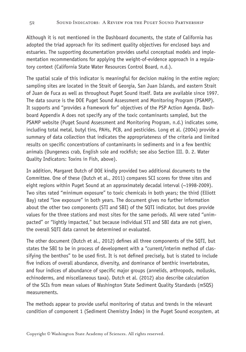Although it is not mentioned in the Dashboard documents, the state of California has adopted the triad approach for its sediment quality objectives for enclosed bays and estuaries. The supporting documentation provides useful conceptual models and implementation recommendations for applying the weight-of-evidence approach in a regulatory context (California State Water Resources Control Board, n.d.).

The spatial scale of this indicator is meaningful for decision making in the entire region; sampling sites are located in the Strait of Georgia, San Juan Islands, and eastern Strait of Juan de Fuca as well as throughout Puget Sound itself. Data are available since 1997. The data source is the DOE Puget Sound Assessment and Monitoring Program (PSAMP). It supports and "provides a framework for" objectives of the PSP Action Agenda. Dashboard Appendix A does not specify any of the toxic contaminants sampled, but the PSAMP website (Puget Sound Assessment and Monitoring Program, n.d.) indicates some, including total metal, butyl tins, PAHs, PCB, and pesticides. Long et al. (2004) provide a summary of data collection that indicates the appropriateness of the criteria and limited results on specific concentrations of contaminants in sediments and in a few benthic animals (Dungeness crab, English sole and rockfish; see also Section III. D. 2. Water Quality Indicators: Toxins in Fish, above).

In addition, Margaret Dutch of DOE kindly provided two additional documents to the Committee. One of these (Dutch et al., 2011) compares SCI scores for three sites and eight regions within Puget Sound at an approximately decadal interval (~1998-2009). Two sites rated "minimum exposure" to toxic chemicals in both years; the third (Elliott Bay) rated "low exposure" in both years. The document gives no further information about the other two components (STI and SBI) of the SQTI indicator, but does provide values for the three stations and most sites for the same periods. All were rated "unimpacted" or "lightly impacted," but because individual STI and SBI data are not given, the overall SQTI data cannot be determined or evaluated.

The other document (Dutch et al., 2012) defines all three components of the SQTI, but states the SBI to be in process of development with a "current/interim method of classifying the benthos" to be used first. It is not defined precisely, but is stated to include five indices of overall abundance, diversity, and dominance of benthic invertebrates, and four indices of abundance of specific major groups (annelids, arthropods, mollusks, echinoderms, and miscellaneous taxa). Dutch et al. (2012) also describe calculation of the SCIs from mean values of Washington State Sediment Quality Standards (mSQS) measurements.

The methods appear to provide useful monitoring of status and trends in the relevant condition of component 1 (Sediment Chemistry Index) in the Puget Sound ecosystem, at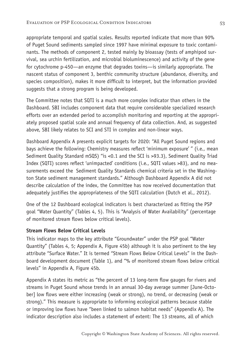appropriate temporal and spatial scales. Results reported indicate that more than 90% of Puget Sound sediments sampled since 1997 have minimal exposure to toxic contaminants. The methods of component 2, tested mainly by bioassay (tests of amphipod survival, sea urchin fertilization, and microbial bioluminescence) and activity of the gene for cytochrome p-450—an enzyme that degrades toxins—is similarly appropriate. The nascent status of component 3, benthic community structure (abundance, diversity, and species composition), makes it more difficult to interpret, but the information provided suggests that a strong program is being developed.

The Committee notes that SQTI is a much more complex indicator than others in the Dashboard. SBI includes component data that require considerable specialized research efforts over an extended period to accomplish monitoring and reporting at the appropriately proposed spatial scale and annual frequency of data collection. And, as suggested above, SBI likely relates to SCI and STI in complex and non-linear ways.

Dashboard Appendix A presents explicit targets for 2020: "All Puget Sound regions and bays achieve the following: Chemistry measures reflect 'minimum exposure' " (i.e., mean Sediment Quality Standard mSQS) "is <0.1 and the SCI is >93.3), Sediment Quality Triad Index (SQTI) scores reflect 'unimpacted' conditions (i.e., SQTI values >83), and no measurements exceed the Sediment Quality Standards chemical criteria set in the Washington State sediment management standards." Although Dashboard Appendix A did not describe calculation of the index, the Committee has now received documentation that adequately justifies the appropriateness of the SQTI calculation (Dutch et al., 2012).

One of the 12 Dashboard ecological indicators is best characterized as fitting the PSP goal "Water Quantity" (Tables 4, 5). This is "Analysis of Water Availability" (percentage of monitored stream flows below critical levels).

#### **Stream Flows Below Critical Levels**

This indicator maps to the key attribute "Groundwater" under the PSP goal "Water Quantity" (Tables 4, 5; Appendix A, Figure 45b) although it is also pertinent to the key attribute "Surface Water." It is termed "Stream Flows Below Critical Levels" in the Dashboard development document (Table 1), and "% of monitored stream flows below critical levels" in Appendix A, Figure 45b.

Appendix A states its metric as "the percent of 13 long-term flow gauges for rivers and streams in Puget Sound whose trends in an annual 30-day average summer [June-October] low flows were either increasing (weak or strong), no trend, or decreasing (weak or strong)." This measure is appropriate to informing ecological patterns because stable or improving low flows have "been linked to salmon habitat needs" (Appendix A). The indicator description also includes a statement of extent: The 13 streams, all of which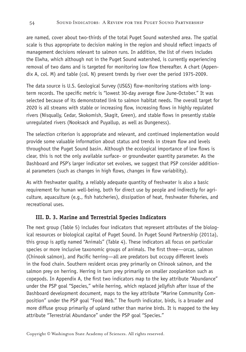are named, cover about two-thirds of the total Puget Sound watershed area. The spatial scale is thus appropriate to decision making in the region and should reflect impacts of management decisions relevant to salmon runs. In addition, the list of rivers includes the Elwha, which although not in the Puget Sound watershed, is currently experiencing removal of two dams and is targeted for monitoring low flow thereafter. A chart (Appendix A, col. M) and table (col. N) present trends by river over the period 1975-2009.

The data source is U.S. Geological Survey (USGS) flow-monitoring stations with longterm records. The specific metric is "lowest 30-day average flow June-October." It was selected because of its demonstrated link to salmon habitat needs. The overall target for 2020 is all streams with stable or increasing flow, increasing flows in highly regulated rivers (Nisqually, Cedar, Skokomish, Skagit, Green), and stable flows in presently stable unregulated rivers (Nooksack and Puyallup, as well as Dungeness).

The selection criterion is appropriate and relevant, and continued implementation would provide some valuable information about status and trends in stream flow and levels throughout the Puget Sound basin. Although the ecological importance of low flows is clear, this is not the only available surface- or groundwater quantity parameter. As the Dashboard and PSP's larger indicator set evolves, we suggest that PSP consider additional parameters (such as changes in high flows, changes in flow variability).

As with freshwater quality, a reliably adequate quantity of freshwater is also a basic requirement for human well-being, both for direct use by people and indirectly for agriculture, aquaculture (e.g., fish hatcheries), dissipation of heat, freshwater fisheries, and recreational uses.

# **III. D. 3. Marine and Terrestrial Species Indicators**

The next group (Table 5) includes four indicators that represent attributes of the biological resources or biological capital of Puget Sound. In Puget Sound Partnership (2011a), this group is aptly named "Animals" (Table 4). These indicators all focus on particular species or more inclusive taxonomic groups of animals. The first three—orcas, salmon (Chinook salmon), and Pacific herring—all are predators but occupy different levels in the food chain. Southern resident orcas prey primarily on Chinook salmon, and the salmon prey on herring. Herring in turn prey primarily on smaller zooplankton such as copepods. In Appendix A, the first two indicators map to the key attribute "Abundance" under the PSP goal "Species," while herring, which replaced jellyfish after issue of the Dashboard development document, maps to the key attribute "Marine Community Composition" under the PSP goal "Food Web." The fourth indicator, birds, is a broader and more diffuse group primarily of upland rather than marine birds. It is mapped to the key attribute "Terrestrial Abundance" under the PSP goal "Species."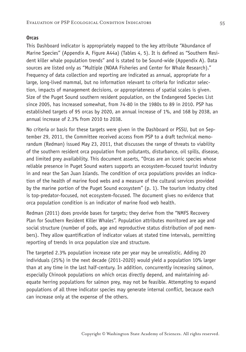#### **Orcas**

This Dashboard indicator is appropriately mapped to the key attribute "Abundance of Marine Species" (Appendix A, Figure A44a) (Tables 4, 5). It is defined as "Southern Resident killer whale population trends" and is stated to be Sound-wide (Appendix A). Data sources are listed only as "Multiple (NOAA Fisheries and Center for Whale Research)." Frequency of data collection and reporting are indicated as annual, appropriate for a large, long-lived mammal, but no information relevant to criteria for indicator selection, impacts of management decisions, or appropriateness of spatial scales is given. Size of the Puget Sound southern resident population, on the Endangered Species List since 2005, has increased somewhat, from 74-80 in the 1980s to 89 in 2010. PSP has established targets of 95 orcas by 2020, an annual increase of 1%, and 168 by 2038, an annual increase of 2.3% from 2010 to 2038.

No criteria or basis for these targets were given in the Dashboard or PSSU, but on September 29, 2011, the Committee received access from PSP to a draft technical memorandum (Redman) issued May 23, 2011, that discusses the range of threats to viability of the southern resident orca population from pollutants, disturbance, oil spills, disease, and limited prey availability. This document asserts, "Orcas are an iconic species whose reliable presence in Puget Sound waters supports an ecosystem-focused tourist industry in and near the San Juan Islands. The condition of orca populations provides an indication of the health of marine food webs and a measure of the cultural services provided by the marine portion of the Puget Sound ecosystem" (p. 1). The tourism industry cited is top-predator-focused, not ecosystem-focused. The document gives no evidence that orca population condition is an indicator of marine food web health.

Redman (2011) does provide bases for targets; they derive from the "NMFS Recovery Plan for Southern Resident Killer Whales". Population attributes monitored are age and social structure (number of pods, age and reproductive status distribution of pod members). They allow quantification of indicator values at stated time intervals, permitting reporting of trends in orca population size and structure.

The targeted 2.3% population increase rate per year may be unrealistic. Adding 20 individuals (25%) in the next decade (2011-2020) would yield a population 10% larger than at any time in the last half-century. In addition, concurrently increasing salmon, especially Chinook populations on which orcas directly depend, and maintaining adequate herring populations for salmon prey, may not be feasible. Attempting to expand populations of all three indicator species may generate internal conflict, because each can increase only at the expense of the others.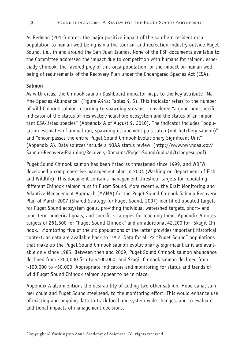As Redman (2011) notes, the major positive impact of the southern resident orca population to human well-being is via the tourism and recreation industry outside Puget Sound, i.e., in and around the San Juan Islands. None of the PSP documents available to the Committee addressed the impact due to competition with humans for salmon, especially Chinook, the favored prey of this orca population, or the impact on human wellbeing of requirements of the Recovery Plan under the Endangered Species Act (ESA).

#### **Salmon**

As with orcas, the Chinook salmon Dashboard indicator maps to the key attribute "Marine Species Abundance" (Figure A44a; Tables 4, 5). This indicator refers to the number of wild Chinook salmon returning to spawning streams, considered "a good non-specific indicator of the status of freshwater/nearshore ecosystem and the status of an important ESA-listed species" (Appendix A of August 9, 2010). The indicator includes "population estimates of annual run, spawning escapement plus catch (not hatchery salmon)" and "encompasses the entire Puget Sound Chinook Evolutionary Significant Unit" (Appendix A). Data sources include a NOAA status review: (http://www.nwr.noaa.gov/ Salmon-Recovery-Planning/Recovery-Domains/Puget-Sound/upload/trtpopesu.pdf).

Puget Sound Chinook salmon has been listed as threatened since 1999, and WDFW developed a comprehensive management plan in 2004 (Washington Department of Fish and Wildlife). This document contains management threshold targets for rebuilding different Chinook salmon runs in Puget Sound. More recently, the Draft Monitoring and Adaptive Management Approach (MAMA) for the Puget Sound Chinook Salmon Recovery Plan of March 2007 (Shared Strategy for Puget Sound, 2007) identified updated targets for Puget Sound ecosystem goals, providing individual watershed targets, short- and long-term numerical goals, and specific strategies for reaching them. Appendix A notes targets of 261,300 for "Puget Sound Chinook" and an additional 42,200 for "Skagit Chinook." Monitoring five of the six populations of the latter provides important historical context, as data are available back to 1952. Data for all 22 "Puget Sound" populations that make up the Puget Sound Chinook salmon evolutionarily significant unit are available only since 1985. Between then and 2009, Puget Sound Chinook salmon abundance declined from ~200,000 fish to <100,000, and Skagit Chinook salmon declined from >100,000 to <50,000. Appropriate indicators and monitoring for status and trends of wild Puget Sound Chinook salmon appear to be in place.

Appendix A also mentions the desirability of adding two other salmon, Hood Canal summer chum and Puget Sound steelhead, to the monitoring effort. This would enhance use of existing and ongoing data to track local and system-wide changes, and to evaluate additional impacts of management decisions.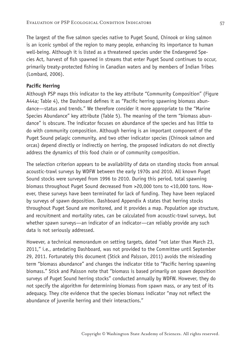The largest of the five salmon species native to Puget Sound, Chinook or king salmon is an iconic symbol of the region to many people, enhancing its importance to human well-being. Although it is listed as a threatened species under the Endangered Species Act, harvest of fish spawned in streams that enter Puget Sound continues to occur, primarily treaty-protected fishing in Canadian waters and by members of Indian Tribes (Lombard, 2006).

#### **Pacific Herring**

Although PSP maps this indicator to the key attribute "Community Composition" (Figure A44a; Table 4), the Dashboard defines it as "Pacific herring spawning biomass abundance—status and trends." We therefore consider it more appropriate to the "Marine Species Abundance" key attribute (Table 5). The meaning of the term "biomass abundance" is obscure. The indicator focuses on abundance of the species and has little to do with community composition. Although herring is an important component of the Puget Sound pelagic community, and two other indicator species (Chinook salmon and orcas) depend directly or indirectly on herring, the proposed indicators do not directly address the dynamics of this food chain or of community composition.

The selection criterion appears to be availability of data on standing stocks from annual acoustic-trawl surveys by WDFW between the early 1970s and 2010. All known Puget Sound stocks were surveyed from 1996 to 2010. During this period, total spawning biomass throughout Puget Sound decreased from >20,000 tons to <10,000 tons. However, these surveys have been terminated for lack of funding. They have been replaced by surveys of spawn deposition. Dashboard Appendix A states that herring stocks throughout Puget Sound are monitored, and it provides a map. Population age structure, and recruitment and mortality rates, can be calculated from acoustic-trawl surveys, but whether spawn surveys—an indicator of an indicator—can reliably provide any such data is not seriously addressed.

However, a technical memorandum on setting targets, dated "not later than March 23, 2011," i.e., antedating Dashboard, was not provided to the Committee until September 29, 2011. Fortunately this document (Stick and Palsson, 2011) avoids the misleading term "biomass abundance" and changes the indicator title to "Pacific herring spawning biomass." Stick and Palsson note that "biomass is based primarily on spawn deposition surveys of Puget Sound herring stocks" conducted annually by WDFW. However, they do not specify the algorithm for determining biomass from spawn mass, or any test of its adequacy. They cite evidence that the species biomass indicator "may not reflect the abundance of juvenile herring and their interactions."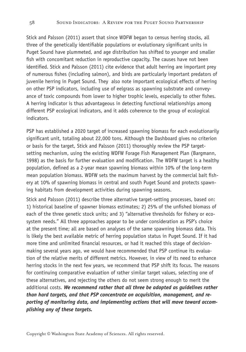Stick and Palsson (2011) assert that since WDFW began to census herring stocks, all three of the genetically identifiable populations or evolutionary significant units in Puget Sound have plummeted, and age distribution has shifted to younger and smaller fish with concomitant reduction in reproductive capacity. The causes have not been identified. Stick and Palsson (2011) cite evidence that adult herring are important prey of numerous fishes (including salmon), and birds are particularly important predators of juvenile herring in Puget Sound. They also note important ecological effects of herring on other PSP indicators, including use of eelgrass as spawning substrate and conveyance of toxic compounds from lower to higher trophic levels, especially to other fishes. A herring indicator is thus advantageous in detecting functional relationships among different PSP ecological indicators, and it adds coherence to the group of ecological indicators.

PSP has established a 2020 target of increased spawning biomass for each evolutionarily significant unit, totaling about 22,000 tons. Although the Dashboard gives no criterion or basis for the target, Stick and Palsson (2011) thoroughly review the PSP targetsetting mechanism, using the existing WDFW Forage Fish Management Plan (Bargmann, 1998) as the basis for further evaluation and modification. The WDFW target is a healthy population, defined as a 2-year mean spawning biomass within 10% of the long-term mean population biomass. WDFW sets the maximum harvest by the commercial bait fishery at 10% of spawning biomass in central and south Puget Sound and protects spawning habitats from development activities during spawning seasons.

Stick and Palsson (2011) describe three alternative target-setting processes, based on: 1) historical baseline of spawner biomass estimates; 2) 25% of the unfished biomass of each of the three genetic stock units; and 3) "alternative thresholds for fishery or ecosystem needs." All three approaches appear to be under consideration as PSP's choice at the present time; all are based on analyses of the same spawning biomass data. This is likely the best available metric of herring population status in Puget Sound. If it had more time and unlimited financial resources, or had it reached this stage of decisionmaking several years ago, we would have recommended that PSP continue its evaluation of the relative merits of different metrics. However, in view of its need to enhance herring stocks in the next few years, we recommend that PSP shift its focus. The reasons for continuing comparative evaluation of rather similar target values, selecting one of these alternatives, and rejecting the others do not seem strong enough to merit the additional costs. *We recommend rather that all three be adopted as guidelines rather than hard targets, and that PSP concentrate on acquisition, management, and reporting of monitoring data, and implementing actions that will move toward accomplishing any of these targets.*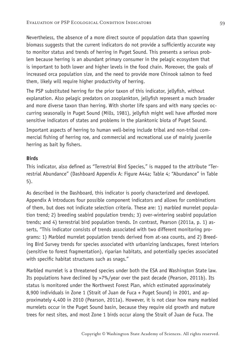Nevertheless, the absence of a more direct source of population data than spawning biomass suggests that the current indicators do not provide a sufficiently accurate way to monitor status and trends of herring in Puget Sound. This presents a serious problem because herring is an abundant primary consumer in the pelagic ecosystem that is important to both lower and higher levels in the food chain. Moreover, the goals of increased orca population size, and the need to provide more Chinook salmon to feed them, likely will require higher productivity of herring.

The PSP substituted herring for the prior taxon of this indicator, jellyfish, without explanation. Also pelagic predators on zooplankton, jellyfish represent a much broader and more diverse taxon than herring. With shorter life spans and with many species occurring seasonally in Puget Sound (Mills, 1981), jellyfish might well have afforded more sensitive indicators of states and problems in the planktonic biota of Puget Sound.

Important aspects of herring to human well-being include tribal and non-tribal commercial fishing of herring roe, and commercial and recreational use of mainly juvenile herring as bait by fishers.

#### **Birds**

This indicator, also defined as "Terrestrial Bird Species," is mapped to the attribute "Terrestrial Abundance" (Dashboard Appendix A: Figure A44a; Table 4; "Abundance" in Table 5).

As described in the Dashboard, this indicator is poorly characterized and developed. Appendix A introduces four possible component indicators and allows for combinations of them, but does not indicate selection criteria. These are: 1) marbled murrelet population trend; 2) breeding seabird population trends; 3) over-wintering seabird population trends; and 4) terrestrial bird population trends. In contrast, Pearson (2011a, p. 1) asserts, "This indicator consists of trends associated with two different monitoring programs: 1) Marbled murrelet population trends derived from at-sea counts, and 2) Breeding Bird Survey trends for species associated with urbanizing landscapes, forest interiors (sensitive to forest fragmentation), riparian habitats, and potentially species associated with specific habitat structures such as snags."

Marbled murrelet is a threatened species under both the ESA and Washington State law. Its populations have declined by >7%/year over the past decade (Pearson, 2011b). Its status is monitored under the Northwest Forest Plan, which estimated approximately 8,900 individuals in Zone 1 (Strait of Juan de Fuca + Puget Sound) in 2001, and approximately 4,400 in 2010 (Pearson, 2011a). However, it is not clear how many marbled murrelets occur in the Puget Sound basin, because they require old growth and mature trees for nest sites, and most Zone 1 birds occur along the Strait of Juan de Fuca. The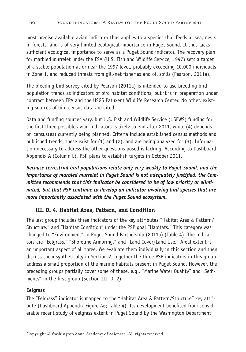most precise available avian indicator thus applies to a species that feeds at sea, nests in forests, and is of very limited ecological importance in Puget Sound. It thus lacks sufficient ecological importance to serve as a Puget Sound indicator. The recovery plan for marbled murrelet under the ESA (U.S. Fish and Wildlife Service, 1997) sets a target of a stable population at or near the 1997 level, probably exceeding 10,000 individuals in Zone 1, and reduced threats from gill-net fisheries and oil spills (Pearson, 2011a).

The breeding bird survey cited by Pearson (2011a) is intended to use breeding bird population trends as indicators of bird habitat conditions, but it is in preparation under contract between EPA and the USGS Patuxent Wildlife Research Center. No other, existing sources of bird census data are cited.

Data and funding sources vary, but U.S. Fish and Wildlife Service (USFWS) funding for the first three possible avian indicators is likely to end after 2011, while (4) depends on census(es) currently being planned. Criteria include established census methods and published trends; these exist for (1) and (2), and are being analyzed for (3). Information necessary to address the other questions posed is lacking. According to Dashboard Appendix A (Column L), PSP plans to establish targets in October 2011.

*Because terrestrial bird populations relate only very weakly to Puget Sound, and the importance of marbled murrelet in Puget Sound is not adequately justified, the Committee recommends that this indicator be considered to be of low priority or eliminated, but that PSP continue to develop an indicator involving bird species that are more importantly associated with the Puget Sound ecosystem.*

## **III. D. 4. Habitat Area, Pattern, and Condition**

The last group includes three indicators of the key attributes "Habitat Area & Pattern/ Structure," and "Habitat Condition" under the PSP goal "Habitats." This category was changed to "Environment" in Puget Sound Partnership (2011a) (Table 4). The indicators are "Eelgrass," "Shoreline Armoring," and "Land Cover/Land Use." Areal extent is an important aspect of all three. We evaluate them individually in this section and then discuss them synthetically in Section V. Together the three PSP indicators in this group address a small proportion of the marine habitats present in Puget Sound. However, the preceding groups partially cover some of these, e.g., "Marine Water Quality" and "Sediments" in the first group (Section III. D. 2).

#### **Eelgrass**

The "Eelgrass" indicator is mapped to the "Habitat Area & Pattern/Structure" key attribute (Dashboard Appendix Figure A6; Table 4). Its development benefited from considerable recent study of eelgrass extent in Puget Sound by the Washington Department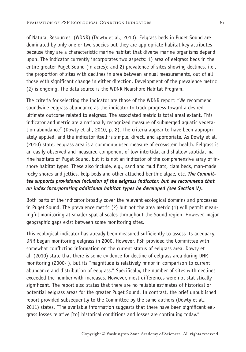of Natural Resources (WDNR) (Dowty et al., 2010). Eelgrass beds in Puget Sound are dominated by only one or two species but they are appropriate habitat key attributes because they are a characteristic marine habitat that diverse marine organisms depend upon. The indicator currently incorporates two aspects: 1) area of eelgrass beds in the entire greater Puget Sound (in acres); and 2) prevalence of sites showing declines, i.e., the proportion of sites with declines in area between annual measurements, out of all those with significant change in either direction. Development of the prevalence metric (2) is ongoing. The data source is the WDNR Nearshore Habitat Program.

The criteria for selecting the indicator are those of the WDNR report: "We recommend soundwide eelgrass abundance as the indicator to track progress toward a desired ultimate outcome related to eelgrass. The associated metric is total areal extent. This indicator and metric are a nationally recognized measure of submerged aquatic vegetation abundance" (Dowty et al., 2010, p. 2). The criteria appear to have been appropriately applied, and the indicator itself is simple, direct, and appropriate. As Dowty et al. (2010) state, eelgrass area is a commonly used measure of ecosystem health. Eelgrass is an easily observed and measured component of low intertidal and shallow subtidal marine habitats of Puget Sound, but it is not an indicator of the comprehensive array of inshore habitat types. These also include, e.g., sand and mud flats, clam beds, man-made rocky shores and jetties, kelp beds and other attached benthic algae, etc. *The Committee supports provisional inclusion of the eelgrass indicator, but we recommend that an index incorporating additional habitat types be developed (see Section V).*

Both parts of the indicator broadly cover the relevant ecological domains and processes in Puget Sound. The prevalence metric (2) but not the area metric (1) will permit meaningful monitoring at smaller spatial scales throughout the Sound region. However, major geographic gaps exist between some monitoring sites.

This ecological indicator has already been measured sufficiently to assess its adequacy. DNR began monitoring eelgrass in 2000. However, PSP provided the Committee with somewhat conflicting information on the current status of eelgrass area. Dowty et al. (2010) state that there is some evidence for decline of eelgrass area during DNR monitoring (2000- ), but its "magnitude is relatively minor in comparison to current abundance and distribution of eelgrass." Specifically, the number of sites with declines exceeded the number with increases. However, most differences were not statistically significant. The report also states that there are no reliable estimates of historical or potential eelgrass areas for the greater Puget Sound. In contrast, the brief unpublished report provided subsequently to the Committee by the same authors (Dowty et al., 2011) states, "The available information suggests that there have been significant eelgrass losses relative [to] historical conditions and losses are continuing today."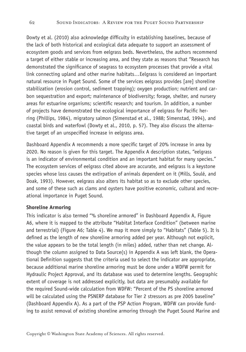Dowty et al. (2010) also acknowledge difficulty in establishing baselines, because of the lack of both historical and ecological data adequate to support an assessment of ecosystem goods and services from eelgrass beds. Nevertheless, the authors recommend a target of either stable or increasing area, and they state as reasons that "Research has demonstrated the significance of seagrass to ecosystem processes that provide a vital link connecting upland and other marine habitats…Eelgrass is considered an important natural resource in Puget Sound. Some of the services eelgrass provides [are] shoreline stabilization (erosion control, sediment trapping); oxygen production; nutrient and carbon sequestration and export; maintenance of biodiversity; forage, shelter, and nursery areas for estuarine organisms; scientific research; and tourism. In addition, a number of projects have demonstrated the ecological importance of eelgrass for Pacific herring (Phillips, 1984), migratory salmon (Simenstad et al., 1988; Simenstad, 1994), and coastal birds and waterfowl (Dowty et al., 2010, p. 57). They also discuss the alternative target of an unspecified increase in eelgrass area.

Dashboard Appendix A recommends a more specific target of 20% increase in area by 2020. No reason is given for this target. The Appendix A description states, "eelgrass is an indicator of environmental condition and an important habitat for many species." The ecosystem services of eelgrass cited above are accurate, and eelgrass is a keystone species whose loss causes the extirpation of animals dependent on it (Mills, Soulé, and Doak, 1993). However, eelgrass also alters its habitat so as to exclude other species, and some of these such as clams and oysters have positive economic, cultural and recreational importance in Puget Sound.

#### **Shoreline Armoring**

This indicator is also termed "% shoreline armored" in Dashboard Appendix A, Figure A6, where it is mapped to the attribute "Habitat Interface Condition" (between marine and terrestrial) (Figure A6; Table 4). We map it more simply to "Habitats" (Table 5). It is defined as the length of new shoreline armoring added per year. Although not explicit, the value appears to be the total length (in miles) added, rather than net change. Although the column assigned to Data Source(s) in Appendix A was left blank, the Operational Definition suggests that the criteria used to select the indicator are appropriate, because additional marine shoreline armoring must be done under a WDFW permit for Hydraulic Project Approval, and its database was used to determine lengths. Geographic extent of coverage is not addressed explicitly, but data are presumably available for the required Sound-wide calculation from WDFW: "Percent of the PS shoreline armored will be calculated using the PSNERP database for Tier 2 stressors as pre 2005 baseline" (Dashboard Appendix A). As a part of the PSP Action Program, WDFW can provide funding to assist removal of existing shoreline armoring through the Puget Sound Marine and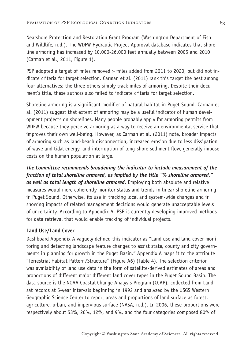Nearshore Protection and Restoration Grant Program (Washington Department of Fish and Wildlife, n.d.). The WDFW Hydraulic Project Approval database indicates that shoreline armoring has increased by 10,000-26,000 feet annually between 2005 and 2010 (Carman et al., 2011, Figure 1).

PSP adopted a target of miles removed > miles added from 2011 to 2020, but did not indicate criteria for target selection. Carman et al. (2011) rank this target the best among four alternatives; the three others simply track miles of armoring. Despite their document's title, these authors also failed to indicate criteria for target selection.

Shoreline armoring is a significant modifier of natural habitat in Puget Sound. Carman et al. (2011) suggest that extent of armoring may be a useful indicator of human development projects on shorelines. Many people probably apply for armoring permits from WDFW because they perceive armoring as a way to receive an environmental service that improves their own well-being. However, as Carman et al. (2011) note, broader impacts of armoring such as land-beach disconnection, increased erosion due to less dissipation of wave and tidal energy, and interruption of long-shore sediment flow, generally impose costs on the human population at large.

### *The Committee recommends broadening the indicator to include measurement of the fraction of total shoreline armored, as implied by the title "% shoreline armored," as well as total length of shoreline armored.* Employing both absolute and relative measures would more coherently monitor status and trends in linear shoreline armoring in Puget Sound. Otherwise, its use in tracking local and system-wide changes and in showing impacts of related management decisions would generate unacceptable levels of uncertainty. According to Appendix A, PSP is currently developing improved methods for data retrieval that would enable tracking of individual projects.

#### **Land Use/Land Cover**

Dashboard Appendix A vaguely defined this indicator as "Land use and land cover monitoring and detecting landscape feature changes to assist state, county and city governments in planning for growth in the Puget Basin." Appendix A maps it to the attribute "Terrestrial Habitat Pattern/Structure" (Figure A6) (Table 4). The selection criterion was availability of land use data in the form of satellite-derived estimates of areas and proportions of different major different land cover types in the Puget Sound Basin. The data source is the NOAA Coastal Change Analysis Program (CCAP), collected from Landsat records at 5-year intervals beginning in 1992 and analyzed by the USGS Western Geographic Science Center to report areas and proportions of land surface as forest, agriculture, urban, and impervious surface (NASA, n.d.). In 2006, these proportions were respectively about 53%, 26%, 12%, and 9%, and the four categories composed 80% of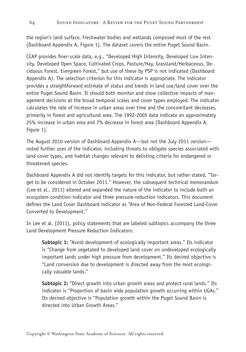the region's land surface. Freshwater bodies and wetlands composed most of the rest (Dashboard Appendix A, Figure 1). The dataset covers the entire Puget Sound Basin.

CCAP provides finer-scale data, e.g., "Developed High Intensity, Developed Low Intensity, Developed Open Space, Cultivated Crops, Pasture/Hay, Grassland/Herbaceous, Deciduous Forest, Evergreen Forest," but use of these by PSP is not indicated (Dashboard Appendix A). The selection criterion for this indicator is appropriate. The indicator provides a straightforward estimate of status and trends in land use/land cover over the entire Puget Sound Basin. It should both monitor and show collective impacts of management decisions at the broad temporal scales and cover types employed. The indicator calculates the rate of increase in urban areas over time and the concomitant decreases, primarily in forest and agricultural area. The 1992-2005 data indicate an approximately 25% increase in urban area and 7% decrease in forest area (Dashboard Appendix A, Figure 1).

The August 2010 version of Dashboard Appendix A—but not the July 2011 version noted further uses of the indicator, including threats to obligate species associated with land cover types, and habitat changes relevant to delisting criteria for endangered or threatened species.

Dashboard Appendix A did not identify targets for this indicator, but rather stated, "Target to be considered in October 2011." However, the subsequent technical memorandum (Lee et al., 2011) altered and expanded the nature of the indicator to include both an ecosystem condition indicator and three pressure-reduction indicators. This document defines the Land Cover Dashboard indicator as "Area of Non-Federal Forested Land-Cover Converted to Development."

In Lee et al. (2011), policy statements that are labeled subtopics accompany the three Land Development Pressure Reduction Indicators:

**Subtopic 1:** "Avoid development of ecologically important areas." Its indicator is "Change from vegetated to developed land cover on undeveloped ecologically important lands under high pressure from development." Its desired objective is "Land conversion due to development is directed away from the most ecologically valuable lands."

**Subtopic 2:** "Direct growth into urban growth areas and protect rural lands." Its indicator is "Proportion of basin wide population growth occurring within UGAs." Its desired objective is "Population growth within the Puget Sound Basin is directed into Urban Growth Areas."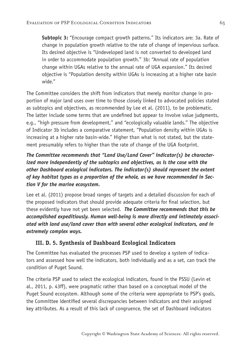**Subtopic 3:** "Encourage compact growth patterns." Its indicators are: 3a. Rate of change in population growth relative to the rate of change of impervious surface. Its desired objective is "Undeveloped land is not converted to developed land in order to accommodate population growth." 3b: "Annual rate of population change within UGAs relative to the annual rate of UGA expansion." Its desired objective is "Population density within UGAs is increasing at a higher rate basin wide."

The Committee considers the shift from indicators that merely monitor change in proportion of major land uses over time to those closely linked to advocated policies stated as subtopics and objectives, as recommended by Lee et al. (2011), to be problematic. The latter include some terms that are undefined but appear to involve value judgments, e.g., "high pressure from development," and "ecologically valuable lands." The objective of Indicator 3b includes a comparative statement, "Population density within UGAs is increasing at a higher rate basin-wide." Higher than what is not stated, but the statement presumably refers to higher than the rate of change of the UGA footprint.

*The Committee recommends that "Land Use/Land Cover" indicator(s) be characterized more independently of the subtopics and objectives, as is the case with the other Dashboard ecological indicators. The indicator(s) should represent the extent of key habitat types as a proportion of the whole, as we have recommended in Section V for the marine ecosystem.*

Lee et al. (2011) propose broad ranges of targets and a detailed discussion for each of the proposed indicators that should provide adequate criteria for final selection, but these evidently have not yet been selected. *The Committee recommends that this be accomplished expeditiously. Human well-being is more directly and intimately associated with land use/land cover than with several other ecological indicators, and in extremely complex ways.* 

#### **III. D. 5. Synthesis of Dashboard Ecological Indicators**

The Committee has evaluated the processes PSP used to develop a system of indicators and assessed how well the indicators, both individually and as a set, can track the condition of Puget Sound.

The criteria PSP used to select the ecological indicators, found in the PSSU (Levin et al., 2011, p. 43ff), were pragmatic rather than based on a conceptual model of the Puget Sound ecosystem. Although some of the criteria were appropriate to PSP's goals, the Committee identified several discrepancies between indicators and their assigned key attributes. As a result of this lack of congruence, the set of Dashboard indicators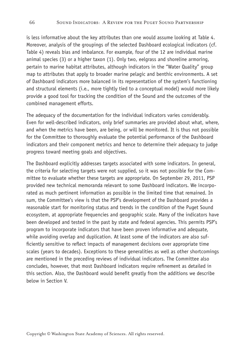is less informative about the key attributes than one would assume looking at Table 4. Moreover, analysis of the groupings of the selected Dashboard ecological indicators (cf. Table 4) reveals bias and imbalance. For example, four of the 12 are individual marine animal species (3) or a higher taxon (1). Only two, eelgrass and shoreline armoring, pertain to marine habitat attributes, although indicators in the "Water Quality" group map to attributes that apply to broader marine pelagic and benthic environments. A set of Dashboard indicators more balanced in its representation of the system's functioning and structural elements (i.e., more tightly tied to a conceptual model) would more likely provide a good tool for tracking the condition of the Sound and the outcomes of the combined management efforts.

The adequacy of the documentation for the individual indicators varies considerably. Even for well-described indicators, only brief summaries are provided about what, where, and when the metrics have been, are being, or will be monitored. It is thus not possible for the Committee to thoroughly evaluate the potential performance of the Dashboard indicators and their component metrics and hence to determine their adequacy to judge progress toward meeting goals and objectives.

The Dashboard explicitly addresses targets associated with some indicators. In general, the criteria for selecting targets were not supplied, so it was not possible for the Committee to evaluate whether these targets are appropriate. On September 29, 2011, PSP provided new technical memoranda relevant to some Dashboard indicators. We incorporated as much pertinent information as possible in the limited time that remained. In sum, the Committee's view is that the PSP's development of the Dashboard provides a reasonable start for monitoring status and trends in the condition of the Puget Sound ecosystem, at appropriate frequencies and geographic scale. Many of the indicators have been developed and tested in the past by state and federal agencies. This permits PSP's program to incorporate indicators that have been proven informative and adequate, while avoiding overlap and duplication. At least some of the indicators are also sufficiently sensitive to reflect impacts of management decisions over appropriate time scales (years to decades). Exceptions to these generalities as well as other shortcomings are mentioned in the preceding reviews of individual indicators. The Committee also concludes, however, that most Dashboard indicators require refinement as detailed in this section. Also, the Dashboard would benefit greatly from the additions we describe below in Section V.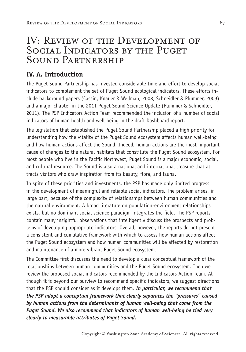## IV: Review of the Development of SOCIAL INDICATORS BY THE PUGET Sound Partnership

### **IV. A. Introduction**

The Puget Sound Partnership has invested considerable time and effort to develop social indicators to complement the set of Puget Sound ecological indicators. These efforts include background papers (Cassin, Knauer & Wellman, 2008; Schneidler & Plummer, 2009) and a major chapter in the 2011 Puget Sound Science Update (Plummer & Schneidler, 2011). The PSP Indicators Action Team recommended the inclusion of a number of social indicators of human health and well-being in the draft Dashboard report.

The legislation that established the Puget Sound Partnership placed a high priority for understanding how the vitality of the Puget Sound ecosystem affects human well-being and how human actions affect the Sound. Indeed, human actions are the most important cause of changes to the natural habitats that constitute the Puget Sound ecosystem. For most people who live in the Pacific Northwest, Puget Sound is a major economic, social, and cultural resource. The Sound is also a national and international treasure that attracts visitors who draw inspiration from its beauty, flora, and fauna.

In spite of these priorities and investments, the PSP has made only limited progress in the development of meaningful and reliable social indicators. The problem arises, in large part, because of the complexity of relationships between human communities and the natural environment. A broad literature on population-environment relationships exists, but no dominant social science paradigm integrates the field. The PSP reports contain many insightful observations that intelligently discuss the prospects and problems of developing appropriate indicators. Overall, however, the reports do not present a consistent and cumulative framework with which to assess how human actions affect the Puget Sound ecosystem and how human communities will be affected by restoration and maintenance of a more vibrant Puget Sound ecosystem.

The Committee first discusses the need to develop a clear conceptual framework of the relationships between human communities and the Puget Sound ecosystem. Then we review the proposed social indicators recommended by the Indicators Action Team. Although it is beyond our purview to recommend specific indicators, we suggest directions that the PSP should consider as it develops them. *In particular, we recommend that the PSP adopt a conceptual framework that clearly separates the "pressures" caused by human actions from the determinants of human well-being that come from the Puget Sound. We also recommend that indicators of human well-being be tied very clearly to measurable attributes of Puget Sound.*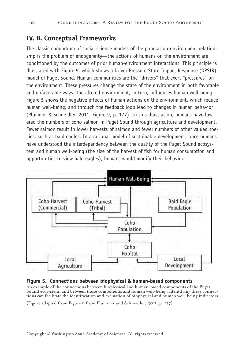### **IV. B. Conceptual Frameworks**

The classic conundrum of social science models of the population-environment relationship is the problem of endogeneity—the actions of humans on the environment are conditioned by the outcomes of prior human-environment interactions. This principle is illustrated with Figure 5, which shows a Driver Pressure State Impact Response (DPSIR) model of Puget Sound. Human communities are the "drivers" that exert "pressures" on the environment. These pressures change the state of the environment in both favorable and unfavorable ways. The altered environment, in turn, influences human well-being. Figure 5 shows the negative effects of human actions on the environment, which reduce human well-being, and through the feedback loop lead to changes in human behavior (Plummer & Schneidler, 2011, Figure 9, p. 177). In this illustration, humans have lowered the numbers of coho salmon in Puget Sound through agriculture and development. Fewer salmon result in lower harvests of salmon and fewer numbers of other valued species, such as bald eagles. In a rational model of sustainable development, once humans have understood the interdependency between the quality of the Puget Sound ecosystem and human well-being (the size of the harvest of fish for human consumption and opportunities to view bald eagles), humans would modify their behavior.



#### **Figure 5. Connections between biophysical & human-based components**

An example of the connections between biophysical and human-based components of the Puget Sound ecosystem, and between those components and human well-being. Identifying these connec-<br>tions can facilitate the identification and evaluation of biophysical and human well-being indicators.

(Figure adapted from Figure 9 from Plummer and Schneidler, 2011, p. 177)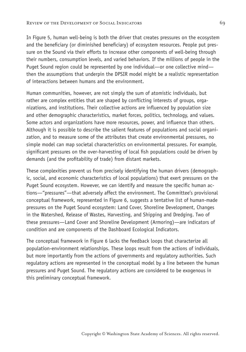In Figure 5, human well-being is both the driver that creates pressures on the ecosystem and the beneficiary (or diminished beneficiary) of ecosystem resources. People put pressure on the Sound via their efforts to increase other components of well-being through their numbers, consumption levels, and varied behaviors. If the millions of people in the Puget Sound region could be represented by one individual—or one collective mind then the assumptions that underpin the DPSIR model might be a realistic representation of interactions between humans and the environment.

Human communities, however, are not simply the sum of atomistic individuals, but rather are complex entities that are shaped by conflicting interests of groups, organizations, and institutions. Their collective actions are influenced by population size and other demographic characteristics, market forces, politics, technology, and values. Some actors and organizations have more resources, power, and influence than others. Although it is possible to describe the salient features of populations and social organization, and to measure some of the attributes that create environmental pressures, no simple model can map societal characteristics on environmental pressures. For example, significant pressures on the over-harvesting of local fish populations could be driven by demands (and the profitability of trade) from distant markets.

These complexities prevent us from precisely identifying the human drivers (demographic, social, and economic characteristics of local populations) that exert pressures on the Puget Sound ecosystem. However, we can identify and measure the specific human actions—"pressures"—that adversely affect the environment. The Committee's provisional conceptual framework, represented in Figure 6, suggests a tentative list of human-made pressures on the Puget Sound ecosystem: Land Cover, Shoreline Development, Changes in the Watershed, Release of Wastes, Harvesting, and Shipping and Dredging. Two of these pressures—Land Cover and Shoreline Development (Armoring)—are indicators of condition and are components of the Dashboard Ecological Indicators.

The conceptual framework in Figure 6 lacks the feedback loops that characterize all population-environment relationships. These loops result from the actions of individuals, but more importantly from the actions of governments and regulatory authorities. Such regulatory actions are represented in the conceptual model by a line between the human pressures and Puget Sound. The regulatory actions are considered to be exogenous in this preliminary conceptual framework.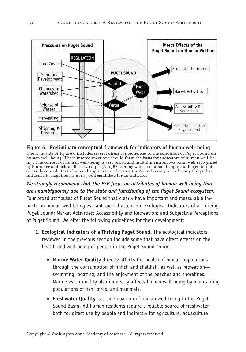

**Figure 6. Preliminary conceptual framework for indicators of human well-being** The right side of Figure 6 includes several direct consequences of the condition of Puget Sound on human well-being. These interconnections should form the basis for indicators of human well-be- ing. The concept of human well-being is very broad and multidimensional—a point well recognized by Plummer and Schneidler (2011, p. 157-158)—among which is human happiness. Puget Sound certainly contributes to human happiness, but because the Sound is only one of many things that influence it, happiness is not a good candidate for an indicator.

### *We strongly recommend that the PSP focus on attributes of human well-being that are unambiguously due to the state and functioning of the Puget Sound ecosystem.*

Four broad attributes of Puget Sound that clearly have important and measurable impacts on human well-being warrant special attention: Ecological Indicators of a Thriving Puget Sound; Market Activities; Accessibility and Recreation; and Subjective Perceptions of Puget Sound. We offer the following guidelines for their development:

- **1. Ecological Indicators of a Thriving Puget Sound.** The ecological indicators reviewed in the previous section include some that have direct effects on the health and well-being of people in the Puget Sound region.
	- **Marine Water Quality** directly affects the health of human populations through the consumption of finfish and shellfish, as well as recreation swimming, boating, and the enjoyment of the beaches and shorelines. Marine water quality also indirectly affects human well-being by maintaining populations of fish, birds, and mammals.
	- **Freshwater Quality** is a sine qua non of human well-being in the Puget Sound Basin. All human residents require a reliable source of freshwater both for direct use by people and indirectly for agriculture, aquaculture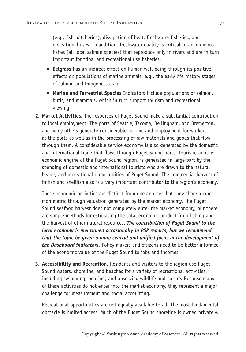(e.g., fish hatcheries), dissipation of heat, freshwater fisheries, and recreational uses. In addition, freshwater quality is critical to anadromous fishes (all local salmon species) that reproduce only in rivers and are in turn important for tribal and recreational use fisheries.

- **Eelgrass** has an indirect effect on human well-being through its positive effects on populations of marine animals, e.g., the early life history stages of salmon and Dungeness crab.
- **Marine and Terrestrial Species** Indicators include populations of salmon, birds, and mammals, which in turn support tourism and recreational viewing.
- **2. Market Activities.** The resources of Puget Sound make a substantial contribution to local employment. The ports of Seattle, Tacoma, Bellingham, and Bremerton, and many others generate considerable income and employment for workers at the ports as well as in the processing of raw materials and goods that flow through them. A considerable service economy is also generated by the domestic and international trade that flows through Puget Sound ports. Tourism, another economic engine of the Puget Sound region, is generated in large part by the spending of domestic and international tourists who are drawn to the natural beauty and recreational opportunities of Puget Sound. The commercial harvest of finfish and shellfish also is a very important contributor to the region's economy.

These economic activities are distinct from one another, but they share a common metric through valuation generated by the market economy. The Puget Sound seafood harvest does not completely enter the market economy, but there are simple methods for estimating the total economic product from fishing and the harvest of other natural resources. *The contribution of Puget Sound to the local economy is mentioned occasionally in PSP reports, but we recommend that the topic be given a more central and unified focus in the development of the Dashboard indicators.* Policy makers and citizens need to be better informed of the economic value of the Puget Sound to jobs and incomes.

**3. Accessibility and Recreation.** Residents and visitors to the region use Puget Sound waters, shoreline, and beaches for a variety of recreational activities, including swimming, boating, and observing wildlife and nature. Because many of these activities do not enter into the market economy, they represent a major challenge for measurement and social accounting.

Recreational opportunities are not equally available to all. The most fundamental obstacle is limited access. Much of the Puget Sound shoreline is owned privately,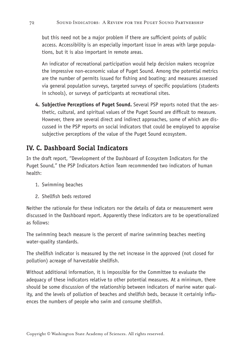but this need not be a major problem if there are sufficient points of public access. Accessibility is an especially important issue in areas with large populations, but it is also important in remote areas.

An indicator of recreational participation would help decision makers recognize the impressive non-economic value of Puget Sound. Among the potential metrics are the number of permits issued for fishing and boating; and measures assessed via general population surveys, targeted surveys of specific populations (students in schools), or surveys of participants at recreational sites.

**4. Subjective Perceptions of Puget Sound.** Several PSP reports noted that the aesthetic, cultural, and spiritual values of the Puget Sound are difficult to measure. However, there are several direct and indirect approaches, some of which are discussed in the PSP reports on social indicators that could be employed to appraise subjective perceptions of the value of the Puget Sound ecosystem.

### **IV. C. Dashboard Social Indicators**

In the draft report, "Development of the Dashboard of Ecosystem Indicators for the Puget Sound," the PSP Indicators Action Team recommended two indicators of human health:

- 1. Swimming beaches
- 2. Shellfish beds restored

Neither the rationale for these indicators nor the details of data or measurement were discussed in the Dashboard report. Apparently these indicators are to be operationalized as follows:

The swimming beach measure is the percent of marine swimming beaches meeting water-quality standards.

The shellfish indicator is measured by the net increase in the approved (not closed for pollution) acreage of harvestable shellfish.

Without additional information, it is impossible for the Committee to evaluate the adequacy of these indicators relative to other potential measures. At a minimum, there should be some discussion of the relationship between indicators of marine water quality, and the levels of pollution of beaches and shellfish beds, because it certainly influences the numbers of people who swim and consume shellfish.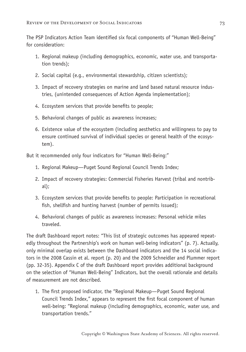The PSP Indicators Action Team identified six focal components of "Human Well-Being" for consideration:

- 1. Regional makeup (including demographics, economic, water use, and transportation trends);
- 2. Social capital (e.g., environmental stewardship, citizen scientists);
- 3. Impact of recovery strategies on marine and land based natural resource industries, (unintended consequences of Action Agenda implementation);
- 4. Ecosystem services that provide benefits to people;
- 5. Behavioral changes of public as awareness increases;
- 6. Existence value of the ecosystem (including aesthetics and willingness to pay to ensure continued survival of individual species or general health of the ecosystem).

But it recommended only four indicators for "Human Well-Being:"

- 1. Regional Makeup—Puget Sound Regional Council Trends Index;
- 2. Impact of recovery strategies: Commercial Fisheries Harvest (tribal and nontribal);
- 3. Ecosystem services that provide benefits to people: Participation in recreational fish, shellfish and hunting harvest (number of permits issued);
- 4. Behavioral changes of public as awareness increases: Personal vehicle miles traveled.

The draft Dashboard report notes: "This list of strategic outcomes has appeared repeatedly throughout the Partnership's work on human well-being indicators" (p. 7). Actually, only minimal overlap exists between the Dashboard indicators and the 14 social indicators in the 2008 Cassin et al. report (p. 20) and the 2009 Schneidler and Plummer report (pp. 32-35). Appendix C of the draft Dashboard report provides additional background on the selection of "Human Well-Being" Indicators, but the overall rationale and details of measurement are not described.

1. The first proposed indicator, the "Regional Makeup—Puget Sound Regional Council Trends Index," appears to represent the first focal component of human well-being: "Regional makeup (including demographics, economic, water use, and transportation trends."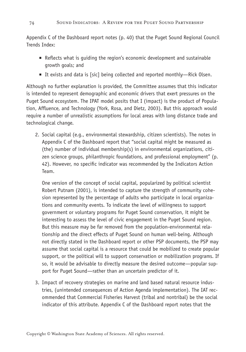Appendix C of the Dashboard report notes (p. 40) that the Puget Sound Regional Council Trends Index:

- $\blacksquare$  Reflects what is quiding the region's economic development and sustainable growth goals; and
- $\blacksquare$  It exists and data is [sic] being collected and reported monthly—Rick Olsen.

Although no further explanation is provided, the Committee assumes that this indicator is intended to represent demographic and economic drivers that exert pressures on the Puget Sound ecosystem. The IPAT model posits that I (impact) is the product of Population, Affluence, and Technology (York, Rosa, and Dietz, 2003). But this approach would require a number of unrealistic assumptions for local areas with long distance trade and technological change.

2. Social capital (e.g., environmental stewardship, citizen scientists). The notes in Appendix C of the Dashboard report that "social capital might be measured as (the) number of individual membership(s) in environmental organizations, citizen science groups, philanthropic foundations, and professional employment" (p. 42). However, no specific indicator was recommended by the Indicators Action Team.

One version of the concept of social capital, popularized by political scientist Robert Putnam (2001), is intended to capture the strength of community cohesion represented by the percentage of adults who participate in local organizations and community events. To indicate the level of willingness to support government or voluntary programs for Puget Sound conservation, it might be interesting to assess the level of civic engagement in the Puget Sound region. But this measure may be far removed from the population-environmental relationship and the direct effects of Puget Sound on human well-being. Although not directly stated in the Dashboard report or other PSP documents, the PSP may assume that social capital is a resource that could be mobilized to create popular support, or the political will to support conservation or mobilization programs. If so, it would be advisable to directly measure the desired outcome—popular support for Puget Sound—rather than an uncertain predictor of it.

3. Impact of recovery strategies on marine and land based natural resource industries, (unintended consequences of Action Agenda implementation). The IAT recommended that Commercial Fisheries Harvest (tribal and nontribal) be the social indicator of this attribute. Appendix C of the Dashboard report notes that the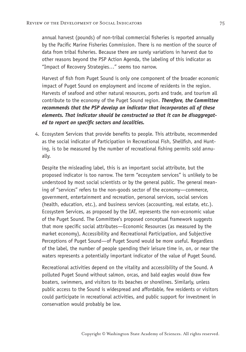annual harvest (pounds) of non-tribal commercial fisheries is reported annually by the Pacific Marine Fisheries Commission. There is no mention of the source of data from tribal fisheries. Because there are surely variations in harvest due to other reasons beyond the PSP Action Agenda, the labeling of this indicator as "Impact of Recovery Strategies…" seems too narrow.

Harvest of fish from Puget Sound is only one component of the broader economic impact of Puget Sound on employment and income of residents in the region. Harvests of seafood and other natural resources, ports and trade, and tourism all contribute to the economy of the Puget Sound region. *Therefore, the Committee recommends that the PSP develop an indicator that incorporates all of these elements. That indicator should be constructed so that it can be disaggregated to report on specific sectors and localities.* 

4. Ecosystem Services that provide benefits to people. This attribute, recommended as the social indicator of Participation in Recreational Fish, Shellfish, and Hunting, is to be measured by the number of recreational fishing permits sold annually.

Despite the misleading label, this is an important social attribute, but the proposed indicator is too narrow. The term "ecosystem services" is unlikely to be understood by most social scientists or by the general public. The general meaning of "services" refers to the non-goods sector of the economy—commerce, government, entertainment and recreation, personal services, social services (health, education, etc.), and business services (accounting, real estate, etc.). Ecosystem Services, as proposed by the IAT, represents the non-economic value of the Puget Sound. The Committee's proposed conceptual framework suggests that more specific social attributes—Economic Resources (as measured by the market economy), Accessibility and Recreational Participation, and Subjective Perceptions of Puget Sound—of Puget Sound would be more useful. Regardless of the label, the number of people spending their leisure time in, on, or near the waters represents a potentially important indicator of the value of Puget Sound.

Recreational activities depend on the vitality and accessibility of the Sound. A polluted Puget Sound without salmon, orcas, and bald eagles would draw few boaters, swimmers, and visitors to its beaches or shorelines. Similarly, unless public access to the Sound is widespread and affordable, few residents or visitors could participate in recreational activities, and public support for investment in conservation would probably be low.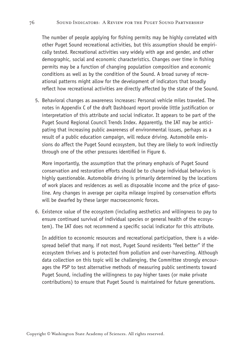The number of people applying for fishing permits may be highly correlated with other Puget Sound recreational activities, but this assumption should be empirically tested. Recreational activities vary widely with age and gender, and other demographic, social and economic characteristics. Changes over time in fishing permits may be a function of changing population composition and economic conditions as well as by the condition of the Sound. A broad survey of recreational patterns might allow for the development of indicators that broadly reflect how recreational activities are directly affected by the state of the Sound.

5. Behavioral changes as awareness increases: Personal vehicle miles traveled. The notes in Appendix C of the draft Dashboard report provide little justification or interpretation of this attribute and social indicator. It appears to be part of the Puget Sound Regional Council Trends Index. Apparently, the IAT may be anticipating that increasing public awareness of environmental issues, perhaps as a result of a public education campaign, will reduce driving. Automobile emissions do affect the Puget Sound ecosystem, but they are likely to work indirectly through one of the other pressures identified in Figure 6.

More importantly, the assumption that the primary emphasis of Puget Sound conservation and restoration efforts should be to change individual behaviors is highly questionable. Automobile driving is primarily determined by the locations of work places and residences as well as disposable income and the price of gasoline. Any changes in average per capita mileage inspired by conservation efforts will be dwarfed by these larger macroeconomic forces.

6. Existence value of the ecosystem (including aesthetics and willingness to pay to ensure continued survival of individual species or general health of the ecosystem). The IAT does not recommend a specific social indicator for this attribute.

In addition to economic resources and recreational participation, there is a widespread belief that many, if not most, Puget Sound residents "feel better" if the ecosystem thrives and is protected from pollution and over-harvesting. Although data collection on this topic will be challenging, the Committee strongly encourages the PSP to test alternative methods of measuring public sentiments toward Puget Sound, including the willingness to pay higher taxes (or make private contributions) to ensure that Puget Sound is maintained for future generations.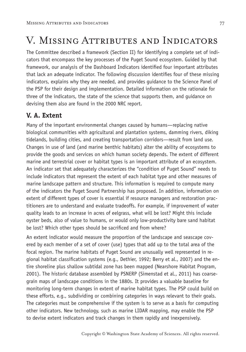# V. Missing Attributes and Indicators

The Committee described a framework (Section II) for identifying a complete set of indicators that encompass the key processes of the Puget Sound ecosystem. Guided by that framework, our analysis of the Dashboard Indicators identified four important attributes that lack an adequate indicator. The following discussion identifies four of these missing indicators, explains why they are needed, and provides guidance to the Science Panel of the PSP for their design and implementation. Detailed information on the rationale for three of the indicators, the state of the science that supports them, and guidance on devising them also are found in the 2000 NRC report.

### **V. A. Extent**

Many of the important environmental changes caused by humans—replacing native biological communities with agricultural and plantation systems, damming rivers, diking tidelands, building cities, and creating transportation corridors—result from land use. Changes in use of land (and marine benthic habitats) alter the ability of ecosystems to provide the goods and services on which human society depends. The extent of different marine and terrestrial cover or habitat types is an important attribute of an ecosystem. An indicator set that adequately characterizes the "condition of Puget Sound" needs to include indicators that represent the extent of each habitat type and other measures of marine landscape pattern and structure. This information is required to compute many of the indicators the Puget Sound Partnership has proposed. In addition, information on extent of different types of cover is essential if resource managers and restoration practitioners are to understand and evaluate tradeoffs. For example, if improvement of water quality leads to an increase in acres of eelgrass, what will be lost? Might this include oyster beds, also of value to humans, or would only low-productivity bare sand habitat be lost? Which other types should be sacrificed and from where?

An extent indicator would measure the proportion of the landscape and seascape covered by each member of a set of cover (use) types that add up to the total area of the focal region. The marine habitats of Puget Sound are unusually well represented in regional habitat classification systems (e.g., Dethier, 1992; Berry et al., 2007) and the entire shoreline plus shallow subtidal zone has been mapped (Nearshore Habitat Program, 2001). The historic database assembled by PSNERP (Simenstad et al., 2011) has coarsegrain maps of landscape conditions in the 1880s. It provides a valuable baseline for monitoring long-term changes in extent of marine habitat types. The PSP could build on these efforts, e.g., subdividing or combining categories in ways relevant to their goals. The categories must be comprehensive if the system is to serve as a basis for computing other indicators. New technology, such as marine LIDAR mapping, may enable the PSP to devise extent indicators and track changes in them rapidly and inexpensively.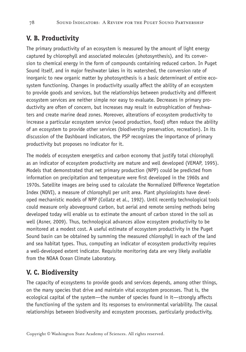### **V. B. Productivity**

The primary productivity of an ecosystem is measured by the amount of light energy captured by chlorophyll and associated molecules (photosynthesis), and its conversion to chemical energy in the form of compounds containing reduced carbon. In Puget Sound itself, and in major freshwater lakes in its watershed, the conversion rate of inorganic to new organic matter by photosynthesis is a basic determinant of entire ecosystem functioning. Changes in productivity usually affect the ability of an ecosystem to provide goods and services, but the relationships between productivity and different ecosystem services are neither simple nor easy to evaluate. Decreases in primary productivity are often of concern, but increases may result in eutrophication of freshwaters and create marine dead zones. Moreover, alterations of ecosystem productivity to increase a particular ecosystem service (wood production, food) often reduce the ability of an ecosystem to provide other services (biodiversity preservation, recreation). In its discussion of the Dashboard indicators, the PSP recognizes the importance of primary productivity but proposes no indicator for it.

The models of ecosystem energetics and carbon economy that justify total chlorophyll as an indicator of ecosystem productivity are mature and well developed (VEMAP, 1995). Models that demonstrated that net primary production (NPP) could be predicted from information on precipitation and temperature were first developed in the 1960s and 1970s. Satellite images are being used to calculate the Normalized Difference Vegetation Index (NDVI), a measure of chlorophyll per unit area. Plant physiologists have developed mechanistic models of NPP (Collatz et al., 1992). Until recently technological tools could measure only aboveground carbon, but aerial and remote sensing methods being developed today will enable us to estimate the amount of carbon stored in the soil as well (Asner, 2009). Thus, technological advances allow ecosystem productivity to be monitored at a modest cost. A useful estimate of ecosystem productivity in the Puget Sound basin can be obtained by summing the measured chlorophyll in each of the land and sea habitat types. Thus, computing an indicator of ecosystem productivity requires a well-developed extent indicator. Requisite monitoring data are very likely available from the NOAA Ocean Climate Laboratory.

### **V. C. Biodiversity**

The capacity of ecosystems to provide goods and services depends, among other things, on the many species that drive and maintain vital ecosystem processes. That is, the ecological capital of the system—the number of species found in it—strongly affects the functioning of the system and its responses to environmental variability. The causal relationships between biodiversity and ecosystem processes, particularly productivity,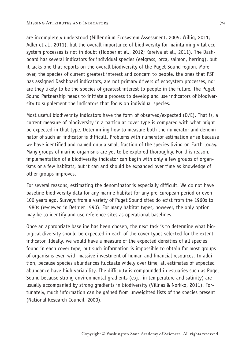are incompletely understood (Millennium Ecosystem Assessment, 2005; Willig, 2011; Adler et al., 2011), but the overall importance of biodiversity for maintaining vital ecosystem processes is not in doubt (Hooper et al., 2012; Kareiva et al., 2011). The Dashboard has several indicators for individual species (eelgrass, orca, salmon, herring), but it lacks one that reports on the overall biodiversity of the Puget Sound region. Moreover, the species of current greatest interest and concern to people, the ones that PSP has assigned Dashboard indicators, are not primary drivers of ecosystem processes, nor are they likely to be the species of greatest interest to people in the future. The Puget Sound Partnership needs to initiate a process to develop and use indicators of biodiversity to supplement the indicators that focus on individual species.

Most useful biodiversity indicators have the form of observed/expected  $(0/E)$ . That is, a current measure of biodiversity in a particular cover type is compared with what might be expected in that type. Determining how to measure both the numerator and denominator of such an indicator is difficult. Problems with numerator estimation arise because we have identified and named only a small fraction of the species living on Earth today. Many groups of marine organisms are yet to be explored thoroughly. For this reason, implementation of a biodiversity indicator can begin with only a few groups of organisms or a few habitats, but it can and should be expanded over time as knowledge of other groups improves.

For several reasons, estimating the denominator is especially difficult. We do not have baseline biodiversity data for any marine habitat for any pre-European period or even 100 years ago. Surveys from a variety of Puget Sound sites do exist from the 1960s to 1980s (reviewed in Dethier 1990). For many habitat types, however, the only option may be to identify and use reference sites as operational baselines.

Once an appropriate baseline has been chosen, the next task is to determine what biological diversity should be expected in each of the cover types selected for the extent indicator. Ideally, we would have a measure of the expected densities of all species found in each cover type, but such information is impossible to obtain for most groups of organisms even with massive investment of human and financial resources. In addition, because species abundances fluctuate widely over time, all estimates of expected abundance have high variability. The difficulty is compounded in estuaries such as Puget Sound because strong environmental gradients (e.g., in temperature and salinity) are usually accompanied by strong gradients in biodiversity (Villnas & Norkko, 2011). Fortunately, much information can be gained from unweighted lists of the species present (National Research Council, 2000).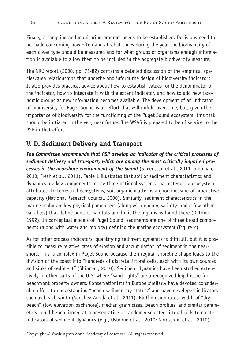Finally, a sampling and monitoring program needs to be established. Decisions need to be made concerning how often and at what times during the year the biodiversity of each cover type should be measured and for what groups of organisms enough information is available to allow them to be included in the aggregate biodiversity measure.

The NRC report (2000, pp. 75-82) contains a detailed discussion of the empirical species/area relationships that underlie and inform the design of biodiversity indicators. It also provides practical advice about how to establish values for the denominator of the indicator, how to integrate it with the extent indicator, and how to add new taxonomic groups as new information becomes available. The development of an indicator of biodiversity for Puget Sound is an effort that will unfold over time, but, given the importance of biodiversity for the functioning of the Puget Sound ecosystem, this task should be initiated in the very near future. The WSAS is prepared to be of service to the PSP in that effort.

### **V. D. Sediment Delivery and Transport**

*The Committee recommends that PSP develop an indicator of the critical processes of sediment delivery and transport, which are among the most critically impaired processes in the nearshore environment of the Sound* (Simenstad et al., 2011; Shipman, 2010; Fresh et al., 2011). Table 1 illustrates that soil or sediment characteristics and dynamics are key components in the three national systems that categorize ecosystem attributes. In terrestrial ecosystems, soil organic matter is a good measure of productive capacity (National Research Council, 2000). Similarly, sediment characteristics in the marine realm are key physical parameters (along with energy, salinity, and a few other variables) that define benthic habitats and limit the organisms found there (Dethier, 1992). In conceptual models of Puget Sound, sediments are one of three broad components (along with water and biology) defining the marine ecosystem (Figure 2).

As for other process indicators, quantifying sediment dynamics is difficult, but it is possible to measure relative rates of erosion and accumulation of sediment in the nearshore. This is complex in Puget Sound because the irregular shoreline shape leads to the division of the coast into "hundreds of discrete littoral cells, each with its own sources and sinks of sediment" (Shipman, 2010). Sediment dynamics have been studied extensively in other parts of the U.S. where "sand rights" are a recognized legal issue for beachfront property owners. Conservationists in Europe similarly have devoted considerable effort to understanding "beach sedimentary status," and have developed indicators such as beach width (Sanchez-Arcilla et al., 2011). Bluff erosion rates, width of "dry beach" (low elevation backshore), median grain sizes, beach profiles, and similar parameters could be monitored at representative or randomly selected littoral cells to create indicators of sediment dynamics (e.g., Osborne et al., 2010; Nordstrom et al., 2010).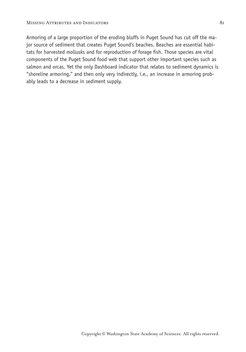Armoring of a large proportion of the eroding bluffs in Puget Sound has cut off the major source of sediment that creates Puget Sound's beaches. Beaches are essential habitats for harvested mollusks and for reproduction of forage fish. Those species are vital components of the Puget Sound food web that support other important species such as salmon and orcas. Yet the only Dashboard indicator that relates to sediment dynamics is "shoreline armoring," and then only very indirectly, i.e., an increase in armoring probably leads to a decrease in sediment supply.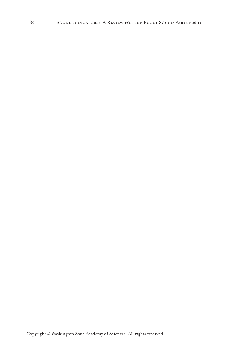Copyright © Washington State Academy of Sciences. All rights reserved.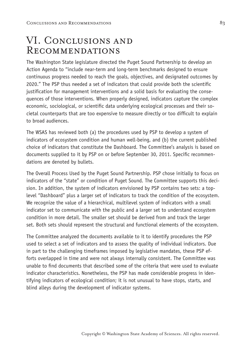# VI. Conclusions and Recommendations

The Washington State legislature directed the Puget Sound Partnership to develop an Action Agenda to "include near-term and long-term benchmarks designed to ensure continuous progress needed to reach the goals, objectives, and designated outcomes by 2020." The PSP thus needed a set of indicators that could provide both the scientific justification for management interventions and a solid basis for evaluating the consequences of those interventions. When properly designed, indicators capture the complex economic, sociological, or scientific data underlying ecological processes and their societal counterparts that are too expensive to measure directly or too difficult to explain to broad audiences.

The WSAS has reviewed both (a) the procedures used by PSP to develop a system of indicators of ecosystem condition and human well-being, and (b) the current published choice of indicators that constitute the Dashboard. The Committee's analysis is based on documents supplied to it by PSP on or before September 30, 2011. Specific recommendations are denoted by bullets.

The Overall Process Used by the Puget Sound Partnership. PSP chose initially to focus on indicators of the "state" or condition of Puget Sound. The Committee supports this decision. In addition, the system of indicators envisioned by PSP contains two sets: a toplevel "Dashboard" plus a larger set of indicators to track the condition of the ecosystem. We recognize the value of a hierarchical, multilevel system of indicators with a small indicator set to communicate with the public and a larger set to understand ecosystem condition in more detail. The smaller set should be derived from and track the larger set. Both sets should represent the structural and functional elements of the ecosystem.

The Committee analyzed the documents available to it to identify procedures the PSP used to select a set of indicators and to assess the quality of individual indicators. Due in part to the challenging timeframes imposed by legislative mandates, these PSP efforts overlapped in time and were not always internally consistent. The Committee was unable to find documents that described some of the criteria that were used to evaluate indicator characteristics. Nonetheless, the PSP has made considerable progress in identifying indicators of ecological condition; it is not unusual to have stops, starts, and blind alleys during the development of indicator systems.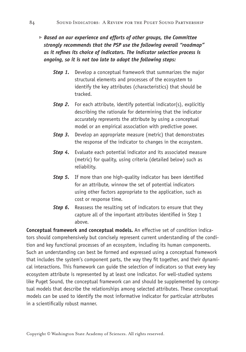#### G *Based on our experience and efforts of other groups, the Committee strongly recommends that the PSP use the following overall "roadmap" as it refines its choice of indicators. The indicator selection process is ongoing, so it is not too late to adopt the following steps:*

- **Step 1.** Develop a conceptual framework that summarizes the major structural elements and processes of the ecosystem to identify the key attributes (characteristics) that should be tracked.
- **Step 2.** For each attribute, identify potential indicator(s), explicitly describing the rationale for determining that the indicator accurately represents the attribute by using a conceptual model or an empirical association with predictive power.
- *Step 3.* Develop an appropriate measure (metric) that demonstrates the response of the indicator to changes in the ecosystem.
- **Step 4.** Evaluate each potential indicator and its associated measure (metric) for quality, using criteria (detailed below) such as reliability.
- *Step 5.* If more than one high-quality indicator has been identified for an attribute, winnow the set of potential indicators using other factors appropriate to the application, such as cost or response time.
- **Step 6.** Reassess the resulting set of indicators to ensure that they capture all of the important attributes identified in Step 1 above.

**Conceptual framework and conceptual models.** An effective set of condition indicators should comprehensively but concisely represent current understanding of the condition and key functional processes of an ecosystem, including its human components. Such an understanding can best be formed and expressed using a conceptual framework that includes the system's component parts, the way they fit together, and their dynamical interactions. This framework can guide the selection of indicators so that every key ecosystem attribute is represented by at least one indicator. For well-studied systems like Puget Sound, the conceptual framework can and should be supplemented by conceptual models that describe the relationships among selected attributes. These conceptual models can be used to identify the most informative indicator for particular attributes in a scientifically robust manner.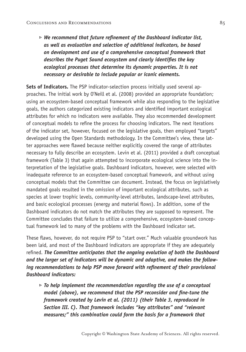$\triangleright$  We recommend that future refinement of the Dashboard indicator list, *as well as evaluation and selection of additional indicators, be based on development and use of a comprehensive conceptual framework that describes the Puget Sound ecosystem and clearly identifies the key ecological processes that determine its dynamic properties. It is not necessary or desirable to include popular or iconic elements.* 

**Sets of Indicators.** The PSP indicator-selection process initially used several approaches. The initial work by O'Neill et al. (2008) provided an appropriate foundation; using an ecosystem-based conceptual framework while also responding to the legislative goals, the authors categorized existing indicators and identified important ecological attributes for which no indicators were available. They also recommended development of conceptual models to refine the process for choosing indicators. The next iterations of the indicator set, however, focused on the legislative goals, then employed "targets" developed using the Open Standards methodology. In the Committee's view, these latter approaches were flawed because neither explicitly covered the range of attributes necessary to fully describe an ecosystem. Levin et al. (2011) provided a draft conceptual framework (Table 3) that again attempted to incorporate ecological science into the interpretation of the legislative goals. Dashboard indicators, however, were selected with inadequate reference to an ecosystem-based conceptual framework, and without using conceptual models that the Committee can document. Instead, the focus on legislatively mandated goals resulted in the omission of important ecological attributes, such as species at lower trophic levels, community-level attributes, landscape-level attributes, and basic ecological processes (energy and material flows). In addition, some of the Dashboard indicators do not match the attributes they are supposed to represent. The Committee concludes that failure to utilize a comprehensive, ecosystem-based conceptual framework led to many of the problems with the Dashboard indicator set.

These flaws, however, do not require PSP to "start over." Much valuable groundwork has been laid, and most of the Dashboard indicators are appropriate if they are adequately refined. *The Committee anticipates that the ongoing evolution of both the Dashboard and the larger set of indicators will be dynamic and adaptive, and makes the following recommendations to help PSP move forward with refinement of their provisional Dashboard indicators:* 

 $\triangleright$  To help implement the recommendation regarding the use of a conceptual *model (above), we recommend that the PSP reconsider and fine-tune the framework created by Levin et al. (2011) (their Table 3, reproduced in Section III. C). That framework includes "key attributes" and "relevant measures;" this combination could form the basis for a framework that*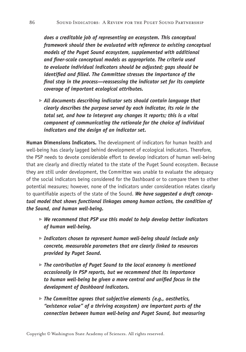*does a creditable job of representing an ecosystem. This conceptual framework should then be evaluated with reference to existing conceptual models of the Puget Sound ecosystem, supplemented with additional and finer-scale conceptual models as appropriate. The criteria used to evaluate individual indicators should be adjusted; gaps should be identified and filled. The Committee stresses the importance of the final step in the process—reassessing the indicator set for its complete coverage of important ecological attributes.* 

 $\triangleright$  All documents describing indicator sets should contain language that *clearly describes the purpose served by each indicator, its role in the total set, and how to interpret any changes it reports; this is a vital component of communicating the rationale for the choice of individual indicators and the design of an indicator set.*

**Human Dimensions Indicators.** The development of indicators for human health and well-being has clearly lagged behind development of ecological indicators. Therefore, the PSP needs to devote considerable effort to develop indicators of human well-being that are clearly and directly related to the state of the Puget Sound ecosystem. Because they are still under development, the Committee was unable to evaluate the adequacy of the social indicators being considered for the Dashboard or to compare them to other potential measures; however, none of the indicators under consideration relates clearly to quantifiable aspects of the state of the Sound. *We have suggested a draft conceptual model that shows functional linkages among human actions, the condition of the Sound, and human well-being.* 

- G *We recommend that PSP use this model to help develop better indicators of human well-being.*
- G *Indicators chosen to represent human well-being should include only concrete, measurable parameters that are clearly linked to resources provided by Puget Sound.*
- $\triangleright$  The contribution of Puget Sound to the local economy is mentioned *occasionally in PSP reports, but we recommend that its importance to human well-being be given a more central and unified focus in the development of Dashboard indicators.*
- $\triangleright$  The Committee agrees that subjective elements (e.g., aesthetics, *"existence value" of a thriving ecosystem) are important parts of the connection between human well-being and Puget Sound, but measuring*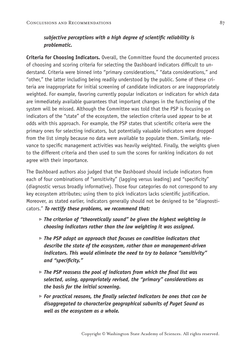#### *subjective perceptions with a high degree of scientific reliability is problematic.*

**Criteria for Choosing Indicators.** Overall, the Committee found the documented process of choosing and scoring criteria for selecting the Dashboard indicators difficult to understand. Criteria were binned into "primary considerations," "data considerations," and "other," the latter including being readily understood by the public. Some of these criteria are inappropriate for initial screening of candidate indicators or are inappropriately weighted. For example, favoring currently popular indicators or indicators for which data are immediately available guarantees that important changes in the functioning of the system will be missed. Although the Committee was told that the PSP is focusing on indicators of the "state" of the ecosystem, the selection criteria used appear to be at odds with this approach. For example, the PSP states that scientific criteria were the primary ones for selecting indicators, but potentially valuable indicators were dropped from the list simply because no data were available to populate them. Similarly, relevance to specific management activities was heavily weighted. Finally, the weights given to the different criteria and then used to sum the scores for ranking indicators do not agree with their importance.

The Dashboard authors also judged that the Dashboard should include indicators from each of four combinations of "sensitivity" (lagging versus leading) and "specificity" (diagnostic versus broadly informative). Those four categories do not correspond to any key ecosystem attributes; using them to pick indicators lacks scientific justification. Moreover, as stated earlier, indicators generally should not be designed to be "diagnosticators." *To rectify these problems, we recommend that:*

- $\triangleright$  The criterion of "theoretically sound" be given the highest weighting in *choosing indicators rather than the low weighting it was assigned.*
- $\triangleright$  The PSP adopt an approach that focuses on condition indicators that *describe the state of the ecosystem, rather than on management-driven indicators. This would eliminate the need to try to balance "sensitivity" and "specificity."*
- $\triangleright$  The PSP reassess the pool of indicators from which the final list was *selected, using, appropriately revised, the "primary" considerations as the basis for the initial screening.*
- $\triangleright$  For practical reasons, the finally selected indicators be ones that can be *disaggregated to characterize geographical subunits of Puget Sound as well as the ecosystem as a whole.*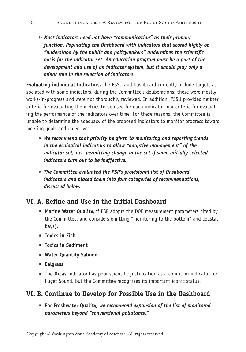G *Most indicators need not have "communication" as their primary function. Populating the Dashboard with indicators that scored highly on "understood by the public and policymakers" undermines the scientific basis for the indicator set. An education program must be a part of the development and use of an indicator system, but it should play only a minor role in the selection of indicators.*

**Evaluating individual Indicators.** The PSSU and Dashboard currently include targets associated with some indicators; during the Committee's deliberations, these were mostly works-in-progress and were not thoroughly reviewed. In addition, PSSU provided neither criteria for evaluating the metrics to be used for each indicator, nor criteria for evaluating the performance of the indicators over time. For these reasons, the Committee is unable to determine the adequacy of the proposed indicators to monitor progress toward meeting goals and objectives.

- G *We recommend that priority be given to monitoring and reporting trends in the ecological indicators to allow "adaptive management" of the indicator set, i.e., permitting change in the set if some initially selected indicators turn out to be ineffective.*
- $\triangleright$  The Committee evaluated the PSP's provisional list of Dashboard *indicators and placed them into four categories of recommendations, discussed below.*

### **VI. A. Refine and Use in the Initial Dashboard**

- **Marine Water Quality,** if PSP adopts the DOE measurement parameters cited by the Committee, and considers omitting "monitoring to the bottom" and coastal bays).
- **F** Toxics in Fish
- **F** Toxics in Sediment
- **E** Water Quantity Salmon
- A **Eelgrass**
- **The Orcas** indicator has poor scientific justification as a condition indicator for Puget Sound, but the Committee recognizes its important iconic status.

### **VI. B. Continue to Develop for Possible Use in the Dashboard**

**For Freshwater Quality,** we recommend expansion of the list of monitored *parameters beyond "conventional pollutants."*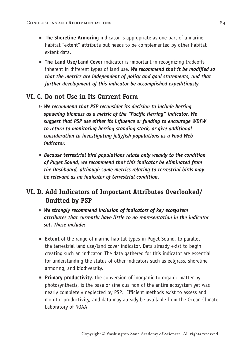- **The Shoreline Armoring** indicator is appropriate as one part of a marine habitat "extent" attribute but needs to be complemented by other habitat extent data.
- **The Land Use/Land Cover** indicator is important in recognizing tradeoffs inherent in different types of land use. *We recommend that it be modified so that the metrics are independent of policy and goal statements, and that further development of this indicator be accomplished expeditiously.*

### **VI. C. Do not Use in Its Current Form**

- $\triangleright$  We recommend that PSP reconsider its decision to include herring *spawning biomass as a metric of the "Pacific Herring" indicator. We suggest that PSP use either its influence or funding to encourage WDFW to return to monitoring herring standing stock, or give additional consideration to investigating jellyfish populations as a Food Web indicator.*
- $\triangleright$  Because terrestrial bird populations relate only weakly to the condition *of Puget Sound, we recommend that this indicator be eliminated from the Dashboard, although some metrics relating to terrestrial birds may be relevant as an indicator of terrestrial condition.*

### **VI. D. Add Indicators of Important Attributes Overlooked/ Omitted by PSP**

- G *We strongly recommend inclusion of indicators of key ecosystem attributes that currently have little to no representation in the indicator set. These include:*
- **Extent** of the range of marine habitat types in Puget Sound, to parallel the terrestrial land use/land cover indicator. Data already exist to begin creating such an indicator. The data gathered for this indicator are essential for understanding the status of other indicators such as eelgrass, shoreline armoring, and biodiversity.
- **Primary productivity,** the conversion of inorganic to organic matter by photosynthesis, is the base or sine qua non of the entire ecosystem yet was nearly completely neglected by PSP. Efficient methods exist to assess and monitor productivity, and data may already be available from the Ocean Climate Laboratory of NOAA.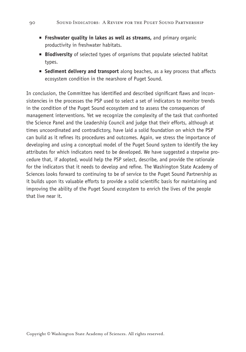- **Filter 5 Freshwater quality in lakes as well as streams, and primary organic** productivity in freshwater habitats.
- **Biodiversity** of selected types of organisms that populate selected habitat types.
- **Sediment delivery and transport** along beaches, as a key process that affects ecosystem condition in the nearshore of Puget Sound.

In conclusion, the Committee has identified and described significant flaws and inconsistencies in the processes the PSP used to select a set of indicators to monitor trends in the condition of the Puget Sound ecosystem and to assess the consequences of management interventions. Yet we recognize the complexity of the task that confronted the Science Panel and the Leadership Council and judge that their efforts, although at times uncoordinated and contradictory, have laid a solid foundation on which the PSP can build as it refines its procedures and outcomes. Again, we stress the importance of developing and using a conceptual model of the Puget Sound system to identify the key attributes for which indicators need to be developed. We have suggested a stepwise procedure that, if adopted, would help the PSP select, describe, and provide the rationale for the indicators that it needs to develop and refine. The Washington State Academy of Sciences looks forward to continuing to be of service to the Puget Sound Partnership as it builds upon its valuable efforts to provide a solid scientific basis for maintaining and improving the ability of the Puget Sound ecosystem to enrich the lives of the people that live near it.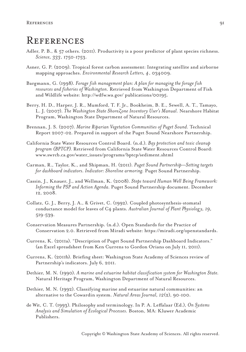### **REFERENCES**

- Adler, P. B., & 57 others. (2011). Productivity is a poor predictor of plant species richness. *Science, 333*, 1750-1753.
- Asner, G. P. (2009). Tropical forest carbon assessment: Integrating satellite and airborne mapping approaches. *Environmental Research Letters, 4*, 034009.
- Bargmann, G. (1998). *Forage fish management plan: A plan for managing the forage fish resources and fisheries of Washington.* Retrieved from Washington Department of Fish and Wildlife website: http://wdfw.wa.gov/ publications/00195.
- Berry, H. D., Harper, J. R., Mumford, T. F. Jr., Bookheim, B. E., Sewell, A. T., Tamayo, L. J. (2007). *The Washington State ShoreZone Inventory User's Manual.* Nearshore Habitat Program, Washington State Department of Natural Resources.
- Brennan, J. S. (2007). *Marine Riparian Vegetation Communities of Puget Sound.* Technical Report 2007-02. Prepared in support of the Puget Sound Nearshore Partnership.
- California State Water Resources Control Board. (n.d.). *Bay protection and toxic cleanup program (BPTCP).* Retrieved from California State Water Resources Control Board: www.swrcb.ca.gov/water\_issues/programs/bptcp/sediment.shtml
- Carman, R., Taylor, K., and Shipman, H. (2011). *Puget Sound Partnership—Setting targets for dashboard indicators. Indicator: Shoreline armoring.* Puget Sound Partnership.
- Cassin, J., Knauer, J., and Wellman, K. (2008). *Steps toward Human Well Being Framework: Informing the PSP and Action Agenda.* Puget Sound Partnership document. December 12, 2008.
- Collatz, G. J., Berry, J. A., & Grivet, C. (1992). Coupled photosynthesis-stomatal conductance model for leaves of C4 plants. *Australian Journal of Plant Physiolog y, 19,* 519-539.
- Conservation Measures Partnership. (n.d.). Open Standards for the Practice of Conservation 2.0. Retrieved from Miradi website: https://miradi.org/openstandards.
- Currens, K. (2011a). "Description of Puget Sound Partnership Dashboard Indicators." (an Excel spreadsheet from Ken Currens to Gordon Orians on July 11, 2011).
- Currens, K. (2011b). Briefing sheet: Washington State Academy of Sciences review of Partnership's indicators. July 6, 2011.
- Dethier, M. N. (1990). *A marine and estuarine habitat classification system for Washington State.*  Natural Heritage Program, Washington Department of Natural Resources.
- Dethier, M. N. (1992). Classifying marine and estuarine natural communities: an alternative to the Cowardin system. *Natural Areas Journal, 12*(2), 90-100.
- de Wit, C. T. (1993). Philosophy and terminology. In P. A. Leffalaar (Ed.), *On Systems Analysis and Simulation of Ecological Processes.* Boston, MA: Kluwer Academic Publishers.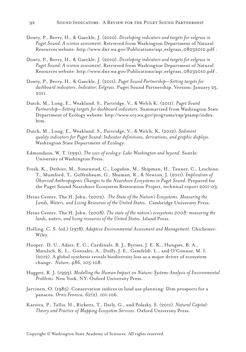- Dowty, P., Berry, H., & Gaeckle, J. (2010). *Developing indicators and targets for eelgrass in Puget Sound: A science assessment.* Retrieved from Washington Department of Natural Resources website: http://www.dnr.wa.gov/Publications/aqr\_eelgrass\_08232010.pdf .
- Dowty, P., Berry, H., & Gaeckle, J. (2010). *Developing indicators and targets for eelgrass in Puget Sound: A science assessment.* Retrieved from Washington Department of Natural Resources website: http://www.dnr.wa.gov/Publications/aqr\_eelgrass\_08232010.pdf .
- Dowty, P., Berry, H., & Gaeckle, J. (2011). *Puget Sound Partnership—Setting targets for dashboard indicators. Indicator: Eelgrass.* Puget Sound Partnership. Version: January 25, 2011.
- Dutch, M., Long, E., Weakland, S., Partridge, V., & Welch K. (2011). *Puget Sound Partnership—Setting targets for dashboard indicators.* Summarized from Washington State Department of Ecology website: http://www.ecy.wa.gov/programs/eap/psamp/index. htm.
- Dutch, M., Long, E., Weakland, S., Partridge, V., & Welch, K. (2012). *Sediment quality indicators for Puget Sound: Indicator definitions, derivations, and graphic displays.*  Washington State Department of Ecology.
- Edmondson, W. T. (1991). *The uses of ecolog y: Lake Washington and beyond.* Seattle: University of Washington Press.
- Fresh, K., Dethier, M., Simenstad, C., Logsdon, M., Shipman, H., Tanner, C., Leschine, T., Mumford, T., Gelfenbaum, G., Shuman, R., & Newton, J. (2011). *Implication of Observed Anthropogenic Changes to the Nearshore Ecosystems in Puget Sound.* Prepared for the Puget Sound Nearshore Ecosystem Restoration Project, technical report 2011-03.
- Heinz Center, The H. John. (2002). *The State of the Nation's Ecosystems. Measuring the Lands, Waters, and Living Resources of the United States.* Cambridge University Press.
- Heinz Center, The H. John. (2008). *The state of the nation's ecosystems 2008: measuring the lands, waters, and living resources of the United States.* Island Press.
- Holling, C. S. (ed.) (1978). *Adaptive Environmental Assessment and Management.* Chichester: Wiley.
- Hooper, D. U., Adair, E. C., Cardinale, B. J., Byrnes, J. E. K., Hungate, B. A., Matulich, K. L., Gonzalez, A., Duffy, J. E., Gamfeldt, L., and O'Connor, M. I. (2012). A global synthesis reveals biodiversity loss as a major driver of ecosystem change. *Nature, 486*, 105-108.
- Huggett, R. J. (1993). *Modelling the Human Impact on Nature: Systems Analysis of Environmental Problems.* New York, NY: Oxford University Press.
- Jarvinen, O. (1985). Conservation indices in land use planning: Dim prospects for a panacea. *Ornis Fennica, 62*(2), 101-106.
- Kareiva, P., Tallis, H., Ricketts, T., Daily, G., and Polasky, S. (2011). *Natural Capital: Theory and Practice of Mapping Ecosystem Services.* Oxford University Press.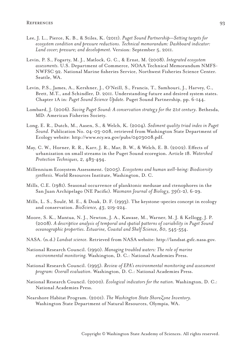- Lee, J. L., Pierce, K. B., & Stiles, K. (2011). *Puget Sound Partnership—Setting targets for ecosystem condition and pressure reductions. Technical memorandum: Dashboard indicator: Land cover; pressure; and development.* Version: September 5, 2011.
- Levin, P. S., Fogarty, M. J., Matlock, G. C., & Ernst, M. (2008). *Integrated ecosystem assessments.* U.S. Department of Commerce, NOAA Technical Memorandum NMFS-NWFSC 92. National Marine fisheries Service, Northwest Fisheries Science Center. Seattle, WA.
- Levin, P.S., James, A., Kershner, J., O'Neill, S., Francis, T., Samhouri, J., Harvey, C., Brett, M.T., and Schindler, D. 2011. Understanding future and desired system states. Chapter 1A in: *Puget Sound Science Update.* Puget Sound Partnership, pp. 6-144.
- Lombard, J. (2006). *Saving Puget Sound: A conservation strateg y for the 21st century.* Bethesda, MD: American Fisheries Society.
- Long, E. R., Dutch, M., Aasen, S., & Welch, K. (2004). *Sediment quality triad index in Puget Sound.* Publication No. 04-03-008, retrieved from Washington State Department of Ecology website: http://www.ecy.wa.gov/pubs/0403008.pdf.
- May, C. W., Horner, R. R., Karr, J. R., Mar, B. W., & Welch, E. B. (2002). Effects of urbanization on small streams in the Puget Sound ecoregion. Article 18. *Watershed Protection Techniques, 2,* 483-494.
- Millennium Ecosystem Assessment. (2005). *Ecosystems and human well-being: Biodiversity synthesis.* World Resources Institute, Washington, D. C.
- Mills, C.E. (1981). Seasonal occurrence of planktonic medusae and ctenophores in the San Juan Archipelago (NE Pacific). *Wasmann Journal of Biolog y, 39(*1-2), 6-29.
- Mills, L. S., Soulé, M. E., & Doak, D. F. (1993). The keystone-species concept in ecology and conservation. *BioScience, 43,* 219-224.
- Moore, S. K., Mantua, N. J., Newton, J. A., Kawase, M., Warner, M. J. & Kellogg, J. P. (2008). *A descriptive analysis of temporal and spatial patterns of variability in Puget Sound oceanographic properties. Estuarine, Coastal and Shelf Science, 80,* 545-554.
- NASA. (n.d.) *Landsat science.* Retrieved from NASA website: http://landsat.gsfc.nasa.gov.
- National Research Council. (1990). *Managing troubled waters: The role of marine environmental monitoring.* Washington, D. C.: National Academies Press.
- National Research Council. (1995). *Review of EPA's environmental monitoring and assessment program: Overall evaluation.* Washington, D. C.: National Academies Press.
- National Research Council. (2000). *Ecological indicators for the nation.* Washington, D. C.: National Academies Press.
- Nearshore Habitat Program. (2001). *The Washington State ShoreZone Inventory.*  Washington State Department of Natural Resources, Olympia, WA.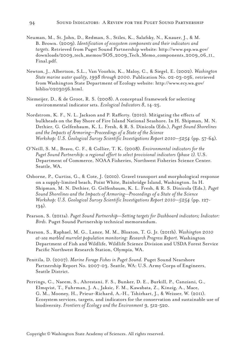- Neuman, M., St. John, D., Redman, S., Stiles, K., Salafsky, N., Knauer, J., & M. B. Brown. (2009). *Identification of ecosystem components and their indicators and targets.* Retrieved from Puget Sound Partnership website: http://www.psp.wa.gov/ downloads/2009\_tech\_memos/SOS\_2009\_Tech\_Memo\_components\_2009\_06\_11\_ Final.pdf.
- Newton, J., Albertson, S.L., Van Voorhis, K., Maloy, C., & Siegel, E. (2002). *Washington State marine water quality, 1998 through 2000.* Publication No. 02-03-056, retrieved from Washington State Department of Ecology website: http://www.ecy.wa.gov/ biblio/0203056.html.
- Niemeijer, D., & de Groot, R. S. (2008). A conceptual framework for selecting environmental indicator sets. *Ecological Indicators 8,* 14-25.
- Nordstrom, K. F., N. L. Jackson and P. Rafferty. (2010). Mitigating the effects of bulkheads on the Bay Shore of Fire Island National Seashore. In H. Shipman, M. N. Dethier, G. Gelfenbaum, K. L. Fresh, & R. S. Dinicola (Eds.), *Puget Sound Shorelines and the Impacts of Armoring—Proceedings of a State of the Science Workshop: U.S. Geological Survey Scientific Investigations Report 2010–5254* (pp. 57-64).
- O'Neill, S. M., Bravo, C. F., & Collier, T. K. (2008). *Environmental indicators for the Puget Sound Partnership: a regional effort to select provisional indicators (phase 1).* U.S. Department of Commerce, NOAA Fisheries, Northwest Fisheries Science Center. Seattle, WA.
- Osborne, P., Curtiss, G., & Cote, J. (2010). Gravel transport and morphological response on a supply-limited beach, Point White, Bainbridge Island, Washington. In H. Shipman, M. N. Dethier, G. Gelfenbaum, K. L. Fresh, & R. S. Dinicola (Eds.), *Puget Sound Shorelines and the Impacts of Armoring—Proceedings of a State of the Science Workshop: U.S. Geological Survey Scientific Investigations Report 2010–5254* (pp. 127- 134).
- Pearson, S. (2011a). *Puget Sound Partnership—Setting targets for Dashboard indicators; Indicator: Birds.* Puget Sound Partnership technical memorandum.
- Pearson, S., Raphael, M. G., Lance, M. M., Bloxton, T. G. Jr. (2011b). *Washington 2010 at-sea marbled murrelet population monitoring: Research Progress Report.* Washington Department of Fish and Wildlife, Wildlife Science Division and USDA Forest Service Pacific Northwest Research Station, Olympia, WA.
- Penttila, D. (2007). *Marine Forage Fishes in Puget Sound.* Puget Sound Nearshore Partnership Report No. 2007-03. Seattle, WA: U.S. Army Corps of Engineers, Seattle District.
- Perrings, C., Naeem, S., Ahrestani, F. S., Bunker, D. E., Burkill, P., Canziani, G., Elmqvist, T., Fuhrman, J. A., Jaksic, F. M., Kawabata, Z., Kinzig, A., Mace, G. M., Mooney, H., Prieur-Richard, A.-H., Tshirhart, J., & Weisser, W. (2011). Ecosystem services, targets, and indicators for the conservation and sustainable use of biodiversity. *Frontiers of Ecolog y and the Environment 9,* 512-520.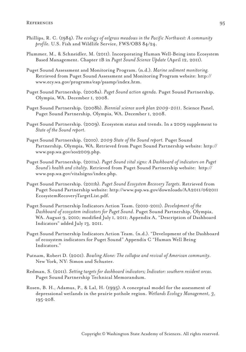- Phillips, R. C. (1984). *The ecolog y of eelgrass meadows in the Pacific Northwest: A community profile.* U.S. Fish and Wildlife Service, FWS/OBS 84/24.
- Plummer, M., & Schneidler, M. (2011). Incorporating Human Well-Being into Ecosystem Based Management. Chapter 1B in *Puget Sound Science Update* (April 12, 2011).
- Puget Sound Assessment and Monitoring Program. (n.d.). *Marine sediment monitoring.*  Retrieved from Puget Sound Assessment and Monitoring Program website: http:// www.ecy.wa.gov/programs/eap/psamp/index.htm.
- Puget Sound Partnership. (2008a). *Puget Sound action agenda.* Puget Sound Partnership, Olympia, WA. December 1, 2008.
- Puget Sound Partnership. (2008b). *Biennial science work plan 2009-2011.* Science Panel, Puget Sound Partnership, Olympia, WA. December 1, 2008.
- Puget Sound Partnership. (2009). Ecosystem status and trends. In a 2009 supplement to *State of the Sound report.*
- Puget Sound Partnership. (2010). *2009 State of the Sound report.* Puget Sound Partnership, Olympia, WA. Retrieved from Puget Sound Partnership website: http:// www.psp.wa.gov/sos2009.php.
- Puget Sound Partnership. (2011a). *Puget Sound vital signs: A Dashboard of indicators on Puget Sound's health and vitality.* Retrieved from Puget Sound Partnership website: http:// www.psp.wa.gov/vitalsigns/index.php.
- Puget Sound Partnership. (2011b). *Puget Sound Ecosystem Recovery Targets.* Retrieved from Puget Sound Partnership website: http://www.psp.wa.gov/downloads/AA2011/062011 EcosystemRecoveryTargetList.pdf.
- Puget Sound Partnership Indicators Action Team. (2010-2011). *Development of the Dashboard of ecosystem indicators for Puget Sound.* Puget Sound Partnership, Olympia, WA. August 9, 2010; modified July 1, 2011; Appendix A, "Description of Dashboard Indicators" added July 13, 2011.
- Puget Sound Partnership Indicators Action Team. (n.d.). "Development of the Dashboard of ecosystem indicators for Puget Sound" Appendix C "Human Well Being Indicators."
- Putnam, Robert D. (2001). *Bowling Alone: The collapse and revival of American community*. New York, NY: Simon and Schuster.
- Redman, S. (2011). *Setting targets for dashboard indicators; Indicator: southern resident orcas.*  Puget Sound Partnership Technical Memorandum.
- Rosen, B. H., Adamus, P., & Lal, H. (1995). A conceptual model for the assessment of depressional wetlands in the prairie pothole region. *Wetlands Ecolog y Management, 3,* 195-208.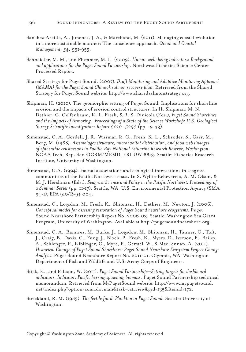- Sanchez-Arcilla, A., Jimenez, J. A., & Marchand, M. (2011). Managing coastal evolution in a more sustainable manner: The conscience approach. *Ocean and Coastal Management, 54,* 951-955.
- Schneidler, M. M., and Plummer, M. L. (2009). *Human well-being indicators: Background and applications for the Puget Sound Partnership.* Northwest Fisheries Science Center Processed Report.
- Shared Strategy for Puget Sound. (2007). *Draft Monitoring and Adaptive Monitoring Approach (MAMA) for the Puget Sound Chinook salmon recovery plan. Retrieved from the Shared* Strategy for Puget Sound website: http://www.sharedsalmonstrategy.org.
- Shipman, H. (2010). The geomorphic setting of Puget Sound: Implications for shoreline erosion and the impacts of erosion control structures. In H. Shipman, M. N. Dethier, G. Gelfenbaum, K. L. Fresh, & R. S. Dinicola (Eds.), *Puget Sound Shorelines and the Impacts of Armoring—Proceedings of a State of the Science Workshop: U.S. Geological Survey Scientific Investigations Report 2010–5254 (*pp. 19-33).
- Simenstad, C. A., Cordell, J. R., Wissmar, R. C., Fresh, K. L., Schroder, S., Carr, M., Berg, M. (1988). *Assemblages structure, microhabitat distribution, and food web linkages of epibenthic crustaceans in Padilla Bay National Estuarine Research Reserve, Washington.*  NOAA Tech. Rep. Ser. OCRM/MEMD, FRI-UW-8813. Seattle: Fisheries Research Institute, University of Washington.
- Simenstad, C.A. (1994). Faunal associations and ecological interactions in seagrass communities of the Pacific Northwest coast. In S. Wyllie-Echeverria, A. M. Olson, & M. J. Hershman (Eds.), *Seagrass Science and Policy in the Pacific Northwest: Proceedings of a Seminar Series* (pp. 11-17). Seattle, WA: U.S. Environmental Protection Agency (SMA 94-1). EPA 910/R-94 004.
- Simenstad, C., Logsdon, M., Fresh, K., Shipman, H., Dethier, M., Newton, J. (2006). *Conceptual model for assessing restoration of Puget Sound nearshore ecosystems.* Puget Sound Nearshore Partnership Report No. 2006-03. Seattle: Washington Sea Grant Program, University of Washington. Available at http://pugetsoundnearshore.org.
- Simenstad, C. A., Ramirez, M., Burke, J., Logsdon, M., Shipman, H., Tanner, C., Toft, J., Craig, B., Davis, C., Fung, J., Bloch, P., Fresh, K., Myers, D., Iverson, E., Bailey, A., Schlenger, P., Kiblinger, C., Myre, P., Gerstel, W., & MacLennan, A. (2011). *Historical Change of Puget Sound Shorelines: Puget Sound Nearshore Ecosystem Project Change Analysis.* Puget Sound Nearshore Report No. 2011-01. Olympia, WA: Washington Department of Fish and Wildlife and U.S. Army Corps of Engineers.
- Stick, K., and Palsson, W. (2011). *Puget Sound Partnership—Setting targets for dashboard indicators. Indicator: Pacific herring spawning biomass.* Puget Sound Partnership technical memorandum. Retrieved from MyPugetSound website: http://www.mypugetsound. net/index.php?option=com\_docman&task=cat\_view&gid=135&Itemid=172.
- Strickland, R. M. (1983). *The fertile fjord: Plankton in Puget Sound.* Seattle: University of Washington.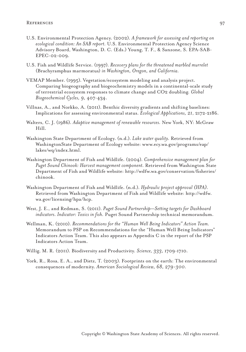- U.S. Environmental Protection Agency. (2002). *A framework for assessing and reporting on ecological condition: An SAB report.* U.S. Environmental Protection Agency Science Advisory Board, Washington, D. C. (Eds.) Young, T. F., & Sanzone, S. EPA-SAB-EPEC-02-009.
- U.S. Fish and Wildlife Service. (1997). *Recovery plans for the threatened marbled murrelet*  (Brachyramphus marmoratus) *in Washington, Oregon, and California.*
- VEMAP Member. (1995). Vegetation/ecosystem modeling and analysis project. Comparing biogeography and biogeochemistry models in a continental-scale study of terrestrial ecosystem responses to climate change and CO2 doubling. *Global Biogeochemical Cycles, 9,* 407-434.
- Villnas, A., and Norkko, A. (2011). Benthic diversity gradients and shifting baselines: Implications for assessing environmental status. *Ecological Applications, 21*, 2172-2186.
- Walters, C. J. (1986). *Adaptive management of renewable resources.* New York, NY: McGraw Hill.
- Washington State Department of Ecology. (n.d.). *Lake water quality.* Retrieved from WashingtonState Department of Ecology website: www.ecy.wa.gov/programs/eap/ lakes/wq/index.html.
- Washington Department of Fish and Wildlife. (2004). *Comprehensive management plan for Puget Sound Chinook: Harvest management component.* Retrieved from Washington State Department of Fish and Wildlife website: http://wdfw.wa.gov/conservation/fisheries/ chinook.
- Washington Department of Fish and Wildlife. (n.d.). *Hydraulic project approval (HPA)*. Retrieved from Washington Department of Fish and Wildlife website: http://wdfw. wa.gov/licensing/hpa/hcp.
- West, J. E., and Redman, S. (2011). *Puget Sound Partnership—Setting targets for Dashboard indicators. Indicator: Toxics in fish.* Puget Sound Partnership technical memorandum.
- Wellman, K. (2010). *Recommendations for the "Human Well Being Indicators" Action Team.* Memorandum to PSP on Recommendations for the "Human Well Being Indicators" Indicators Action Team. This also appears as Appendix C in the report of the PSP Indicators Action Team.
- Willig, M. R. (2011). Biodiversity and Productivity. *Science, 333,* 1709-1710.
- York, R., Rosa, E. A., and Dietz, T. (2003). Footprints on the earth: The environmental consequences of modernity. *American Sociological Review, 68, 279-300.*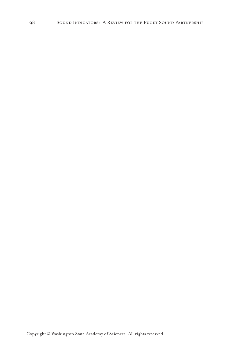Copyright © Washington State Academy of Sciences. All rights reserved.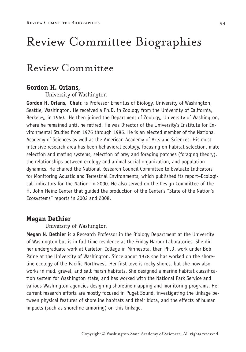# Review Committee Biographies

# Review Committee

#### **Gordon H. Orians,**

University of Washington

**Gordon H. Orians, Chair,** is Professor Emeritus of Biology, University of Washington, Seattle, Washington. He received a Ph.D. in Zoology from the University of California, Berkeley, in 1960. He then joined the Department of Zoology, University of Washington, where he remained until he retired. He was Director of the University's Institute for Environmental Studies from 1976 through 1986. He is an elected member of the National Academy of Sciences as well as the American Academy of Arts and Sciences. His most intensive research area has been behavioral ecology, focusing on habitat selection, mate selection and mating systems, selection of prey and foraging patches (foraging theory), the relationships between ecology and animal social organization, and population dynamics. He chaired the National Research Council Committee to Evaluate Indicators for Monitoring Aquatic and Terrestrial Environments, which published its report–Ecological Indicators for The Nation–in 2000. He also served on the Design Committee of The H. John Heinz Center that guided the production of the Center's "State of the Nation's Ecosystems" reports in 2002 and 2008.

### **Megan Dethier**

#### University of Washington

**Megan N. Dethier** is a Research Professor in the Biology Department at the University of Washington but is in full-time residence at the Friday Harbor Laboratories. She did her undergraduate work at Carleton College in Minnesota, then Ph.D. work under Bob Paine at the University of Washington. Since about 1978 she has worked on the shoreline ecology of the Pacific Northwest. Her first love is rocky shores, but she now also works in mud, gravel, and salt marsh habitats. She designed a marine habitat classification system for Washington state, and has worked with the National Park Service and various Washington agencies designing shoreline mapping and monitoring programs. Her current research efforts are mostly focused in Puget Sound, investigating the linkage between physical features of shoreline habitats and their biota, and the effects of human impacts (such as shoreline armoring) on this linkage.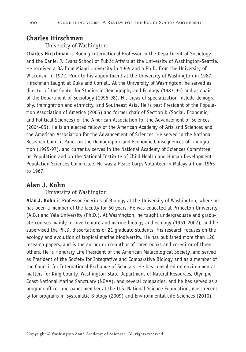#### **Charles Hirschman**

University of Washington

**Charles Hirschman** is Boeing International Professor in the Department of Sociology and the Daniel J. Evans School of Public Affairs at the University of Washington-Seattle. He received a BA from Miami University in 1965 and a Ph.D. from the University of Wisconsin in 1972. Prior to his appointment at the University of Washington in 1987, Hirschman taught at Duke and Cornell. At the University of Washington, he served as director of the Center for Studies in Demography and Ecology (1987-95) and as chair of the Department of Sociology (1995-98). His areas of specialization include demography, immigration and ethnicity, and Southeast Asia. He is past President of the Population Association of America (2005) and former chair of Section K (Social, Economic, and Political Sciences) of the American Association for the Advancement of Sciences (2004-05). He is an elected fellow of the American Academy of Arts and Sciences and the American Association for the Advancement of Sciences. He served in the National Research Council Panel on the Demographic and Economic Consequences of Immigration (1995-97), and currently serves in the National Academy of Sciences Committee on Population and on the National Institute of Child Health and Human Development Population Sciences Committee. He was a Peace Corps Volunteer in Malaysia from 1965 to 1967.

### **Alan J. Kohn**

University of Washington

**Alan J. Kohn** is Professor Emeritus of Biology at the University of Washington, where he has been a member of the faculty for 50 years. He was educated at Princeton University (A.B.) and Yale University (Ph.D.). At Washington, he taught undergraduate and graduate courses mainly in invertebrate and marine biology and ecology (1961-2007), and he supervised the Ph.D. dissertations of 21 graduate students. His research focuses on the ecology and evolution of tropical marine biodiversity. He has published more than 120 research papers, and is the author or co-author of three books and co-editor of three others. He is Honorary Life President of the American Malacological Society, and served as President of the Society for Integrative and Comparative Biology and as a member of the Council for International Exchange of Scholars. He has consulted on environmental matters for King County, Washington State Department of Natural Resources, Olympic Coast National Marine Sanctuary (NOAA), and several companies, and he has served as a program officer and panel member at the U.S. National Science Foundation, most recently for programs in Systematic Biology (2009) and Environmental Life Sciences (2010).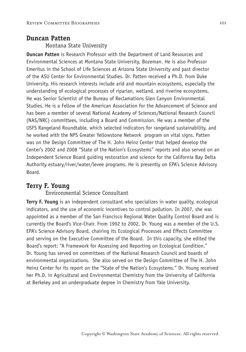#### **Duncan Patten**

Montana State University

**Duncan Patten** is Research Professor with the Department of Land Resources and Environmental Sciences at Montana State University, Bozeman. He is also Professor Emeritus in the School of Life Sciences at Arizona State University and past director of the ASU Center for Environmental Studies. Dr. Patten received a Ph.D. from Duke University. His research interests include arid and mountain ecosystems, especially the understanding of ecological processes of riparian, wetland, and riverine ecosystems. He was Senior Scientist of the Bureau of Reclamations Glen Canyon Environmental Studies. He is a Fellow of the American Association for the Advancement of Science and has been a member of several National Academy of Sciences/National Research Council (NAS/NRC) committees, including a Board and Commission. He was a member of the USFS Rangeland Roundtable, which selected indicators for rangeland sustainability, and he worked with the NPS Greater Yellowstone Network program on vital signs. Patten was on the Design Committee of The H. John Heinz Center that helped develop the Center's 2002 and 2008 "State of the Nation's Ecosystems" reports and also served on an Independent Science Board guiding restoration and science for the California Bay Delta Authority estuary/river/water/levee programs. He is presently on EPA's Science Advisory Board.

## **Terry F. Young**

Environmental Science Consultant

**Terry F. Young** is an independent consultant who specializes in water quality, ecological indicators, and the use of economic incentives to control pollution. In 2007, she was appointed as a member of the San Francisco Regional Water Quality Control Board and is currently the Board's Vice-Chair. From 1992 to 2002, Dr. Young was a member of the U.S. EPA's Science Advisory Board, chairing its Ecological Processes and Effects Committee and serving on the Executive Committee of the Board. In this capacity, she edited the Board's report: "A Framework for Assessing and Reporting on Ecological Condition." Dr. Young has served on committees of the National Research Council and boards of environmental organizations. She also served on the Design Committee of The H. John Heinz Center for its report on the "State of the Nation's Ecosystems." Dr. Young received her Ph.D. in Agricultural and Environmental Chemistry from the University of California at Berkeley and an undergraduate degree in Chemistry from Yale University.